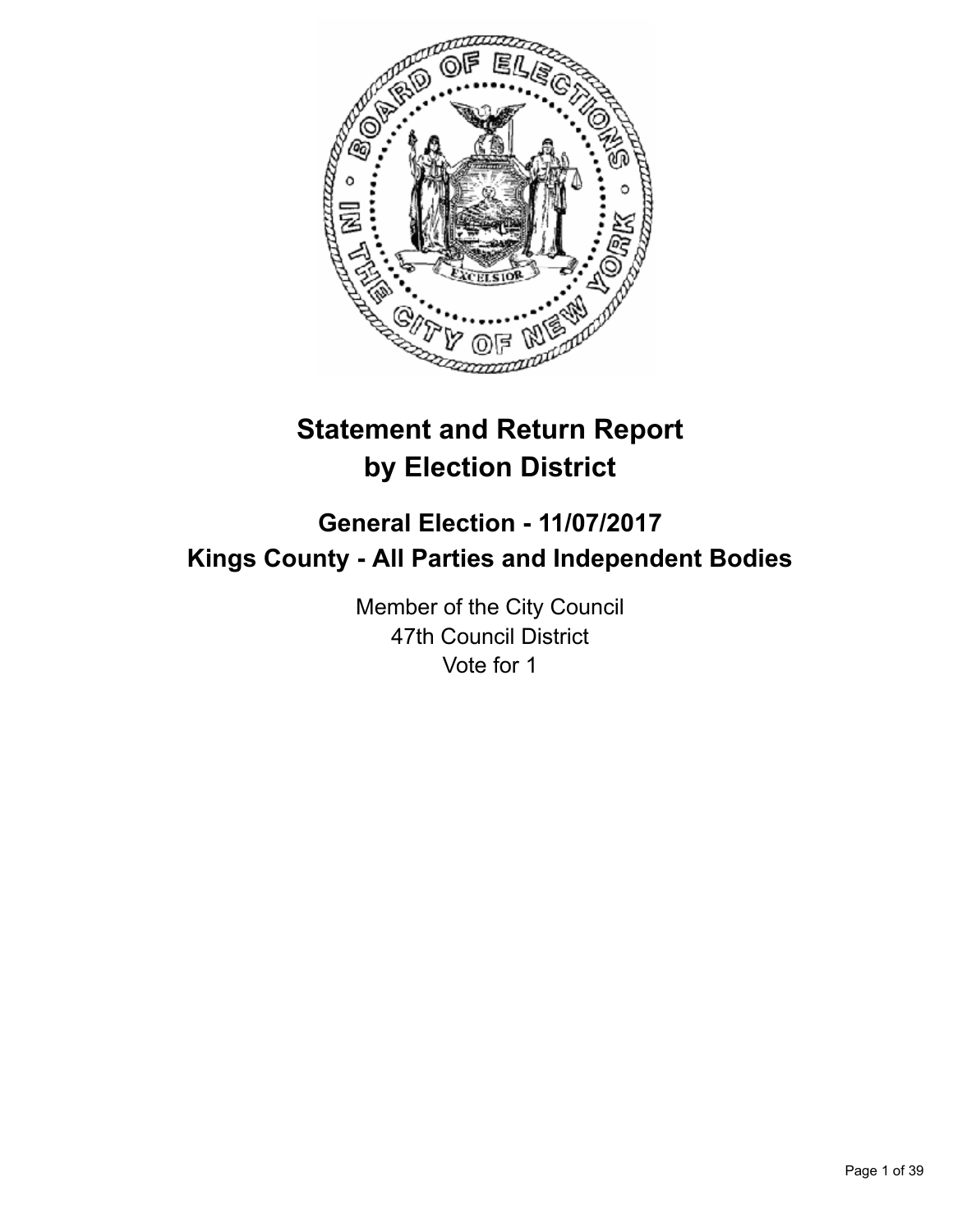

# **Statement and Return Report by Election District**

# **General Election - 11/07/2017 Kings County - All Parties and Independent Bodies**

Member of the City Council 47th Council District Vote for 1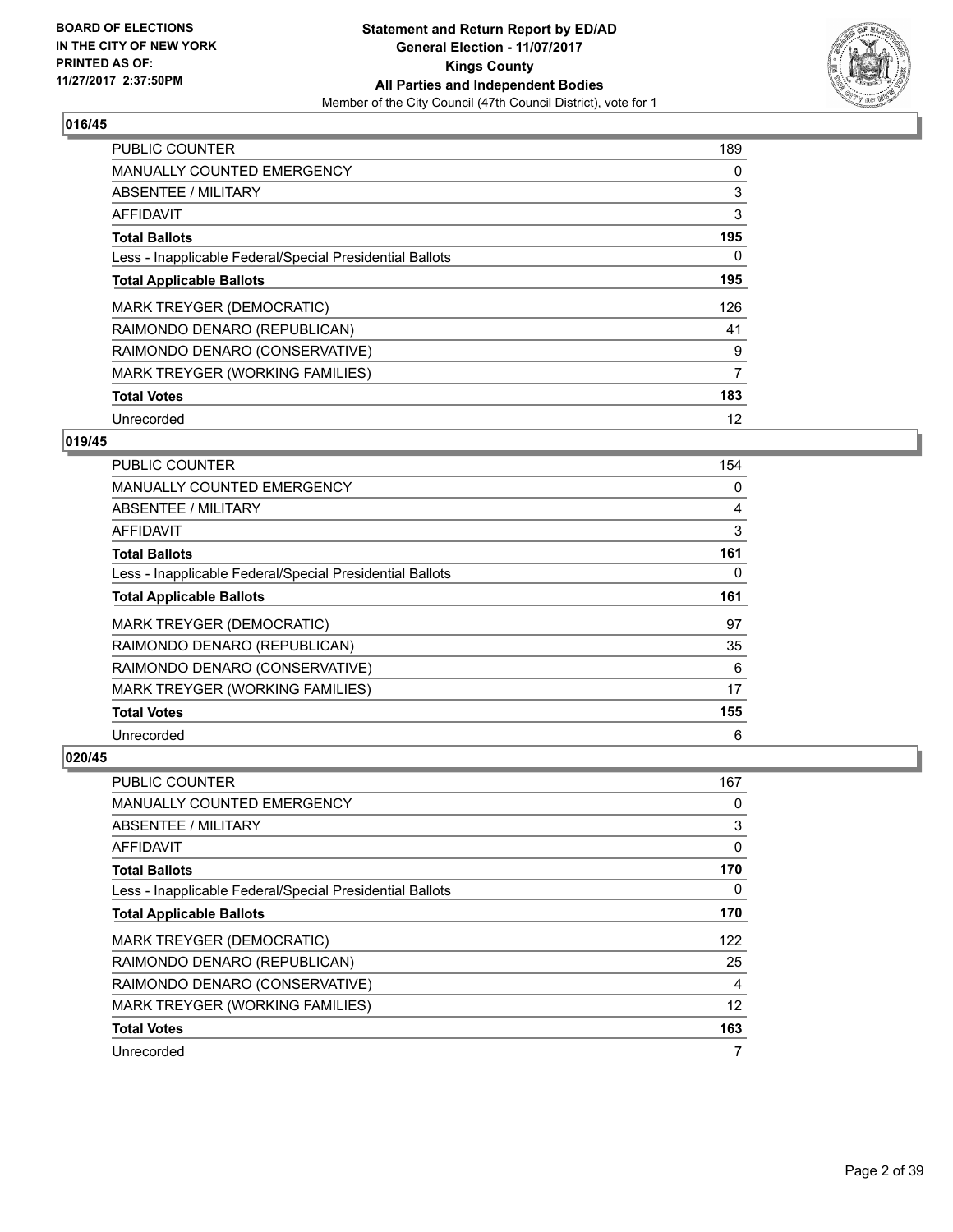

| <b>PUBLIC COUNTER</b>                                    | 189 |
|----------------------------------------------------------|-----|
| <b>MANUALLY COUNTED EMERGENCY</b>                        | 0   |
| ABSENTEE / MILITARY                                      | 3   |
| <b>AFFIDAVIT</b>                                         | 3   |
| <b>Total Ballots</b>                                     | 195 |
| Less - Inapplicable Federal/Special Presidential Ballots | 0   |
| <b>Total Applicable Ballots</b>                          | 195 |
| MARK TREYGER (DEMOCRATIC)                                | 126 |
| RAIMONDO DENARO (REPUBLICAN)                             | 41  |
| RAIMONDO DENARO (CONSERVATIVE)                           | 9   |
| MARK TREYGER (WORKING FAMILIES)                          | 7   |
| <b>Total Votes</b>                                       | 183 |
| Unrecorded                                               | 12  |

# **019/45**

| PUBLIC COUNTER                                           | 154 |
|----------------------------------------------------------|-----|
| <b>MANUALLY COUNTED EMERGENCY</b>                        | 0   |
| ABSENTEE / MILITARY                                      | 4   |
| AFFIDAVIT                                                | 3   |
| <b>Total Ballots</b>                                     | 161 |
| Less - Inapplicable Federal/Special Presidential Ballots | 0   |
| <b>Total Applicable Ballots</b>                          | 161 |
| MARK TREYGER (DEMOCRATIC)                                | 97  |
| RAIMONDO DENARO (REPUBLICAN)                             | 35  |
| RAIMONDO DENARO (CONSERVATIVE)                           | 6   |
| MARK TREYGER (WORKING FAMILIES)                          | 17  |
| <b>Total Votes</b>                                       | 155 |
| Unrecorded                                               | 6   |

| PUBLIC COUNTER                                           | 167 |
|----------------------------------------------------------|-----|
| MANUALLY COUNTED EMERGENCY                               | 0   |
| ABSENTEE / MILITARY                                      | 3   |
| AFFIDAVIT                                                | 0   |
| <b>Total Ballots</b>                                     | 170 |
| Less - Inapplicable Federal/Special Presidential Ballots | 0   |
| <b>Total Applicable Ballots</b>                          | 170 |
| MARK TREYGER (DEMOCRATIC)                                | 122 |
| RAIMONDO DENARO (REPUBLICAN)                             | 25  |
| RAIMONDO DENARO (CONSERVATIVE)                           | 4   |
| MARK TREYGER (WORKING FAMILIES)                          | 12  |
| <b>Total Votes</b>                                       | 163 |
| Unrecorded                                               | 7   |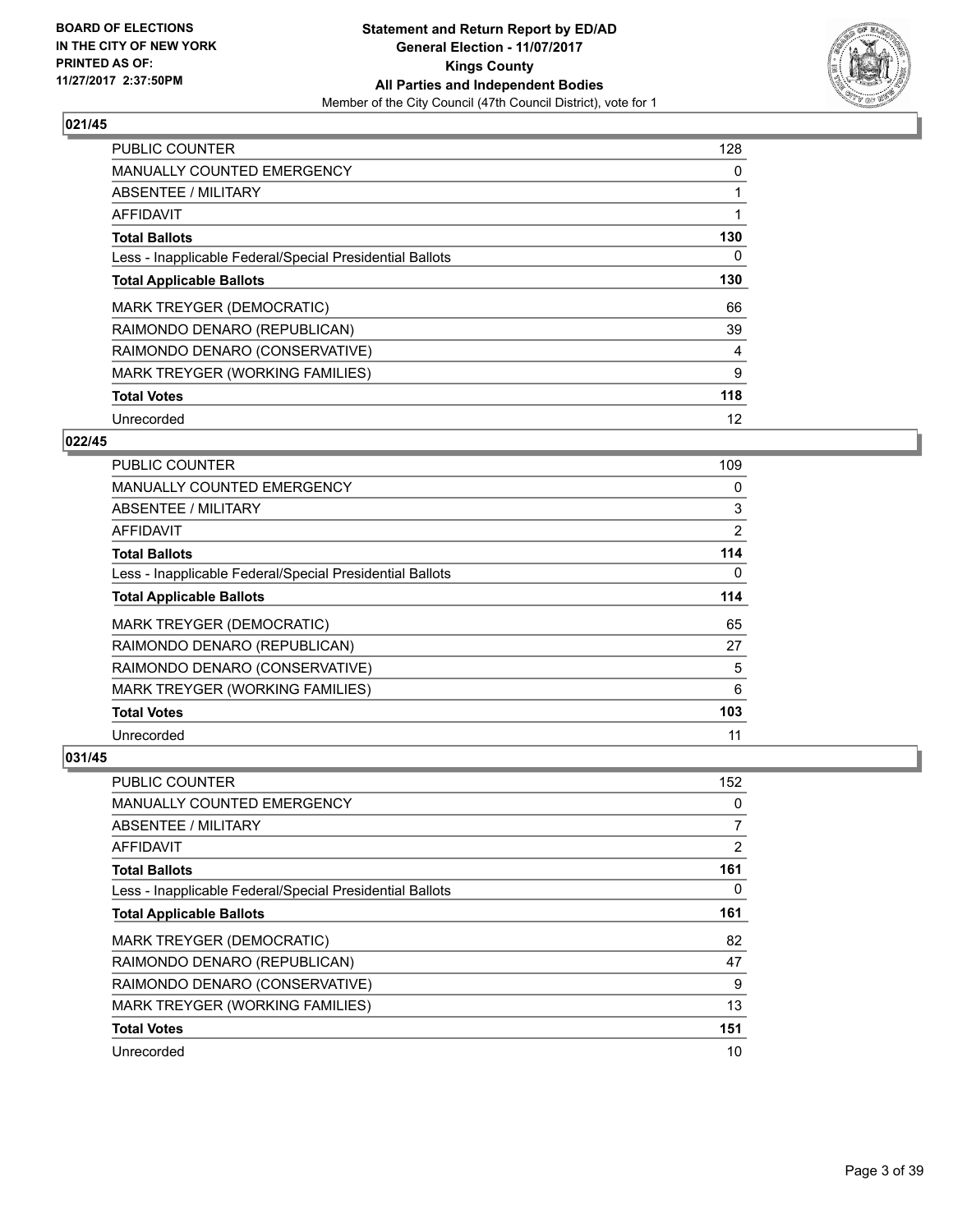

| <b>PUBLIC COUNTER</b>                                    | 128 |
|----------------------------------------------------------|-----|
| <b>MANUALLY COUNTED EMERGENCY</b>                        | 0   |
| ABSENTEE / MILITARY                                      |     |
| <b>AFFIDAVIT</b>                                         |     |
| <b>Total Ballots</b>                                     | 130 |
| Less - Inapplicable Federal/Special Presidential Ballots | 0   |
| <b>Total Applicable Ballots</b>                          | 130 |
| <b>MARK TREYGER (DEMOCRATIC)</b>                         | 66  |
| RAIMONDO DENARO (REPUBLICAN)                             | 39  |
| RAIMONDO DENARO (CONSERVATIVE)                           | 4   |
| MARK TREYGER (WORKING FAMILIES)                          | 9   |
| <b>Total Votes</b>                                       | 118 |
| Unrecorded                                               | 12  |

# **022/45**

| PUBLIC COUNTER                                           | 109 |
|----------------------------------------------------------|-----|
| <b>MANUALLY COUNTED EMERGENCY</b>                        | 0   |
| ABSENTEE / MILITARY                                      | 3   |
| AFFIDAVIT                                                | 2   |
| <b>Total Ballots</b>                                     | 114 |
| Less - Inapplicable Federal/Special Presidential Ballots | 0   |
| <b>Total Applicable Ballots</b>                          | 114 |
| MARK TREYGER (DEMOCRATIC)                                | 65  |
| RAIMONDO DENARO (REPUBLICAN)                             | 27  |
| RAIMONDO DENARO (CONSERVATIVE)                           | 5   |
| MARK TREYGER (WORKING FAMILIES)                          | 6   |
| <b>Total Votes</b>                                       | 103 |
| Unrecorded                                               | 11  |

| PUBLIC COUNTER                                           | 152 |
|----------------------------------------------------------|-----|
| MANUALLY COUNTED EMERGENCY                               | 0   |
| ABSENTEE / MILITARY                                      | 7   |
| AFFIDAVIT                                                | 2   |
| <b>Total Ballots</b>                                     | 161 |
| Less - Inapplicable Federal/Special Presidential Ballots | 0   |
| <b>Total Applicable Ballots</b>                          | 161 |
| <b>MARK TREYGER (DEMOCRATIC)</b>                         | 82  |
| RAIMONDO DENARO (REPUBLICAN)                             | 47  |
| RAIMONDO DENARO (CONSERVATIVE)                           | 9   |
| MARK TREYGER (WORKING FAMILIES)                          | 13  |
| <b>Total Votes</b>                                       | 151 |
| Unrecorded                                               | 10  |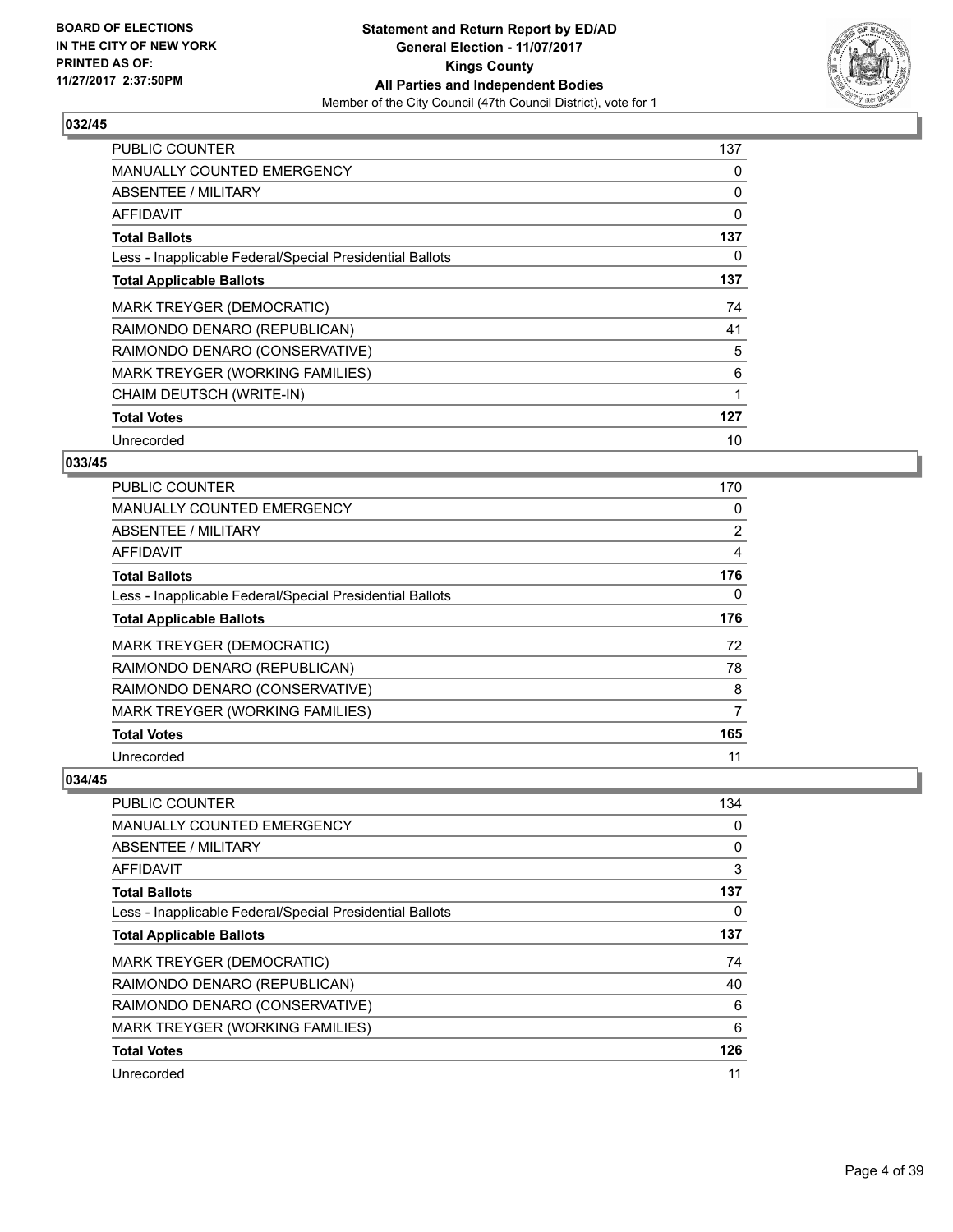

| <b>PUBLIC COUNTER</b>                                    | 137 |
|----------------------------------------------------------|-----|
| <b>MANUALLY COUNTED EMERGENCY</b>                        | 0   |
| <b>ABSENTEE / MILITARY</b>                               | 0   |
| AFFIDAVIT                                                | 0   |
| <b>Total Ballots</b>                                     | 137 |
| Less - Inapplicable Federal/Special Presidential Ballots | 0   |
| <b>Total Applicable Ballots</b>                          | 137 |
| MARK TREYGER (DEMOCRATIC)                                | 74  |
| RAIMONDO DENARO (REPUBLICAN)                             | 41  |
| RAIMONDO DENARO (CONSERVATIVE)                           | 5   |
| MARK TREYGER (WORKING FAMILIES)                          | 6   |
| CHAIM DEUTSCH (WRITE-IN)                                 |     |
| <b>Total Votes</b>                                       | 127 |
| Unrecorded                                               | 10  |

# **033/45**

| <b>PUBLIC COUNTER</b>                                    | 170 |
|----------------------------------------------------------|-----|
| MANUALLY COUNTED EMERGENCY                               | 0   |
| ABSENTEE / MILITARY                                      | 2   |
| AFFIDAVIT                                                | 4   |
| <b>Total Ballots</b>                                     | 176 |
| Less - Inapplicable Federal/Special Presidential Ballots | 0   |
| <b>Total Applicable Ballots</b>                          | 176 |
| MARK TREYGER (DEMOCRATIC)                                | 72  |
| RAIMONDO DENARO (REPUBLICAN)                             | 78  |
| RAIMONDO DENARO (CONSERVATIVE)                           | 8   |
| MARK TREYGER (WORKING FAMILIES)                          | 7   |
| <b>Total Votes</b>                                       | 165 |
| Unrecorded                                               | 11  |

| <b>PUBLIC COUNTER</b>                                    | 134 |
|----------------------------------------------------------|-----|
| MANUALLY COUNTED EMERGENCY                               | 0   |
| ABSENTEE / MILITARY                                      | 0   |
| AFFIDAVIT                                                | 3   |
| <b>Total Ballots</b>                                     | 137 |
| Less - Inapplicable Federal/Special Presidential Ballots | 0   |
| <b>Total Applicable Ballots</b>                          | 137 |
| <b>MARK TREYGER (DEMOCRATIC)</b>                         | 74  |
| RAIMONDO DENARO (REPUBLICAN)                             | 40  |
| RAIMONDO DENARO (CONSERVATIVE)                           | 6   |
| MARK TREYGER (WORKING FAMILIES)                          | 6   |
| <b>Total Votes</b>                                       | 126 |
| Unrecorded                                               | 11  |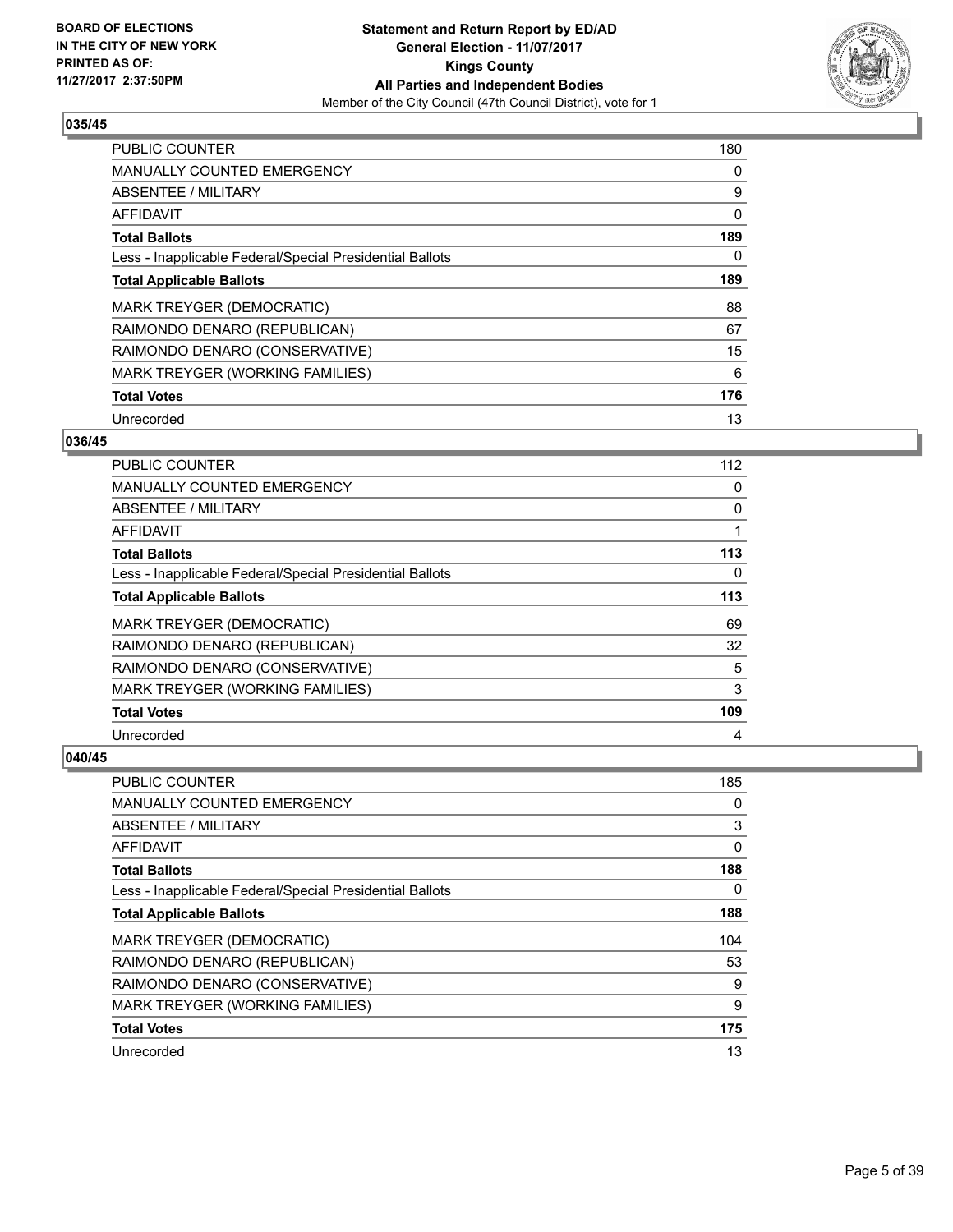

| <b>PUBLIC COUNTER</b>                                    | 180 |
|----------------------------------------------------------|-----|
| <b>MANUALLY COUNTED EMERGENCY</b>                        | 0   |
| ABSENTEE / MILITARY                                      | 9   |
| <b>AFFIDAVIT</b>                                         | 0   |
| <b>Total Ballots</b>                                     | 189 |
| Less - Inapplicable Federal/Special Presidential Ballots | 0   |
| <b>Total Applicable Ballots</b>                          | 189 |
| <b>MARK TREYGER (DEMOCRATIC)</b>                         | 88  |
| RAIMONDO DENARO (REPUBLICAN)                             | 67  |
| RAIMONDO DENARO (CONSERVATIVE)                           | 15  |
| MARK TREYGER (WORKING FAMILIES)                          | 6   |
| <b>Total Votes</b>                                       | 176 |
| Unrecorded                                               | 13  |

## **036/45**

| PUBLIC COUNTER                                           | 112 |
|----------------------------------------------------------|-----|
| <b>MANUALLY COUNTED EMERGENCY</b>                        | 0   |
| ABSENTEE / MILITARY                                      | 0   |
| AFFIDAVIT                                                |     |
| <b>Total Ballots</b>                                     | 113 |
| Less - Inapplicable Federal/Special Presidential Ballots | 0   |
| <b>Total Applicable Ballots</b>                          | 113 |
| MARK TREYGER (DEMOCRATIC)                                | 69  |
| RAIMONDO DENARO (REPUBLICAN)                             | 32  |
| RAIMONDO DENARO (CONSERVATIVE)                           | 5   |
| MARK TREYGER (WORKING FAMILIES)                          | 3   |
| <b>Total Votes</b>                                       | 109 |
| Unrecorded                                               | 4   |

| <b>PUBLIC COUNTER</b>                                    | 185 |
|----------------------------------------------------------|-----|
| <b>MANUALLY COUNTED EMERGENCY</b>                        | 0   |
| ABSENTEE / MILITARY                                      | 3   |
| AFFIDAVIT                                                | 0   |
| <b>Total Ballots</b>                                     | 188 |
| Less - Inapplicable Federal/Special Presidential Ballots | 0   |
| <b>Total Applicable Ballots</b>                          | 188 |
| <b>MARK TREYGER (DEMOCRATIC)</b>                         | 104 |
| RAIMONDO DENARO (REPUBLICAN)                             | 53  |
| RAIMONDO DENARO (CONSERVATIVE)                           | 9   |
| MARK TREYGER (WORKING FAMILIES)                          | 9   |
| <b>Total Votes</b>                                       | 175 |
| Unrecorded                                               | 13  |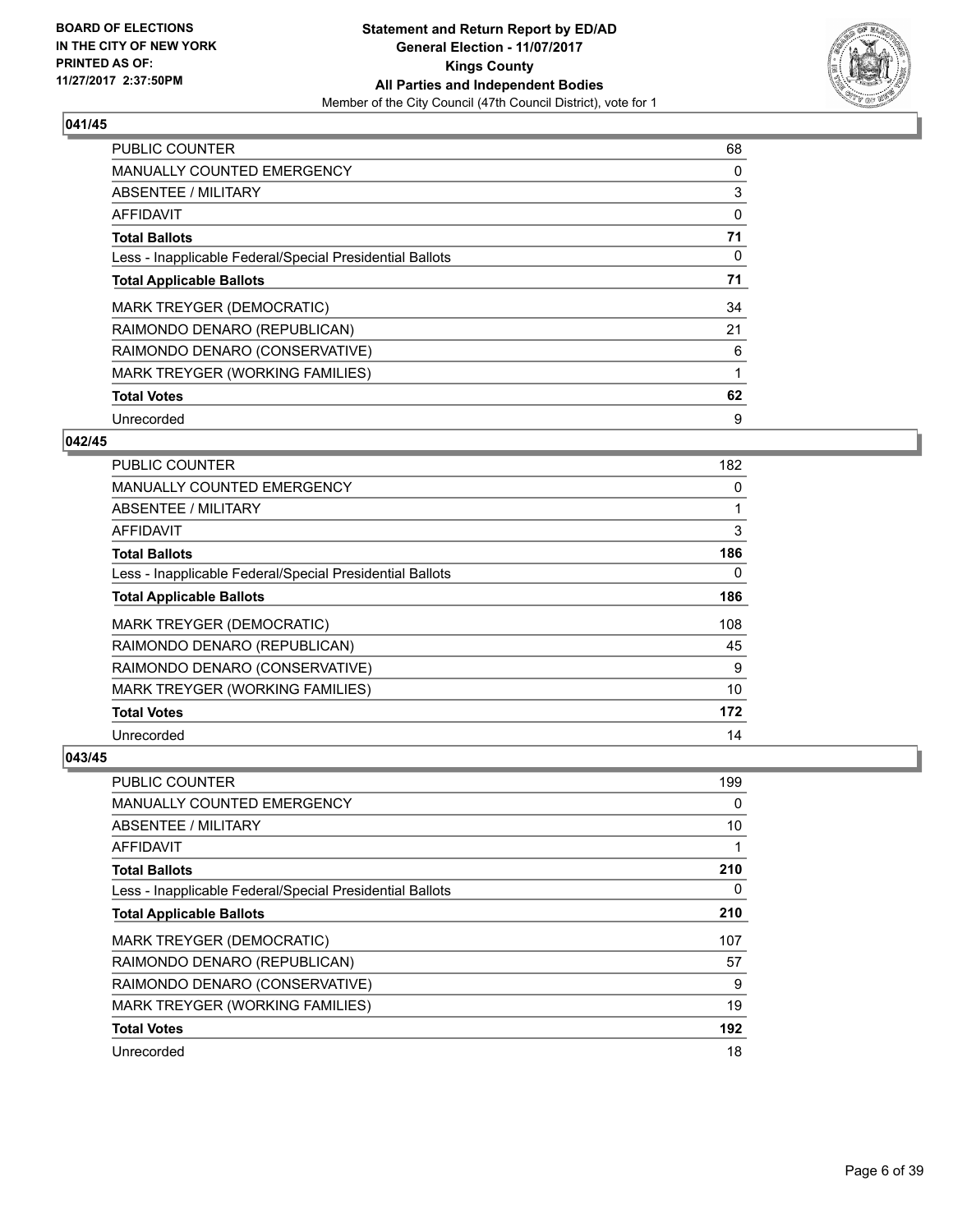

| <b>PUBLIC COUNTER</b>                                    | 68 |
|----------------------------------------------------------|----|
| <b>MANUALLY COUNTED EMERGENCY</b>                        | 0  |
| ABSENTEE / MILITARY                                      | 3  |
| <b>AFFIDAVIT</b>                                         | 0  |
| <b>Total Ballots</b>                                     | 71 |
| Less - Inapplicable Federal/Special Presidential Ballots | 0  |
| <b>Total Applicable Ballots</b>                          | 71 |
| <b>MARK TREYGER (DEMOCRATIC)</b>                         | 34 |
| RAIMONDO DENARO (REPUBLICAN)                             | 21 |
| RAIMONDO DENARO (CONSERVATIVE)                           | 6  |
| MARK TREYGER (WORKING FAMILIES)                          | 1  |
| <b>Total Votes</b>                                       | 62 |
| Unrecorded                                               | 9  |

# **042/45**

| PUBLIC COUNTER                                           | 182 |
|----------------------------------------------------------|-----|
| <b>MANUALLY COUNTED EMERGENCY</b>                        | 0   |
| ABSENTEE / MILITARY                                      |     |
| AFFIDAVIT                                                | 3   |
| <b>Total Ballots</b>                                     | 186 |
| Less - Inapplicable Federal/Special Presidential Ballots | 0   |
| <b>Total Applicable Ballots</b>                          | 186 |
| <b>MARK TREYGER (DEMOCRATIC)</b>                         | 108 |
| RAIMONDO DENARO (REPUBLICAN)                             | 45  |
| RAIMONDO DENARO (CONSERVATIVE)                           | 9   |
| MARK TREYGER (WORKING FAMILIES)                          | 10  |
| <b>Total Votes</b>                                       | 172 |
| Unrecorded                                               | 14  |

| PUBLIC COUNTER                                           | 199 |
|----------------------------------------------------------|-----|
| MANUALLY COUNTED EMERGENCY                               | 0   |
| ABSENTEE / MILITARY                                      | 10  |
| AFFIDAVIT                                                |     |
| <b>Total Ballots</b>                                     | 210 |
| Less - Inapplicable Federal/Special Presidential Ballots | 0   |
| <b>Total Applicable Ballots</b>                          | 210 |
| MARK TREYGER (DEMOCRATIC)                                | 107 |
| RAIMONDO DENARO (REPUBLICAN)                             | 57  |
| RAIMONDO DENARO (CONSERVATIVE)                           | 9   |
| MARK TREYGER (WORKING FAMILIES)                          | 19  |
| <b>Total Votes</b>                                       | 192 |
| Unrecorded                                               | 18  |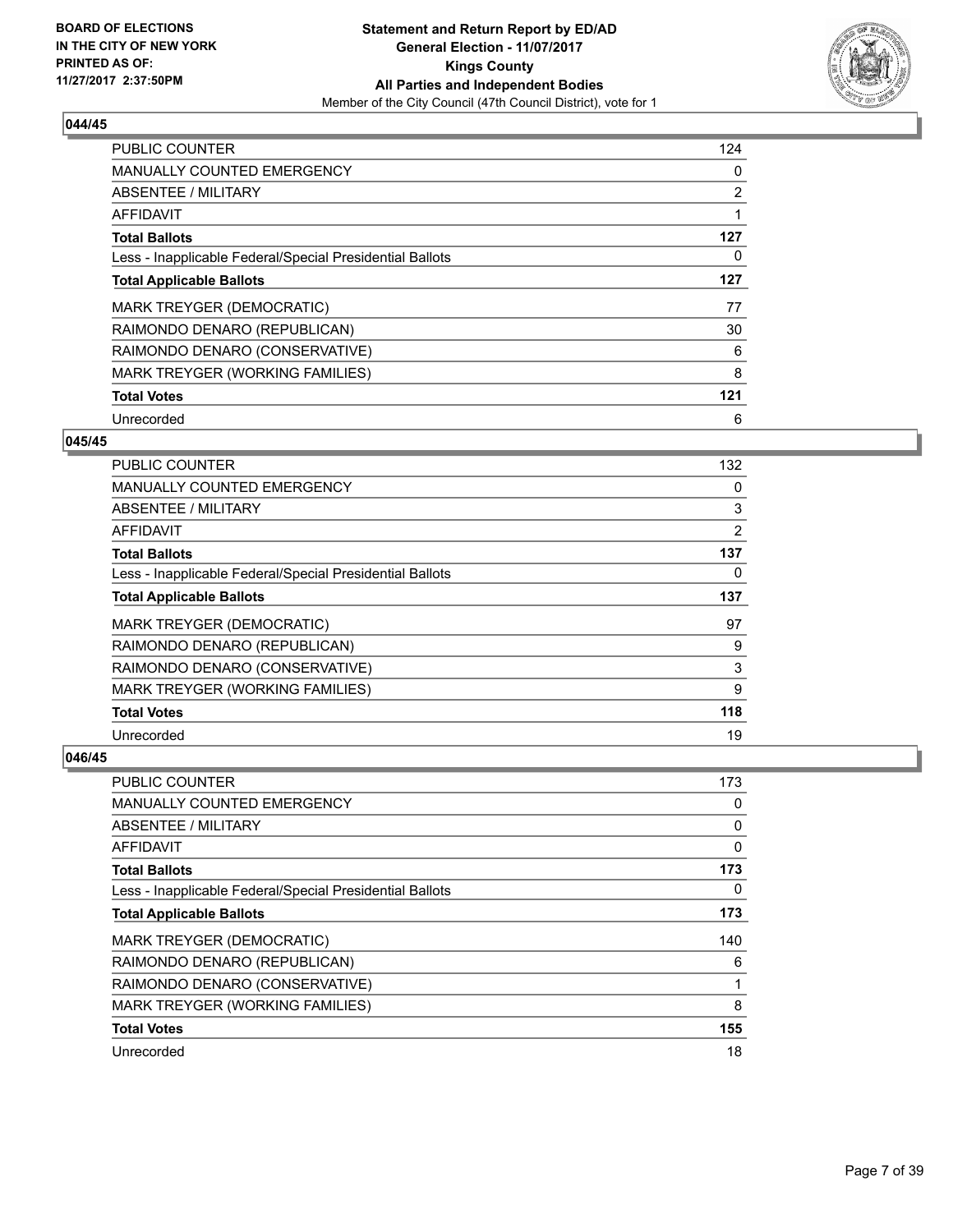

| <b>PUBLIC COUNTER</b>                                    | 124            |
|----------------------------------------------------------|----------------|
| <b>MANUALLY COUNTED EMERGENCY</b>                        | 0              |
| ABSENTEE / MILITARY                                      | $\overline{2}$ |
| <b>AFFIDAVIT</b>                                         |                |
| <b>Total Ballots</b>                                     | 127            |
| Less - Inapplicable Federal/Special Presidential Ballots | 0              |
| <b>Total Applicable Ballots</b>                          | 127            |
| <b>MARK TREYGER (DEMOCRATIC)</b>                         | 77             |
| RAIMONDO DENARO (REPUBLICAN)                             | 30             |
| RAIMONDO DENARO (CONSERVATIVE)                           | 6              |
| MARK TREYGER (WORKING FAMILIES)                          | 8              |
| <b>Total Votes</b>                                       | 121            |
| Unrecorded                                               | 6              |

# **045/45**

| <b>PUBLIC COUNTER</b>                                    | 132 |
|----------------------------------------------------------|-----|
| <b>MANUALLY COUNTED EMERGENCY</b>                        | 0   |
| ABSENTEE / MILITARY                                      | 3   |
| AFFIDAVIT                                                | 2   |
| <b>Total Ballots</b>                                     | 137 |
| Less - Inapplicable Federal/Special Presidential Ballots | 0   |
| <b>Total Applicable Ballots</b>                          | 137 |
| MARK TREYGER (DEMOCRATIC)                                | 97  |
| RAIMONDO DENARO (REPUBLICAN)                             | 9   |
| RAIMONDO DENARO (CONSERVATIVE)                           | 3   |
| MARK TREYGER (WORKING FAMILIES)                          | 9   |
| <b>Total Votes</b>                                       | 118 |
| Unrecorded                                               | 19  |

| PUBLIC COUNTER                                           | 173 |
|----------------------------------------------------------|-----|
| MANUALLY COUNTED EMERGENCY                               | 0   |
| ABSENTEE / MILITARY                                      | 0   |
| AFFIDAVIT                                                | 0   |
| <b>Total Ballots</b>                                     | 173 |
| Less - Inapplicable Federal/Special Presidential Ballots | 0   |
| <b>Total Applicable Ballots</b>                          | 173 |
| MARK TREYGER (DEMOCRATIC)                                | 140 |
| RAIMONDO DENARO (REPUBLICAN)                             | 6   |
| RAIMONDO DENARO (CONSERVATIVE)                           | 1   |
| MARK TREYGER (WORKING FAMILIES)                          | 8   |
| <b>Total Votes</b>                                       | 155 |
| Unrecorded                                               | 18  |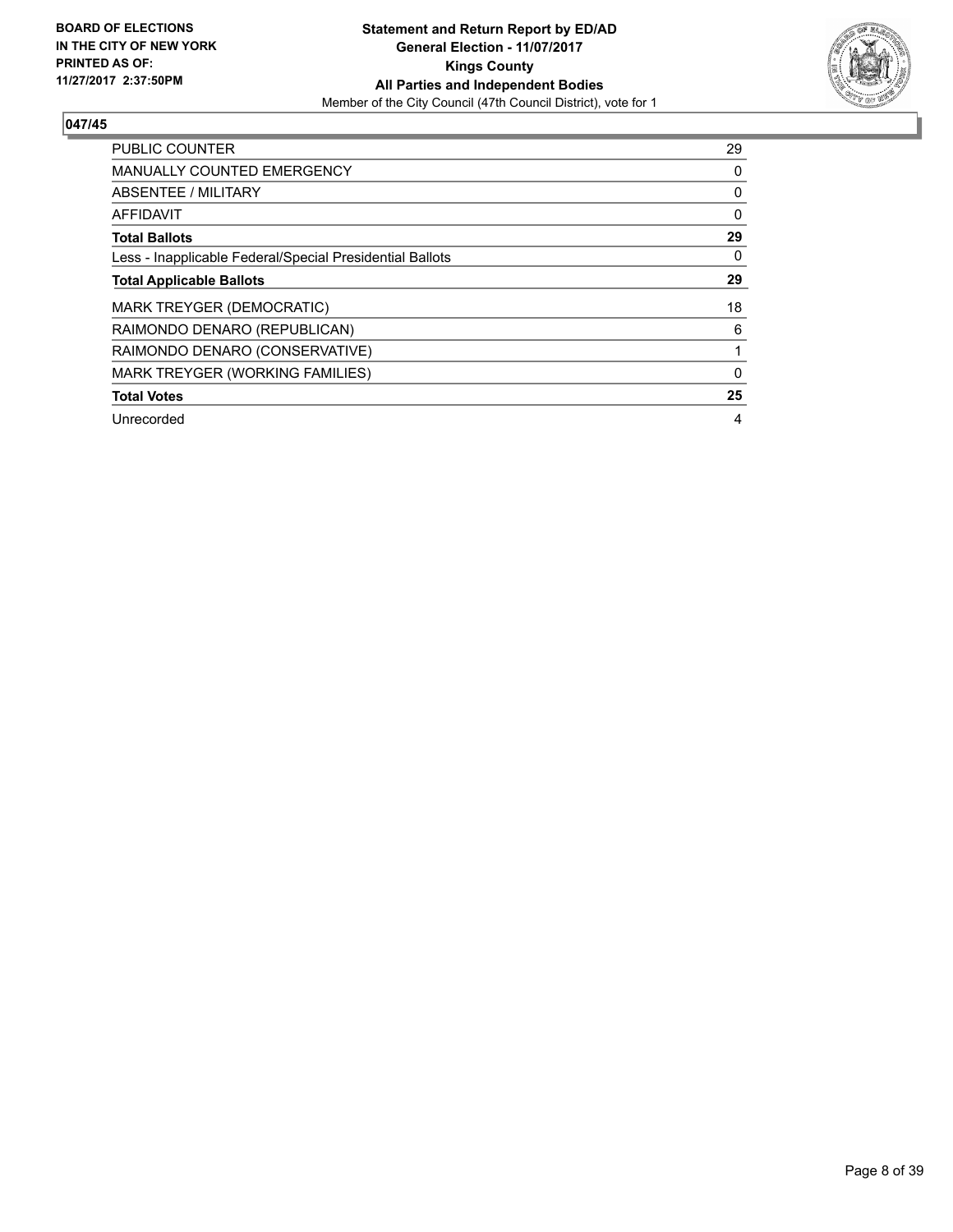

| <b>PUBLIC COUNTER</b>                                    | 29 |
|----------------------------------------------------------|----|
| <b>MANUALLY COUNTED EMERGENCY</b>                        | 0  |
| ABSENTEE / MILITARY                                      | 0  |
| <b>AFFIDAVIT</b>                                         | 0  |
| <b>Total Ballots</b>                                     | 29 |
| Less - Inapplicable Federal/Special Presidential Ballots | 0  |
| <b>Total Applicable Ballots</b>                          | 29 |
| <b>MARK TREYGER (DEMOCRATIC)</b>                         | 18 |
| RAIMONDO DENARO (REPUBLICAN)                             | 6  |
| RAIMONDO DENARO (CONSERVATIVE)                           |    |
| MARK TREYGER (WORKING FAMILIES)                          | 0  |
| <b>Total Votes</b>                                       | 25 |
| Unrecorded                                               | 4  |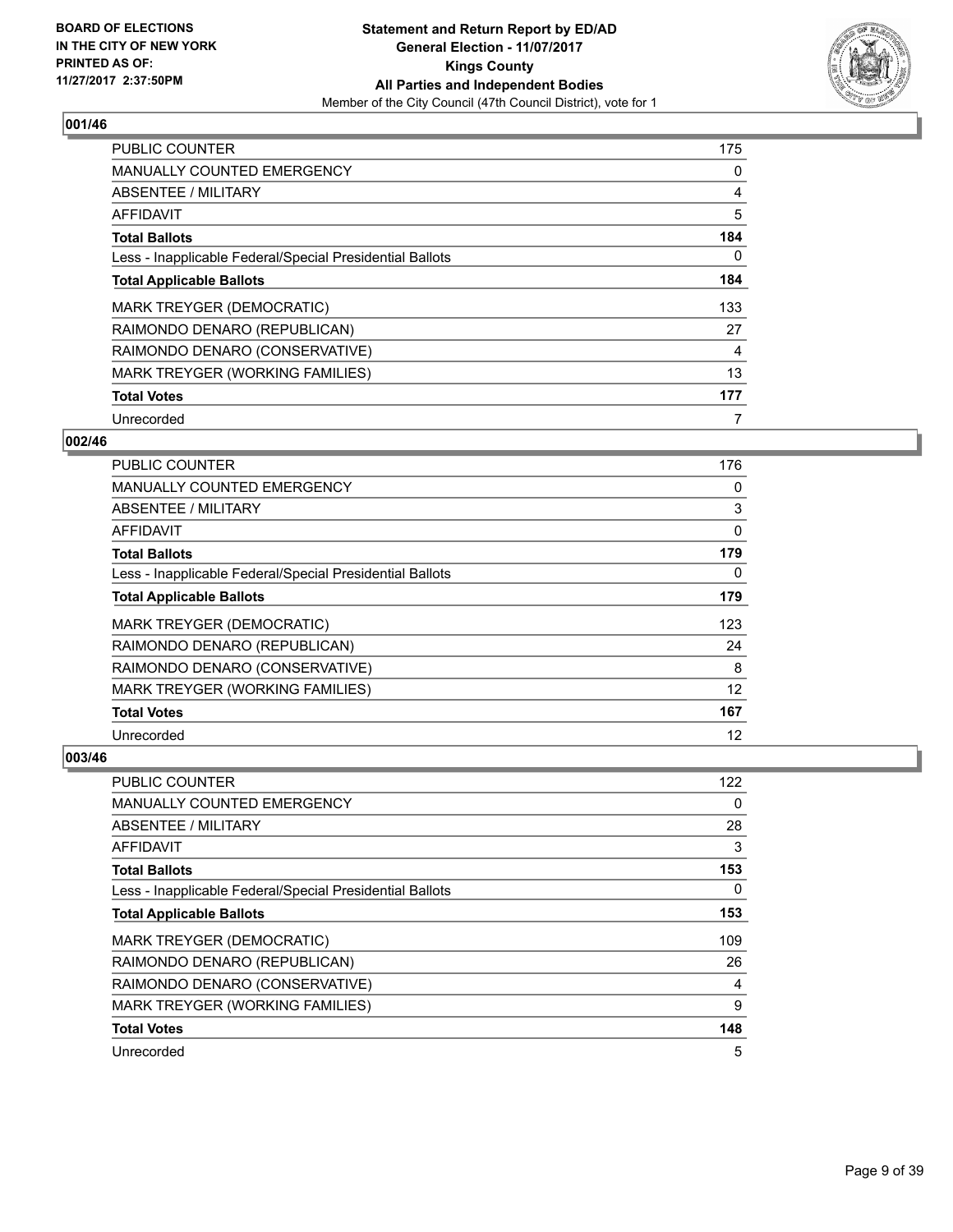

| <b>PUBLIC COUNTER</b>                                    | 175 |
|----------------------------------------------------------|-----|
| <b>MANUALLY COUNTED EMERGENCY</b>                        | 0   |
| ABSENTEE / MILITARY                                      | 4   |
| <b>AFFIDAVIT</b>                                         | 5   |
| <b>Total Ballots</b>                                     | 184 |
| Less - Inapplicable Federal/Special Presidential Ballots | 0   |
| <b>Total Applicable Ballots</b>                          | 184 |
| <b>MARK TREYGER (DEMOCRATIC)</b>                         | 133 |
| RAIMONDO DENARO (REPUBLICAN)                             | 27  |
| RAIMONDO DENARO (CONSERVATIVE)                           | 4   |
| <b>MARK TREYGER (WORKING FAMILIES)</b>                   | 13  |
| <b>Total Votes</b>                                       | 177 |
| Unrecorded                                               | 7   |

# **002/46**

| PUBLIC COUNTER                                           | 176 |
|----------------------------------------------------------|-----|
| <b>MANUALLY COUNTED EMERGENCY</b>                        | 0   |
| ABSENTEE / MILITARY                                      | 3   |
| AFFIDAVIT                                                | 0   |
| <b>Total Ballots</b>                                     | 179 |
| Less - Inapplicable Federal/Special Presidential Ballots | 0   |
| <b>Total Applicable Ballots</b>                          | 179 |
| MARK TREYGER (DEMOCRATIC)                                | 123 |
| RAIMONDO DENARO (REPUBLICAN)                             | 24  |
| RAIMONDO DENARO (CONSERVATIVE)                           | 8   |
| MARK TREYGER (WORKING FAMILIES)                          | 12  |
| <b>Total Votes</b>                                       | 167 |
| Unrecorded                                               | 12  |

| PUBLIC COUNTER                                           | 122 |
|----------------------------------------------------------|-----|
| MANUALLY COUNTED EMERGENCY                               | 0   |
| ABSENTEE / MILITARY                                      | 28  |
| AFFIDAVIT                                                | 3   |
| <b>Total Ballots</b>                                     | 153 |
| Less - Inapplicable Federal/Special Presidential Ballots | 0   |
| <b>Total Applicable Ballots</b>                          | 153 |
| MARK TREYGER (DEMOCRATIC)                                | 109 |
| RAIMONDO DENARO (REPUBLICAN)                             | 26  |
| RAIMONDO DENARO (CONSERVATIVE)                           | 4   |
| MARK TREYGER (WORKING FAMILIES)                          | 9   |
| <b>Total Votes</b>                                       | 148 |
| Unrecorded                                               | 5   |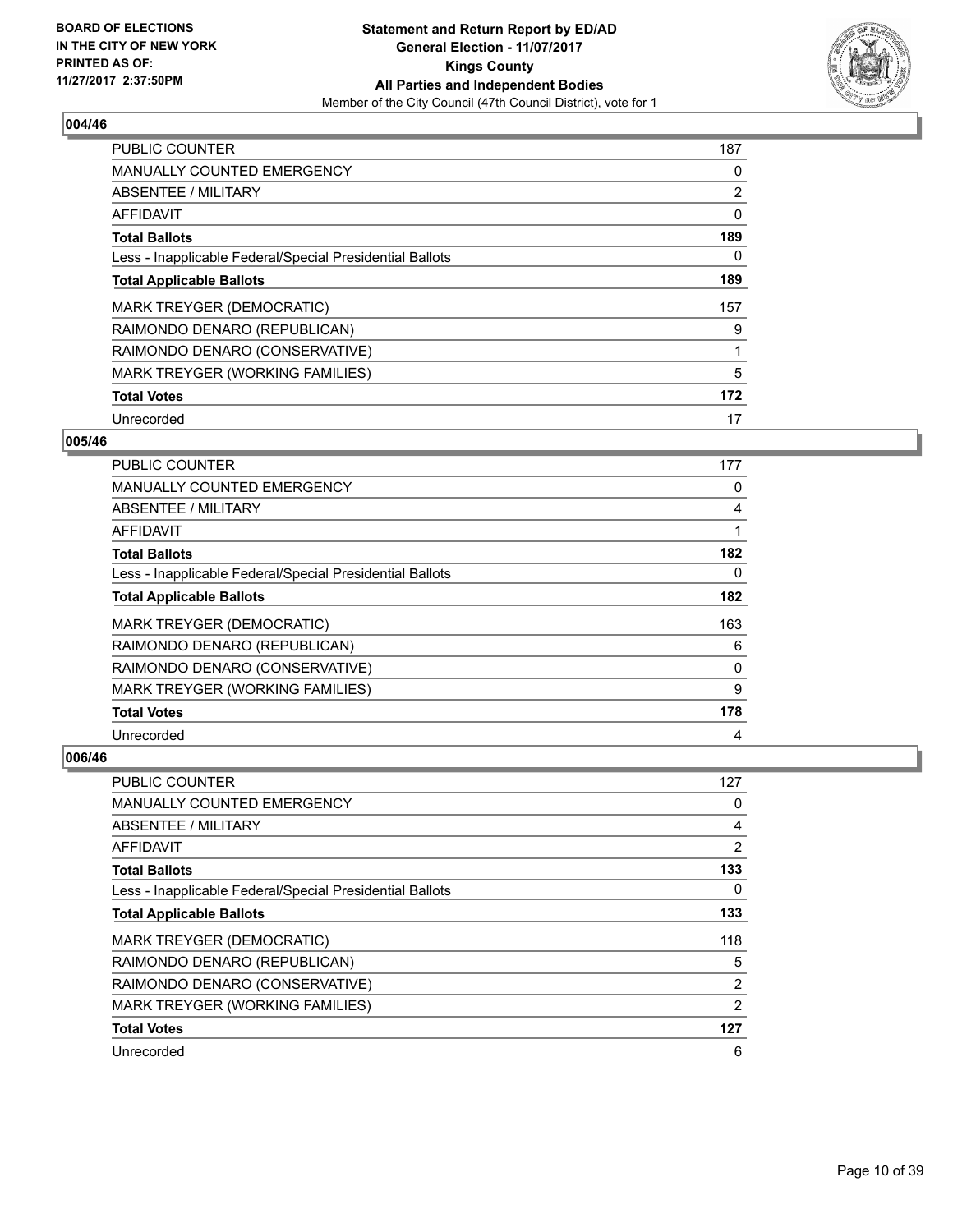

| <b>PUBLIC COUNTER</b>                                    | 187 |
|----------------------------------------------------------|-----|
| <b>MANUALLY COUNTED EMERGENCY</b>                        | 0   |
| ABSENTEE / MILITARY                                      | 2   |
| <b>AFFIDAVIT</b>                                         | 0   |
| <b>Total Ballots</b>                                     | 189 |
| Less - Inapplicable Federal/Special Presidential Ballots | 0   |
| <b>Total Applicable Ballots</b>                          | 189 |
| MARK TREYGER (DEMOCRATIC)                                | 157 |
| RAIMONDO DENARO (REPUBLICAN)                             | 9   |
| RAIMONDO DENARO (CONSERVATIVE)                           |     |
| MARK TREYGER (WORKING FAMILIES)                          | 5   |
| <b>Total Votes</b>                                       | 172 |
| Unrecorded                                               | 17  |

# **005/46**

| <b>PUBLIC COUNTER</b>                                    | 177 |
|----------------------------------------------------------|-----|
| <b>MANUALLY COUNTED EMERGENCY</b>                        | 0   |
| ABSENTEE / MILITARY                                      | 4   |
| AFFIDAVIT                                                |     |
| <b>Total Ballots</b>                                     | 182 |
| Less - Inapplicable Federal/Special Presidential Ballots | 0   |
| <b>Total Applicable Ballots</b>                          | 182 |
| MARK TREYGER (DEMOCRATIC)                                | 163 |
| RAIMONDO DENARO (REPUBLICAN)                             | 6   |
| RAIMONDO DENARO (CONSERVATIVE)                           | 0   |
| MARK TREYGER (WORKING FAMILIES)                          | 9   |
| <b>Total Votes</b>                                       | 178 |
| Unrecorded                                               | 4   |

| <b>PUBLIC COUNTER</b>                                    | 127            |
|----------------------------------------------------------|----------------|
| MANUALLY COUNTED EMERGENCY                               | 0              |
| ABSENTEE / MILITARY                                      | 4              |
| AFFIDAVIT                                                | $\overline{2}$ |
| <b>Total Ballots</b>                                     | 133            |
| Less - Inapplicable Federal/Special Presidential Ballots | 0              |
| <b>Total Applicable Ballots</b>                          | 133            |
| MARK TREYGER (DEMOCRATIC)                                | 118            |
| RAIMONDO DENARO (REPUBLICAN)                             | 5              |
| RAIMONDO DENARO (CONSERVATIVE)                           | $\overline{2}$ |
| MARK TREYGER (WORKING FAMILIES)                          | 2              |
| <b>Total Votes</b>                                       | 127            |
| Unrecorded                                               | 6              |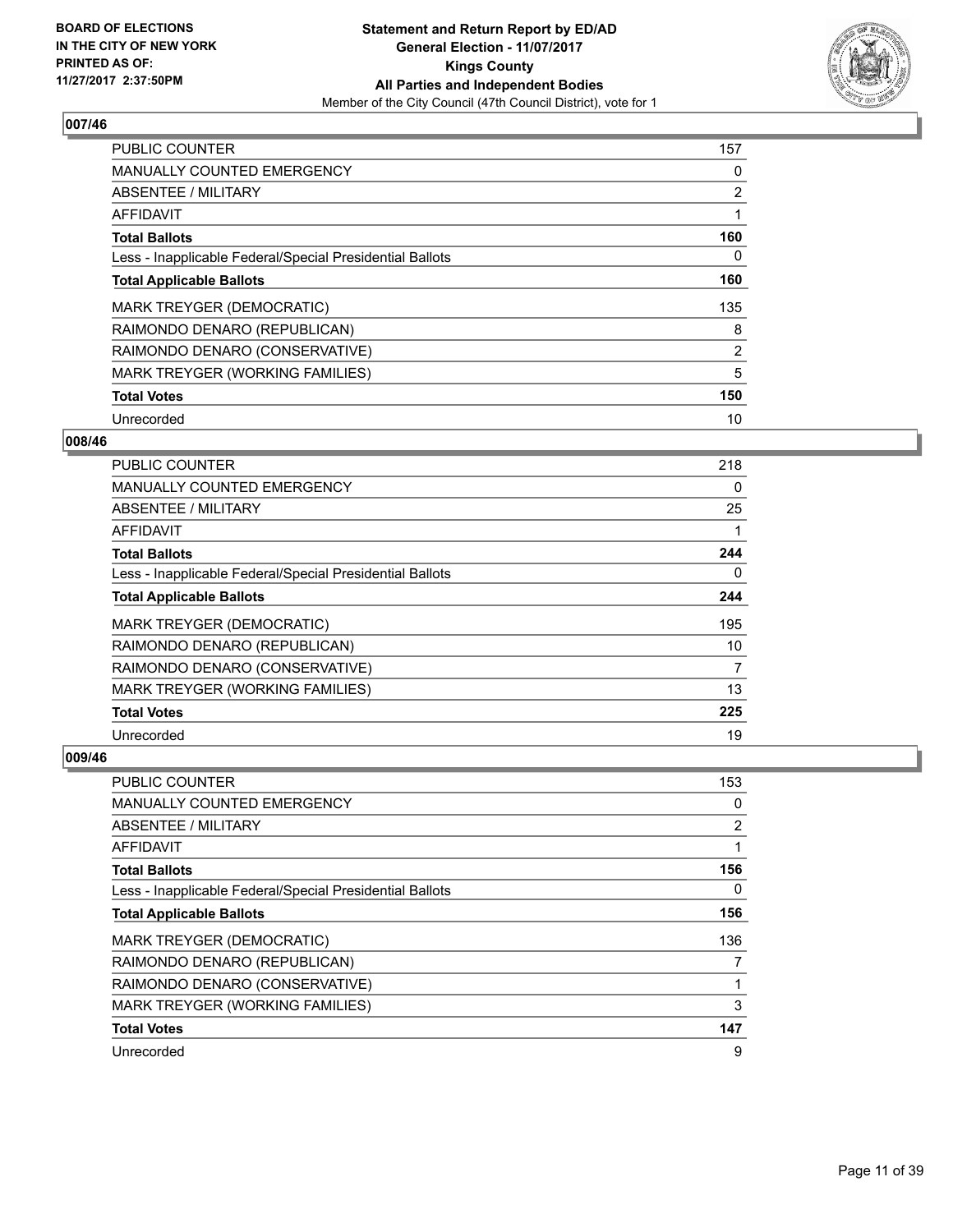

| PUBLIC COUNTER                                           | 157 |
|----------------------------------------------------------|-----|
| <b>MANUALLY COUNTED EMERGENCY</b>                        | 0   |
| ABSENTEE / MILITARY                                      | 2   |
| <b>AFFIDAVIT</b>                                         | 1   |
| <b>Total Ballots</b>                                     | 160 |
| Less - Inapplicable Federal/Special Presidential Ballots | 0   |
| <b>Total Applicable Ballots</b>                          | 160 |
| <b>MARK TREYGER (DEMOCRATIC)</b>                         | 135 |
| RAIMONDO DENARO (REPUBLICAN)                             | 8   |
| RAIMONDO DENARO (CONSERVATIVE)                           | 2   |
| MARK TREYGER (WORKING FAMILIES)                          | 5   |
| <b>Total Votes</b>                                       | 150 |
| Unrecorded                                               | 10  |

# **008/46**

| <b>PUBLIC COUNTER</b>                                    | 218 |
|----------------------------------------------------------|-----|
| <b>MANUALLY COUNTED EMERGENCY</b>                        | 0   |
| ABSENTEE / MILITARY                                      | 25  |
| AFFIDAVIT                                                |     |
| <b>Total Ballots</b>                                     | 244 |
| Less - Inapplicable Federal/Special Presidential Ballots | 0   |
| <b>Total Applicable Ballots</b>                          | 244 |
| MARK TREYGER (DEMOCRATIC)                                | 195 |
| RAIMONDO DENARO (REPUBLICAN)                             | 10  |
| RAIMONDO DENARO (CONSERVATIVE)                           | 7   |
| MARK TREYGER (WORKING FAMILIES)                          | 13  |
| <b>Total Votes</b>                                       | 225 |
| Unrecorded                                               | 19  |

| PUBLIC COUNTER                                           | 153            |
|----------------------------------------------------------|----------------|
| MANUALLY COUNTED EMERGENCY                               | 0              |
| ABSENTEE / MILITARY                                      | $\overline{2}$ |
| AFFIDAVIT                                                |                |
| <b>Total Ballots</b>                                     | 156            |
| Less - Inapplicable Federal/Special Presidential Ballots | 0              |
| <b>Total Applicable Ballots</b>                          | 156            |
| MARK TREYGER (DEMOCRATIC)                                | 136            |
| RAIMONDO DENARO (REPUBLICAN)                             |                |
| RAIMONDO DENARO (CONSERVATIVE)                           |                |
| MARK TREYGER (WORKING FAMILIES)                          | 3              |
| <b>Total Votes</b>                                       | 147            |
| Unrecorded                                               | 9              |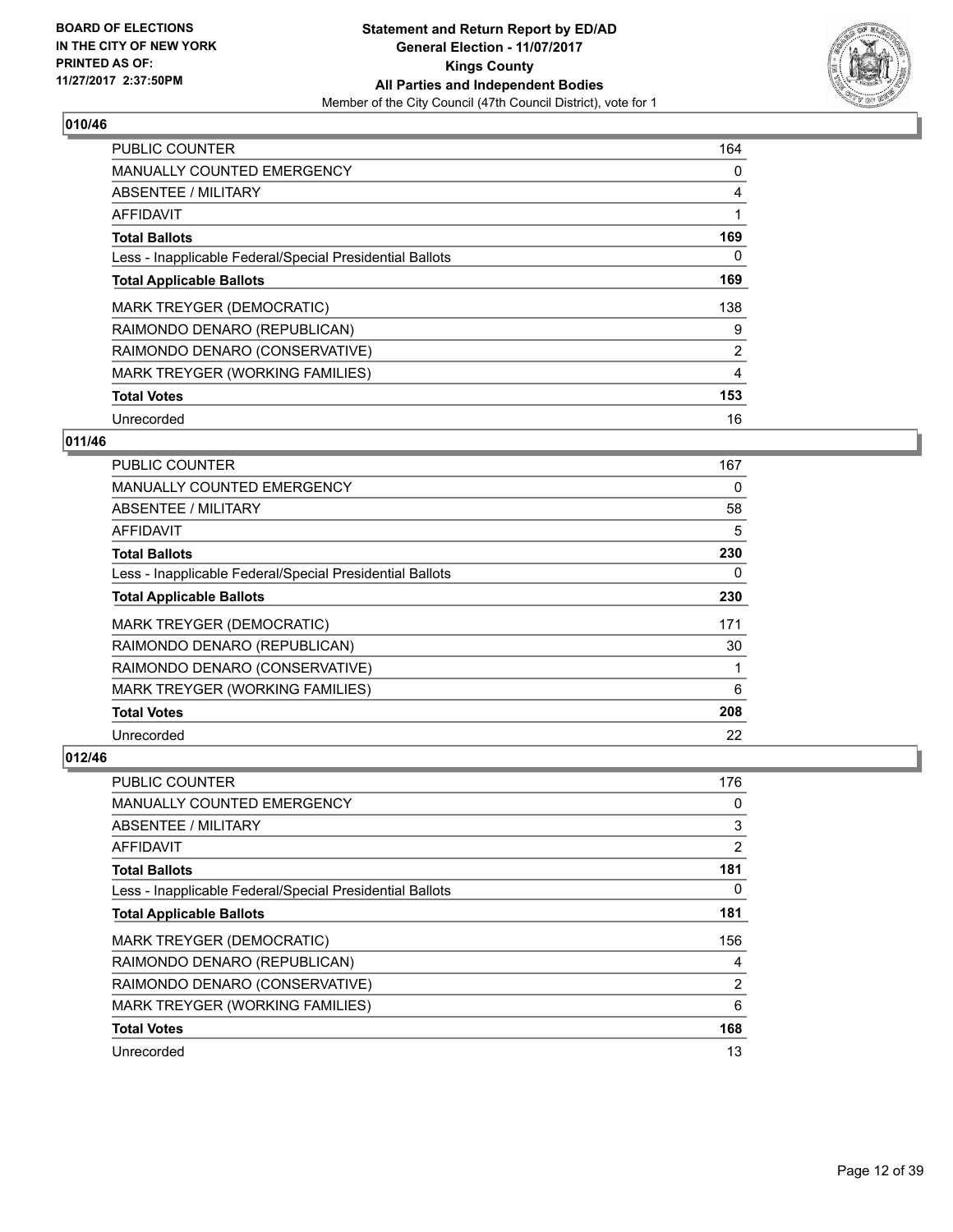

| <b>PUBLIC COUNTER</b>                                    | 164 |
|----------------------------------------------------------|-----|
| <b>MANUALLY COUNTED EMERGENCY</b>                        | 0   |
| ABSENTEE / MILITARY                                      | 4   |
| <b>AFFIDAVIT</b>                                         | 1   |
| <b>Total Ballots</b>                                     | 169 |
| Less - Inapplicable Federal/Special Presidential Ballots | 0   |
| <b>Total Applicable Ballots</b>                          | 169 |
| <b>MARK TREYGER (DEMOCRATIC)</b>                         | 138 |
| RAIMONDO DENARO (REPUBLICAN)                             | 9   |
| RAIMONDO DENARO (CONSERVATIVE)                           | 2   |
| MARK TREYGER (WORKING FAMILIES)                          | 4   |
| <b>Total Votes</b>                                       | 153 |
| Unrecorded                                               | 16  |

# **011/46**

| PUBLIC COUNTER                                           | 167 |
|----------------------------------------------------------|-----|
| <b>MANUALLY COUNTED EMERGENCY</b>                        | 0   |
| ABSENTEE / MILITARY                                      | 58  |
| AFFIDAVIT                                                | 5   |
| <b>Total Ballots</b>                                     | 230 |
| Less - Inapplicable Federal/Special Presidential Ballots | 0   |
| <b>Total Applicable Ballots</b>                          | 230 |
| <b>MARK TREYGER (DEMOCRATIC)</b>                         | 171 |
| RAIMONDO DENARO (REPUBLICAN)                             | 30  |
| RAIMONDO DENARO (CONSERVATIVE)                           |     |
| MARK TREYGER (WORKING FAMILIES)                          | 6   |
| <b>Total Votes</b>                                       | 208 |
| Unrecorded                                               | 22  |

| <b>PUBLIC COUNTER</b>                                    | 176            |
|----------------------------------------------------------|----------------|
| <b>MANUALLY COUNTED EMERGENCY</b>                        | 0              |
| ABSENTEE / MILITARY                                      | 3              |
| AFFIDAVIT                                                | $\overline{2}$ |
| <b>Total Ballots</b>                                     | 181            |
| Less - Inapplicable Federal/Special Presidential Ballots | 0              |
| <b>Total Applicable Ballots</b>                          | 181            |
| <b>MARK TREYGER (DEMOCRATIC)</b>                         | 156            |
| RAIMONDO DENARO (REPUBLICAN)                             | 4              |
| RAIMONDO DENARO (CONSERVATIVE)                           | $\overline{2}$ |
| MARK TREYGER (WORKING FAMILIES)                          | 6              |
| <b>Total Votes</b>                                       | 168            |
| Unrecorded                                               | 13             |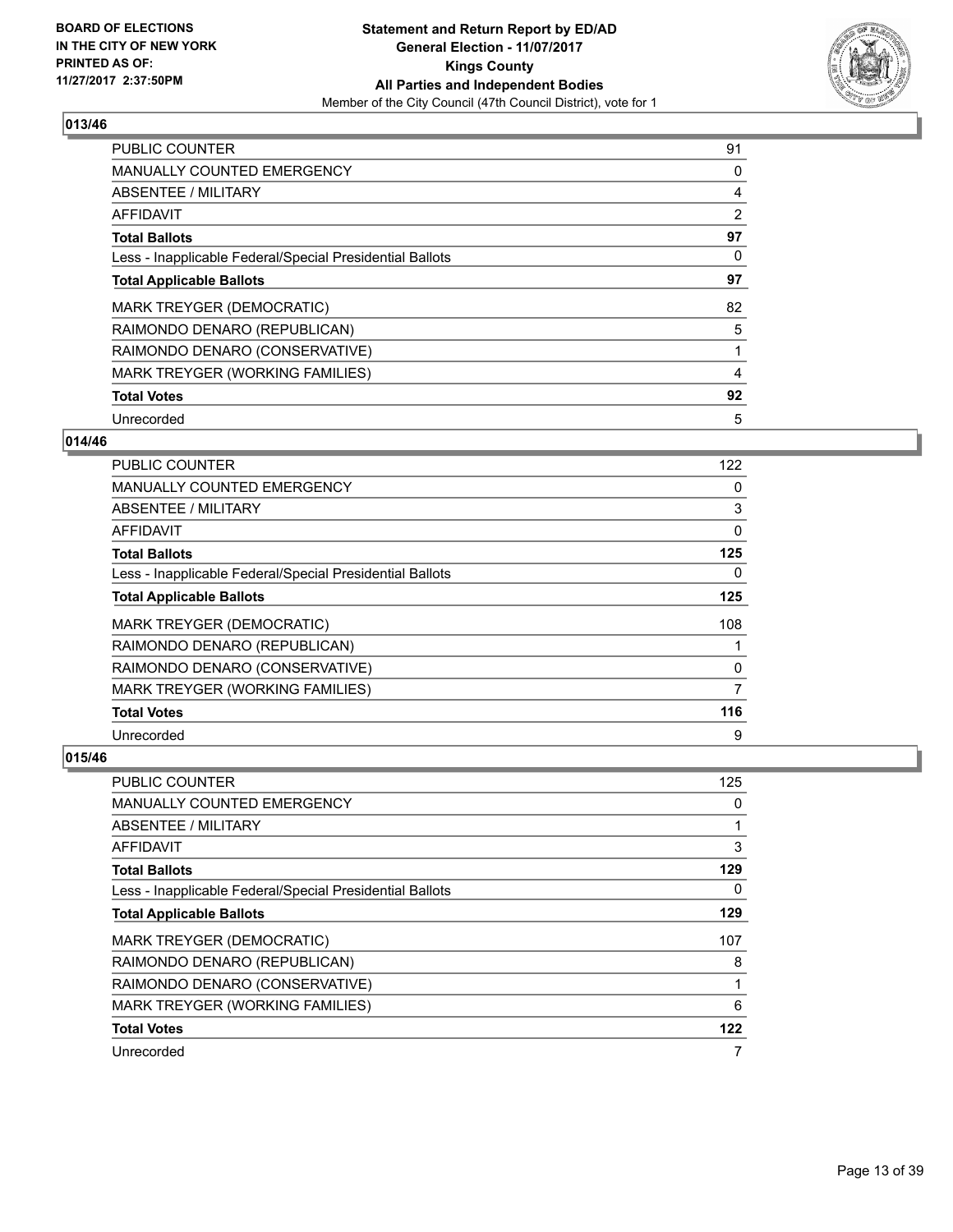

| <b>PUBLIC COUNTER</b>                                    | 91 |
|----------------------------------------------------------|----|
| <b>MANUALLY COUNTED EMERGENCY</b>                        | 0  |
| ABSENTEE / MILITARY                                      | 4  |
| AFFIDAVIT                                                | 2  |
| <b>Total Ballots</b>                                     | 97 |
| Less - Inapplicable Federal/Special Presidential Ballots | 0  |
| <b>Total Applicable Ballots</b>                          | 97 |
| <b>MARK TREYGER (DEMOCRATIC)</b>                         | 82 |
| RAIMONDO DENARO (REPUBLICAN)                             | 5  |
| RAIMONDO DENARO (CONSERVATIVE)                           |    |
| MARK TREYGER (WORKING FAMILIES)                          | 4  |
| <b>Total Votes</b>                                       | 92 |
| Unrecorded                                               | 5  |

# **014/46**

| <b>PUBLIC COUNTER</b>                                    | 122 |
|----------------------------------------------------------|-----|
| MANUALLY COUNTED EMERGENCY                               | 0   |
| ABSENTEE / MILITARY                                      | 3   |
| AFFIDAVIT                                                | 0   |
| <b>Total Ballots</b>                                     | 125 |
| Less - Inapplicable Federal/Special Presidential Ballots | 0   |
| <b>Total Applicable Ballots</b>                          | 125 |
| MARK TREYGER (DEMOCRATIC)                                | 108 |
| RAIMONDO DENARO (REPUBLICAN)                             |     |
| RAIMONDO DENARO (CONSERVATIVE)                           | 0   |
| MARK TREYGER (WORKING FAMILIES)                          | 7   |
| <b>Total Votes</b>                                       | 116 |
| Unrecorded                                               | 9   |

| PUBLIC COUNTER                                           | 125 |
|----------------------------------------------------------|-----|
| MANUALLY COUNTED EMERGENCY                               | 0   |
| ABSENTEE / MILITARY                                      |     |
| AFFIDAVIT                                                | 3   |
| <b>Total Ballots</b>                                     | 129 |
| Less - Inapplicable Federal/Special Presidential Ballots | 0   |
| <b>Total Applicable Ballots</b>                          | 129 |
| MARK TREYGER (DEMOCRATIC)                                | 107 |
| RAIMONDO DENARO (REPUBLICAN)                             | 8   |
| RAIMONDO DENARO (CONSERVATIVE)                           |     |
| MARK TREYGER (WORKING FAMILIES)                          | 6   |
| <b>Total Votes</b>                                       | 122 |
| Unrecorded                                               |     |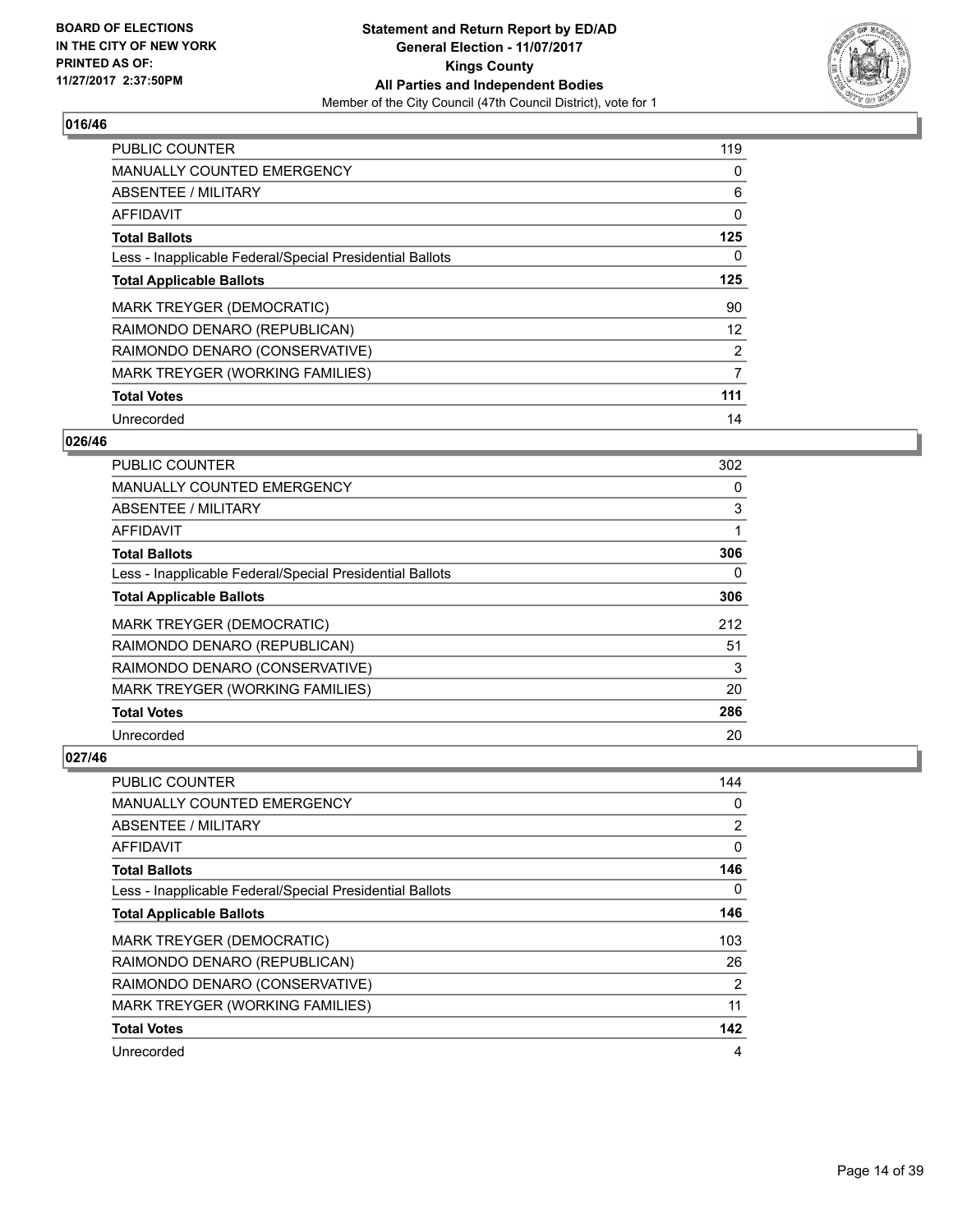

| <b>PUBLIC COUNTER</b>                                    | 119 |
|----------------------------------------------------------|-----|
| <b>MANUALLY COUNTED EMERGENCY</b>                        | 0   |
| ABSENTEE / MILITARY                                      | 6   |
| <b>AFFIDAVIT</b>                                         | 0   |
| <b>Total Ballots</b>                                     | 125 |
| Less - Inapplicable Federal/Special Presidential Ballots | 0   |
| <b>Total Applicable Ballots</b>                          | 125 |
| <b>MARK TREYGER (DEMOCRATIC)</b>                         | 90  |
| RAIMONDO DENARO (REPUBLICAN)                             | 12  |
| RAIMONDO DENARO (CONSERVATIVE)                           | 2   |
| MARK TREYGER (WORKING FAMILIES)                          | 7   |
| <b>Total Votes</b>                                       | 111 |
| Unrecorded                                               | 14  |

# **026/46**

| <b>PUBLIC COUNTER</b>                                    | 302 |
|----------------------------------------------------------|-----|
| <b>MANUALLY COUNTED EMERGENCY</b>                        | 0   |
| ABSENTEE / MILITARY                                      | 3   |
| AFFIDAVIT                                                |     |
| <b>Total Ballots</b>                                     | 306 |
| Less - Inapplicable Federal/Special Presidential Ballots | 0   |
| <b>Total Applicable Ballots</b>                          | 306 |
| MARK TREYGER (DEMOCRATIC)                                | 212 |
| RAIMONDO DENARO (REPUBLICAN)                             | 51  |
| RAIMONDO DENARO (CONSERVATIVE)                           | 3   |
| MARK TREYGER (WORKING FAMILIES)                          | 20  |
| <b>Total Votes</b>                                       | 286 |
| Unrecorded                                               | 20  |

| PUBLIC COUNTER                                           | 144            |
|----------------------------------------------------------|----------------|
| MANUALLY COUNTED EMERGENCY                               | 0              |
| ABSENTEE / MILITARY                                      | $\overline{2}$ |
| AFFIDAVIT                                                | 0              |
| <b>Total Ballots</b>                                     | 146            |
| Less - Inapplicable Federal/Special Presidential Ballots | 0              |
| <b>Total Applicable Ballots</b>                          | 146            |
| MARK TREYGER (DEMOCRATIC)                                | 103            |
| RAIMONDO DENARO (REPUBLICAN)                             | 26             |
| RAIMONDO DENARO (CONSERVATIVE)                           | $\overline{2}$ |
| MARK TREYGER (WORKING FAMILIES)                          | 11             |
| <b>Total Votes</b>                                       | 142            |
| Unrecorded                                               | 4              |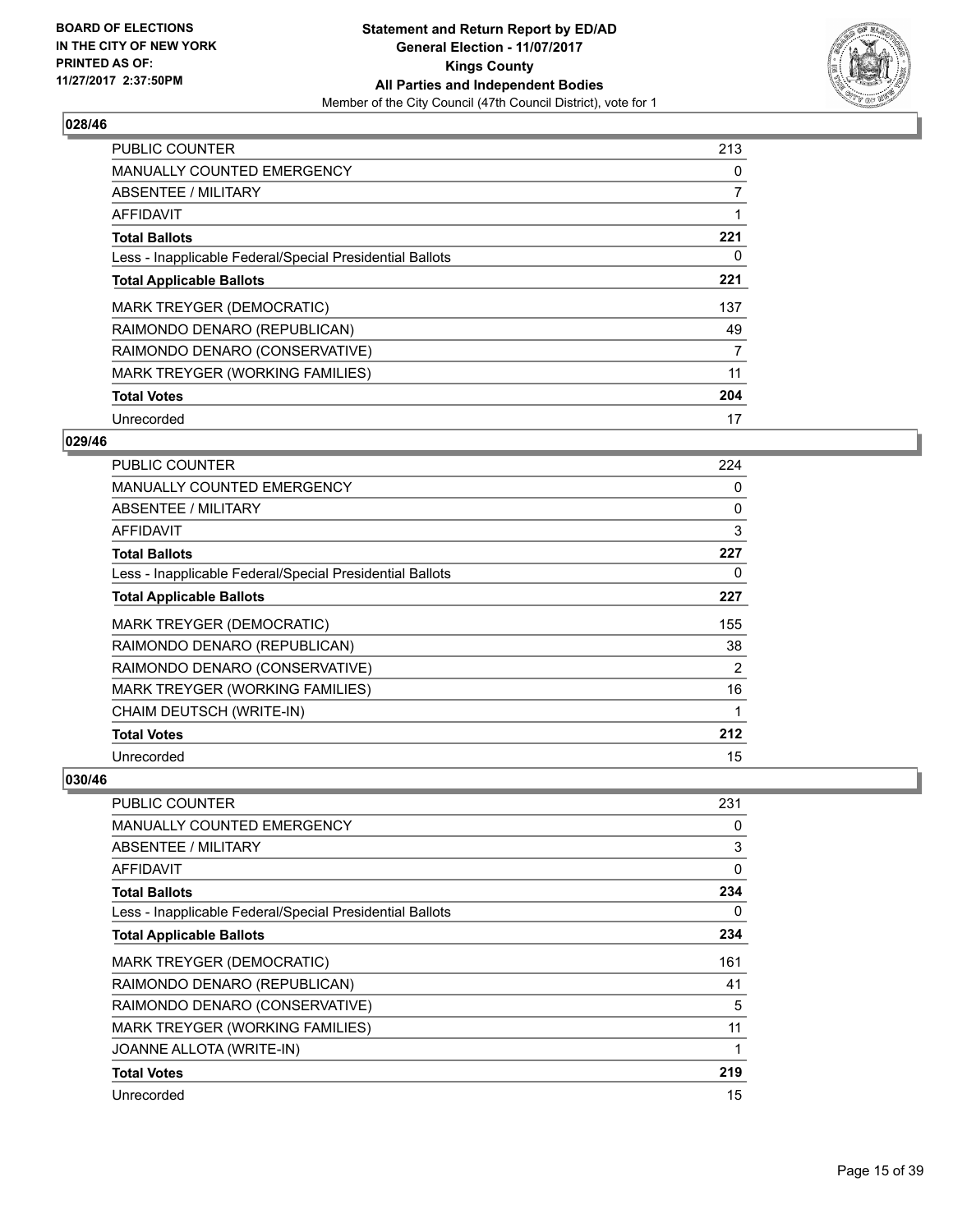

| <b>PUBLIC COUNTER</b>                                    | 213 |
|----------------------------------------------------------|-----|
| <b>MANUALLY COUNTED EMERGENCY</b>                        | 0   |
| ABSENTEE / MILITARY                                      | 7   |
| <b>AFFIDAVIT</b>                                         |     |
| <b>Total Ballots</b>                                     | 221 |
| Less - Inapplicable Federal/Special Presidential Ballots | 0   |
| <b>Total Applicable Ballots</b>                          | 221 |
| MARK TREYGER (DEMOCRATIC)                                | 137 |
| RAIMONDO DENARO (REPUBLICAN)                             | 49  |
| RAIMONDO DENARO (CONSERVATIVE)                           | 7   |
| <b>MARK TREYGER (WORKING FAMILIES)</b>                   | 11  |
| <b>Total Votes</b>                                       | 204 |
| Unrecorded                                               | 17  |

# **029/46**

| <b>PUBLIC COUNTER</b>                                    | 224 |
|----------------------------------------------------------|-----|
| MANUALLY COUNTED EMERGENCY                               | 0   |
| ABSENTEE / MILITARY                                      | 0   |
| AFFIDAVIT                                                | 3   |
| <b>Total Ballots</b>                                     | 227 |
| Less - Inapplicable Federal/Special Presidential Ballots | 0   |
| <b>Total Applicable Ballots</b>                          | 227 |
| <b>MARK TREYGER (DEMOCRATIC)</b>                         | 155 |
| RAIMONDO DENARO (REPUBLICAN)                             | 38  |
| RAIMONDO DENARO (CONSERVATIVE)                           | 2   |
| MARK TREYGER (WORKING FAMILIES)                          | 16  |
| CHAIM DEUTSCH (WRITE-IN)                                 | 1   |
| <b>Total Votes</b>                                       | 212 |
| Unrecorded                                               | 15  |

| <b>PUBLIC COUNTER</b>                                    | 231 |
|----------------------------------------------------------|-----|
| <b>MANUALLY COUNTED EMERGENCY</b>                        | 0   |
| ABSENTEE / MILITARY                                      | 3   |
| <b>AFFIDAVIT</b>                                         | 0   |
| <b>Total Ballots</b>                                     | 234 |
| Less - Inapplicable Federal/Special Presidential Ballots | 0   |
| <b>Total Applicable Ballots</b>                          | 234 |
| MARK TREYGER (DEMOCRATIC)                                | 161 |
| RAIMONDO DENARO (REPUBLICAN)                             | 41  |
| RAIMONDO DENARO (CONSERVATIVE)                           | 5   |
| MARK TREYGER (WORKING FAMILIES)                          | 11  |
| JOANNE ALLOTA (WRITE-IN)                                 |     |
| <b>Total Votes</b>                                       | 219 |
| Unrecorded                                               | 15  |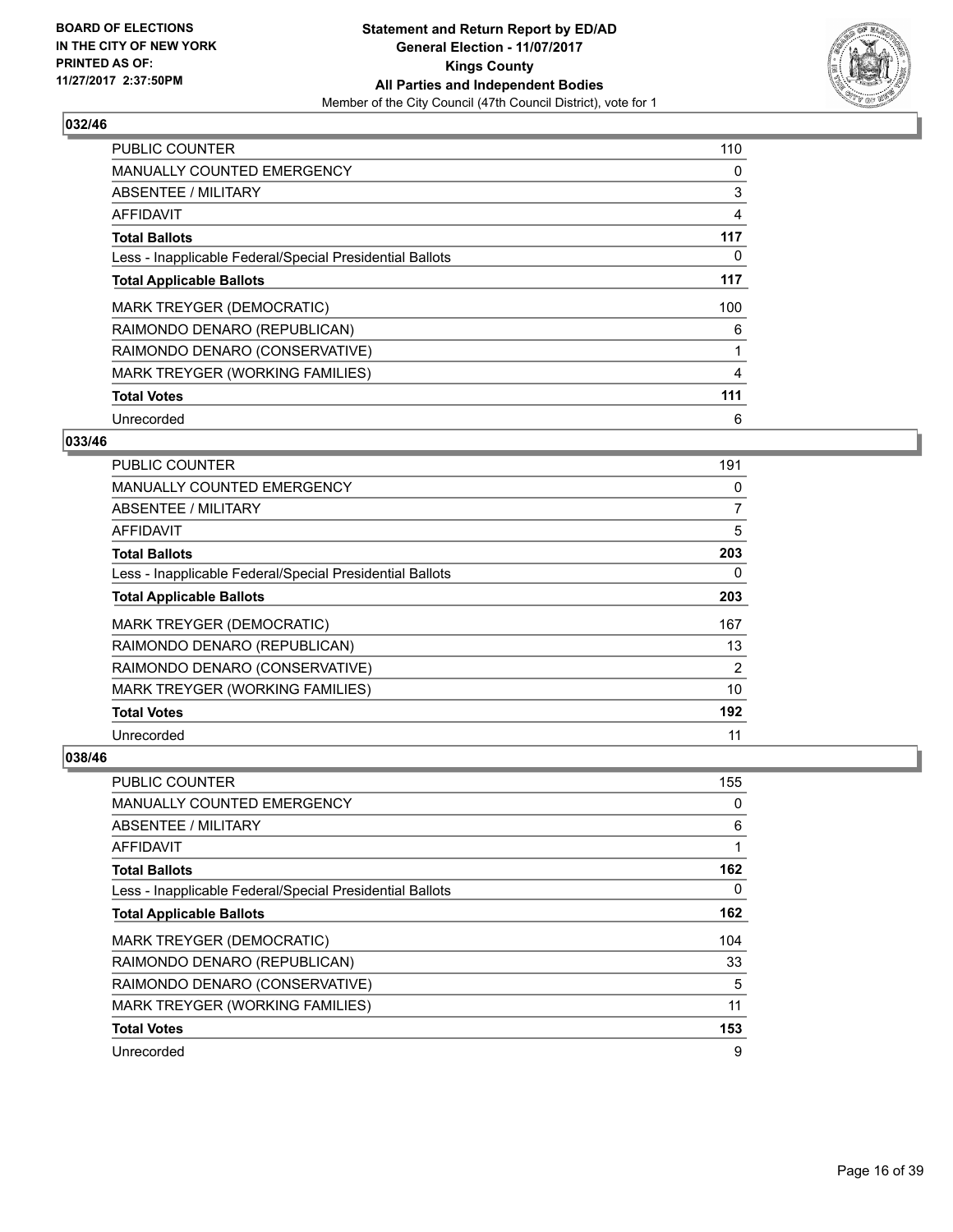

| <b>PUBLIC COUNTER</b>                                    | 110 |
|----------------------------------------------------------|-----|
| <b>MANUALLY COUNTED EMERGENCY</b>                        | 0   |
| ABSENTEE / MILITARY                                      | 3   |
| AFFIDAVIT                                                | 4   |
| <b>Total Ballots</b>                                     | 117 |
| Less - Inapplicable Federal/Special Presidential Ballots | 0   |
| <b>Total Applicable Ballots</b>                          | 117 |
| MARK TREYGER (DEMOCRATIC)                                | 100 |
| RAIMONDO DENARO (REPUBLICAN)                             | 6   |
| RAIMONDO DENARO (CONSERVATIVE)                           |     |
| MARK TREYGER (WORKING FAMILIES)                          | 4   |
| <b>Total Votes</b>                                       | 111 |
| Unrecorded                                               | 6   |

# **033/46**

| PUBLIC COUNTER                                           | 191 |
|----------------------------------------------------------|-----|
| <b>MANUALLY COUNTED EMERGENCY</b>                        | 0   |
| ABSENTEE / MILITARY                                      | 7   |
| AFFIDAVIT                                                | 5   |
| <b>Total Ballots</b>                                     | 203 |
| Less - Inapplicable Federal/Special Presidential Ballots | 0   |
| <b>Total Applicable Ballots</b>                          | 203 |
| <b>MARK TREYGER (DEMOCRATIC)</b>                         | 167 |
| RAIMONDO DENARO (REPUBLICAN)                             | 13  |
| RAIMONDO DENARO (CONSERVATIVE)                           | 2   |
| MARK TREYGER (WORKING FAMILIES)                          | 10  |
| <b>Total Votes</b>                                       | 192 |
| Unrecorded                                               | 11  |

| <b>PUBLIC COUNTER</b>                                    | 155 |
|----------------------------------------------------------|-----|
| <b>MANUALLY COUNTED EMERGENCY</b>                        | 0   |
| ABSENTEE / MILITARY                                      | 6   |
| AFFIDAVIT                                                |     |
| <b>Total Ballots</b>                                     | 162 |
| Less - Inapplicable Federal/Special Presidential Ballots | 0   |
| <b>Total Applicable Ballots</b>                          | 162 |
| MARK TREYGER (DEMOCRATIC)                                | 104 |
| RAIMONDO DENARO (REPUBLICAN)                             | 33  |
| RAIMONDO DENARO (CONSERVATIVE)                           | 5   |
| MARK TREYGER (WORKING FAMILIES)                          | 11  |
| <b>Total Votes</b>                                       | 153 |
| Unrecorded                                               | 9   |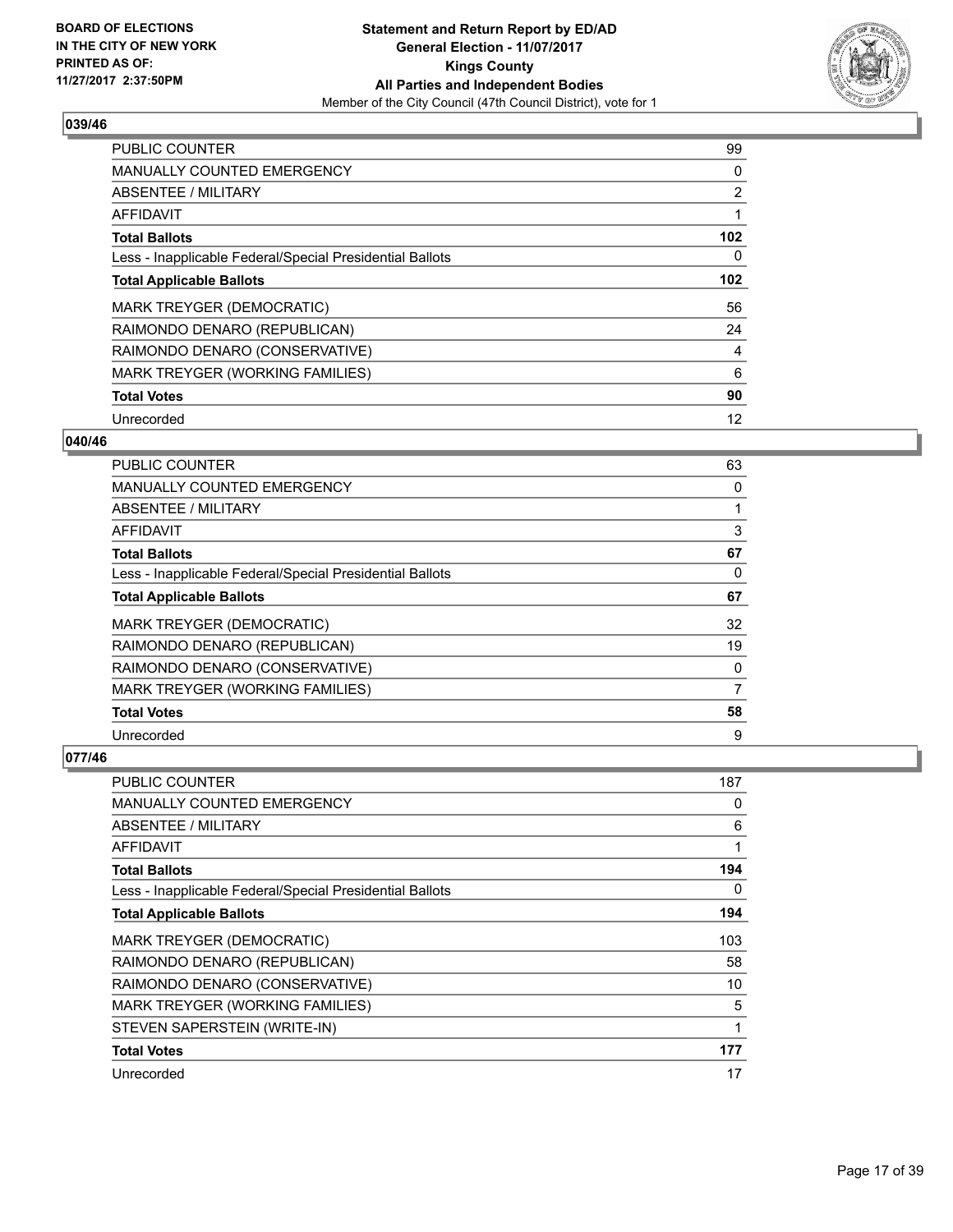

| <b>PUBLIC COUNTER</b>                                    | 99               |
|----------------------------------------------------------|------------------|
| <b>MANUALLY COUNTED EMERGENCY</b>                        | 0                |
| ABSENTEE / MILITARY                                      | $\overline{2}$   |
| AFFIDAVIT                                                |                  |
| <b>Total Ballots</b>                                     | 102 <sub>2</sub> |
| Less - Inapplicable Federal/Special Presidential Ballots | 0                |
| <b>Total Applicable Ballots</b>                          | 102 <sub>2</sub> |
| <b>MARK TREYGER (DEMOCRATIC)</b>                         | 56               |
| RAIMONDO DENARO (REPUBLICAN)                             | 24               |
| RAIMONDO DENARO (CONSERVATIVE)                           | 4                |
| MARK TREYGER (WORKING FAMILIES)                          | 6                |
| <b>Total Votes</b>                                       | 90               |
| Unrecorded                                               | 12               |

# **040/46**

| <b>PUBLIC COUNTER</b>                                    | 63 |
|----------------------------------------------------------|----|
| MANUALLY COUNTED EMERGENCY                               | 0  |
| ABSENTEE / MILITARY                                      |    |
| AFFIDAVIT                                                | 3  |
| <b>Total Ballots</b>                                     | 67 |
| Less - Inapplicable Federal/Special Presidential Ballots | 0  |
| <b>Total Applicable Ballots</b>                          | 67 |
| <b>MARK TREYGER (DEMOCRATIC)</b>                         | 32 |
| RAIMONDO DENARO (REPUBLICAN)                             | 19 |
| RAIMONDO DENARO (CONSERVATIVE)                           | 0  |
| MARK TREYGER (WORKING FAMILIES)                          | 7  |
| <b>Total Votes</b>                                       | 58 |
| Unrecorded                                               | 9  |

| PUBLIC COUNTER                                           | 187 |
|----------------------------------------------------------|-----|
| <b>MANUALLY COUNTED EMERGENCY</b>                        | 0   |
| ABSENTEE / MILITARY                                      | 6   |
| AFFIDAVIT                                                | 1   |
| <b>Total Ballots</b>                                     | 194 |
| Less - Inapplicable Federal/Special Presidential Ballots | 0   |
| <b>Total Applicable Ballots</b>                          | 194 |
| <b>MARK TREYGER (DEMOCRATIC)</b>                         | 103 |
| RAIMONDO DENARO (REPUBLICAN)                             | 58  |
| RAIMONDO DENARO (CONSERVATIVE)                           | 10  |
| MARK TREYGER (WORKING FAMILIES)                          | 5   |
| STEVEN SAPERSTEIN (WRITE-IN)                             | 1   |
| <b>Total Votes</b>                                       | 177 |
| Unrecorded                                               | 17  |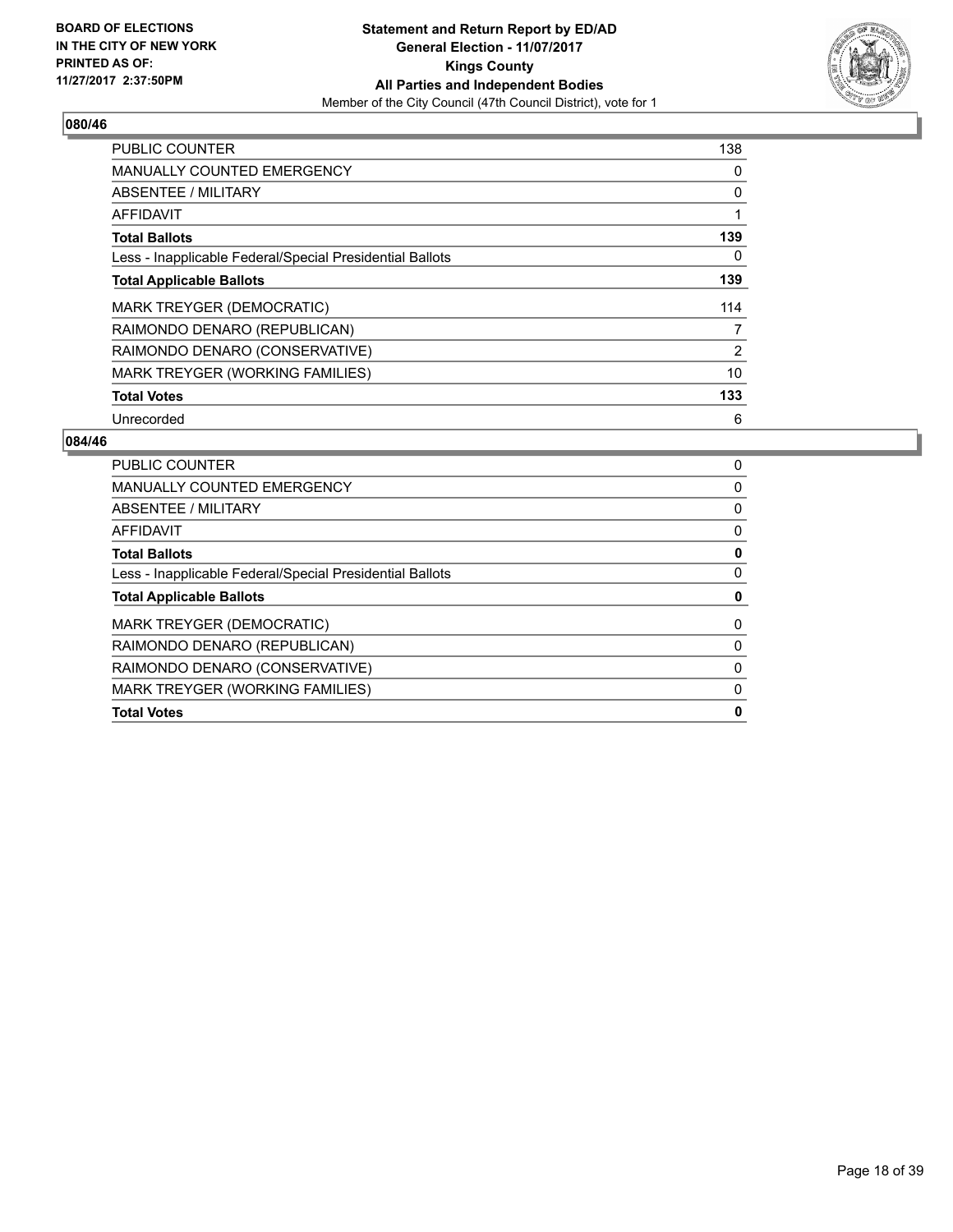

| <b>PUBLIC COUNTER</b>                                    | 138 |
|----------------------------------------------------------|-----|
| <b>MANUALLY COUNTED EMERGENCY</b>                        | 0   |
| ABSENTEE / MILITARY                                      | 0   |
| <b>AFFIDAVIT</b>                                         |     |
| <b>Total Ballots</b>                                     | 139 |
| Less - Inapplicable Federal/Special Presidential Ballots | 0   |
| <b>Total Applicable Ballots</b>                          | 139 |
| <b>MARK TREYGER (DEMOCRATIC)</b>                         | 114 |
| RAIMONDO DENARO (REPUBLICAN)                             | 7   |
| RAIMONDO DENARO (CONSERVATIVE)                           | 2   |
| <b>MARK TREYGER (WORKING FAMILIES)</b>                   | 10  |
| <b>Total Votes</b>                                       | 133 |
| Unrecorded                                               | 6   |

| <b>PUBLIC COUNTER</b>                                    | 0 |
|----------------------------------------------------------|---|
| <b>MANUALLY COUNTED EMERGENCY</b>                        | 0 |
| ABSENTEE / MILITARY                                      | 0 |
| <b>AFFIDAVIT</b>                                         | 0 |
| <b>Total Ballots</b>                                     | 0 |
| Less - Inapplicable Federal/Special Presidential Ballots | 0 |
| <b>Total Applicable Ballots</b>                          | 0 |
| <b>MARK TREYGER (DEMOCRATIC)</b>                         | 0 |
| RAIMONDO DENARO (REPUBLICAN)                             | 0 |
| RAIMONDO DENARO (CONSERVATIVE)                           | 0 |
| MARK TREYGER (WORKING FAMILIES)                          | 0 |
| <b>Total Votes</b>                                       | o |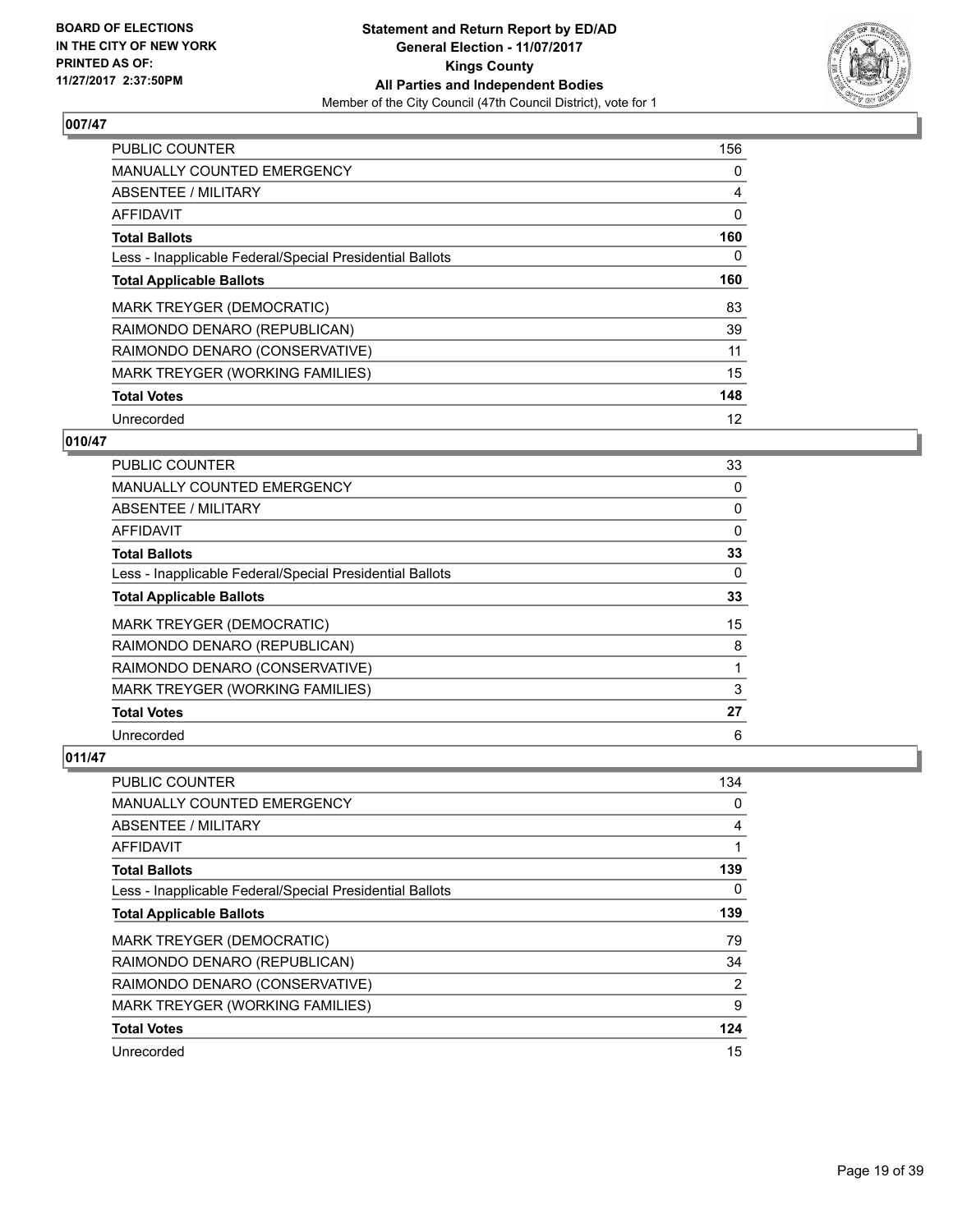

| <b>PUBLIC COUNTER</b>                                    | 156 |
|----------------------------------------------------------|-----|
| <b>MANUALLY COUNTED EMERGENCY</b>                        | 0   |
| ABSENTEE / MILITARY                                      | 4   |
| <b>AFFIDAVIT</b>                                         | 0   |
| <b>Total Ballots</b>                                     | 160 |
| Less - Inapplicable Federal/Special Presidential Ballots | 0   |
| <b>Total Applicable Ballots</b>                          | 160 |
| MARK TREYGER (DEMOCRATIC)                                | 83  |
| RAIMONDO DENARO (REPUBLICAN)                             | 39  |
| RAIMONDO DENARO (CONSERVATIVE)                           | 11  |
| MARK TREYGER (WORKING FAMILIES)                          | 15  |
| <b>Total Votes</b>                                       | 148 |
| Unrecorded                                               | 12  |

## **010/47**

| <b>PUBLIC COUNTER</b>                                    | 33 |
|----------------------------------------------------------|----|
| MANUALLY COUNTED EMERGENCY                               | 0  |
| ABSENTEE / MILITARY                                      | 0  |
| AFFIDAVIT                                                | 0  |
| <b>Total Ballots</b>                                     | 33 |
| Less - Inapplicable Federal/Special Presidential Ballots | 0  |
| <b>Total Applicable Ballots</b>                          | 33 |
| MARK TREYGER (DEMOCRATIC)                                | 15 |
| RAIMONDO DENARO (REPUBLICAN)                             | 8  |
| RAIMONDO DENARO (CONSERVATIVE)                           |    |
| <b>MARK TREYGER (WORKING FAMILIES)</b>                   | 3  |
| <b>Total Votes</b>                                       | 27 |
| Unrecorded                                               | 6  |

| <b>PUBLIC COUNTER</b>                                    | 134 |
|----------------------------------------------------------|-----|
| <b>MANUALLY COUNTED EMERGENCY</b>                        | 0   |
| ABSENTEE / MILITARY                                      | 4   |
| AFFIDAVIT                                                |     |
| <b>Total Ballots</b>                                     | 139 |
| Less - Inapplicable Federal/Special Presidential Ballots | 0   |
| <b>Total Applicable Ballots</b>                          | 139 |
| MARK TREYGER (DEMOCRATIC)                                | 79  |
| RAIMONDO DENARO (REPUBLICAN)                             | 34  |
| RAIMONDO DENARO (CONSERVATIVE)                           | 2   |
| MARK TREYGER (WORKING FAMILIES)                          | 9   |
| <b>Total Votes</b>                                       | 124 |
| Unrecorded                                               | 15  |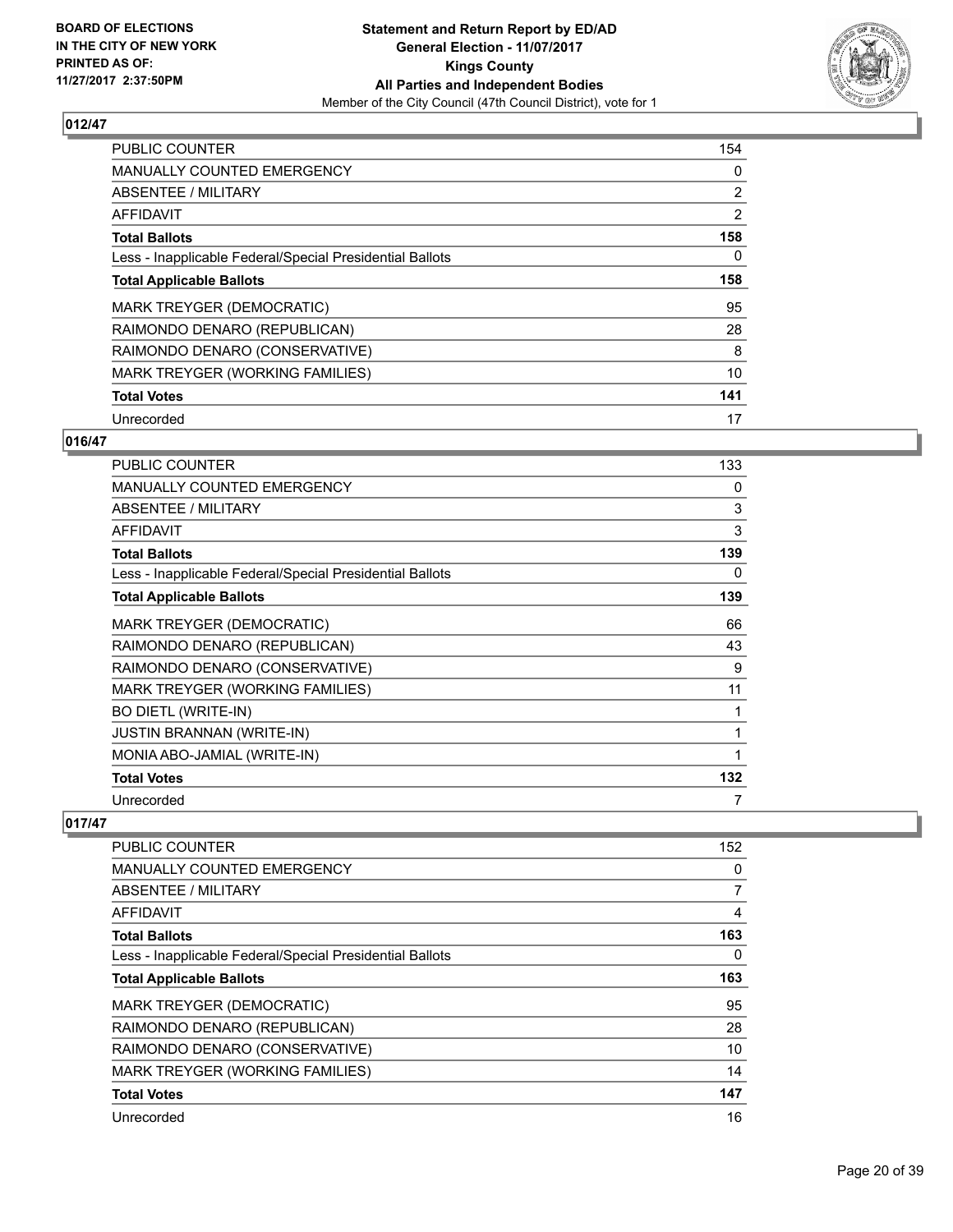

| <b>PUBLIC COUNTER</b>                                    | 154            |
|----------------------------------------------------------|----------------|
| <b>MANUALLY COUNTED EMERGENCY</b>                        | 0              |
| ABSENTEE / MILITARY                                      | $\overline{2}$ |
| AFFIDAVIT                                                | $\overline{2}$ |
| <b>Total Ballots</b>                                     | 158            |
| Less - Inapplicable Federal/Special Presidential Ballots | 0              |
| <b>Total Applicable Ballots</b>                          | 158            |
| <b>MARK TREYGER (DEMOCRATIC)</b>                         | 95             |
| RAIMONDO DENARO (REPUBLICAN)                             | 28             |
| RAIMONDO DENARO (CONSERVATIVE)                           | 8              |
| MARK TREYGER (WORKING FAMILIES)                          | 10             |
| <b>Total Votes</b>                                       | 141            |
| Unrecorded                                               | 17             |

# **016/47**

| <b>PUBLIC COUNTER</b>                                    | 133 |
|----------------------------------------------------------|-----|
| <b>MANUALLY COUNTED EMERGENCY</b>                        | 0   |
| <b>ABSENTEE / MILITARY</b>                               | 3   |
| <b>AFFIDAVIT</b>                                         | 3   |
| <b>Total Ballots</b>                                     | 139 |
| Less - Inapplicable Federal/Special Presidential Ballots | 0   |
| <b>Total Applicable Ballots</b>                          | 139 |
| <b>MARK TREYGER (DEMOCRATIC)</b>                         | 66  |
| RAIMONDO DENARO (REPUBLICAN)                             | 43  |
| RAIMONDO DENARO (CONSERVATIVE)                           | 9   |
| MARK TREYGER (WORKING FAMILIES)                          | 11  |
| <b>BO DIETL (WRITE-IN)</b>                               |     |
| <b>JUSTIN BRANNAN (WRITE-IN)</b>                         |     |
| MONIA ABO-JAMIAL (WRITE-IN)                              | 1   |
| <b>Total Votes</b>                                       | 132 |
| Unrecorded                                               | 7   |

| <b>PUBLIC COUNTER</b>                                    | 152 |
|----------------------------------------------------------|-----|
| <b>MANUALLY COUNTED EMERGENCY</b>                        | 0   |
| ABSENTEE / MILITARY                                      | 7   |
| AFFIDAVIT                                                | 4   |
| <b>Total Ballots</b>                                     | 163 |
| Less - Inapplicable Federal/Special Presidential Ballots | 0   |
| <b>Total Applicable Ballots</b>                          | 163 |
| <b>MARK TREYGER (DEMOCRATIC)</b>                         | 95  |
| RAIMONDO DENARO (REPUBLICAN)                             | 28  |
| RAIMONDO DENARO (CONSERVATIVE)                           | 10  |
| MARK TREYGER (WORKING FAMILIES)                          | 14  |
| <b>Total Votes</b>                                       | 147 |
| Unrecorded                                               | 16  |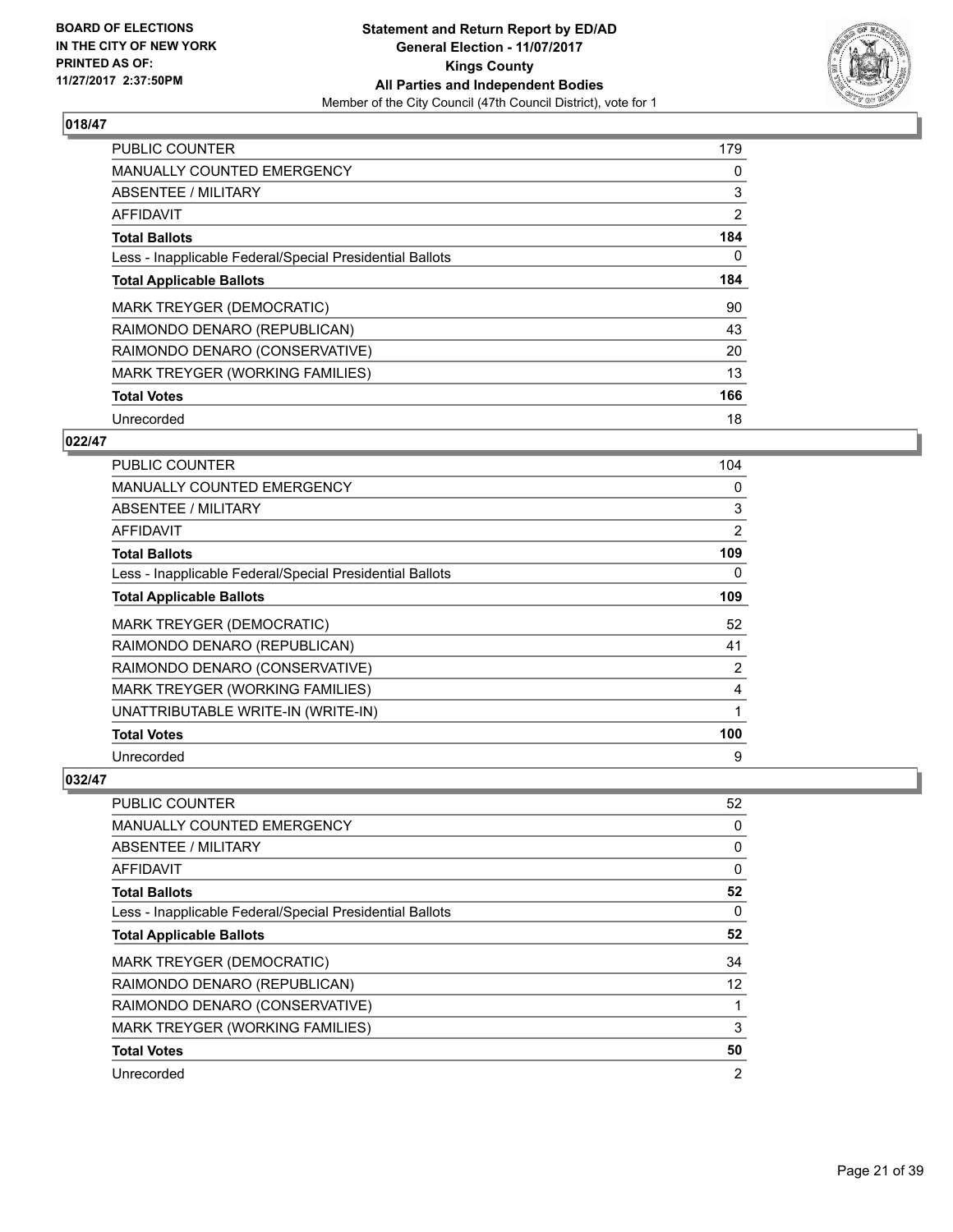

| <b>PUBLIC COUNTER</b>                                    | 179            |
|----------------------------------------------------------|----------------|
| <b>MANUALLY COUNTED EMERGENCY</b>                        | 0              |
| ABSENTEE / MILITARY                                      | 3              |
| <b>AFFIDAVIT</b>                                         | $\overline{2}$ |
| <b>Total Ballots</b>                                     | 184            |
| Less - Inapplicable Federal/Special Presidential Ballots | 0              |
| <b>Total Applicable Ballots</b>                          | 184            |
| <b>MARK TREYGER (DEMOCRATIC)</b>                         | 90             |
| RAIMONDO DENARO (REPUBLICAN)                             | 43             |
| RAIMONDO DENARO (CONSERVATIVE)                           | 20             |
| MARK TREYGER (WORKING FAMILIES)                          | 13             |
| <b>Total Votes</b>                                       | 166            |
| Unrecorded                                               | 18             |

# **022/47**

| PUBLIC COUNTER                                           | 104            |
|----------------------------------------------------------|----------------|
| <b>MANUALLY COUNTED EMERGENCY</b>                        | 0              |
| ABSENTEE / MILITARY                                      | 3              |
| AFFIDAVIT                                                | $\overline{2}$ |
| <b>Total Ballots</b>                                     | 109            |
| Less - Inapplicable Federal/Special Presidential Ballots | 0              |
| <b>Total Applicable Ballots</b>                          | 109            |
| <b>MARK TREYGER (DEMOCRATIC)</b>                         | 52             |
| RAIMONDO DENARO (REPUBLICAN)                             | 41             |
| RAIMONDO DENARO (CONSERVATIVE)                           | 2              |
| <b>MARK TREYGER (WORKING FAMILIES)</b>                   | 4              |
| UNATTRIBUTABLE WRITE-IN (WRITE-IN)                       | 1              |
| <b>Total Votes</b>                                       | 100            |
| Unrecorded                                               | 9              |

| <b>PUBLIC COUNTER</b>                                    | 52                |
|----------------------------------------------------------|-------------------|
| <b>MANUALLY COUNTED EMERGENCY</b>                        | 0                 |
| ABSENTEE / MILITARY                                      | 0                 |
| AFFIDAVIT                                                | 0                 |
| <b>Total Ballots</b>                                     | 52                |
| Less - Inapplicable Federal/Special Presidential Ballots | 0                 |
| <b>Total Applicable Ballots</b>                          | 52                |
| <b>MARK TREYGER (DEMOCRATIC)</b>                         | 34                |
| RAIMONDO DENARO (REPUBLICAN)                             | $12 \overline{ }$ |
| RAIMONDO DENARO (CONSERVATIVE)                           |                   |
| MARK TREYGER (WORKING FAMILIES)                          | 3                 |
| <b>Total Votes</b>                                       | 50                |
| Unrecorded                                               | 2                 |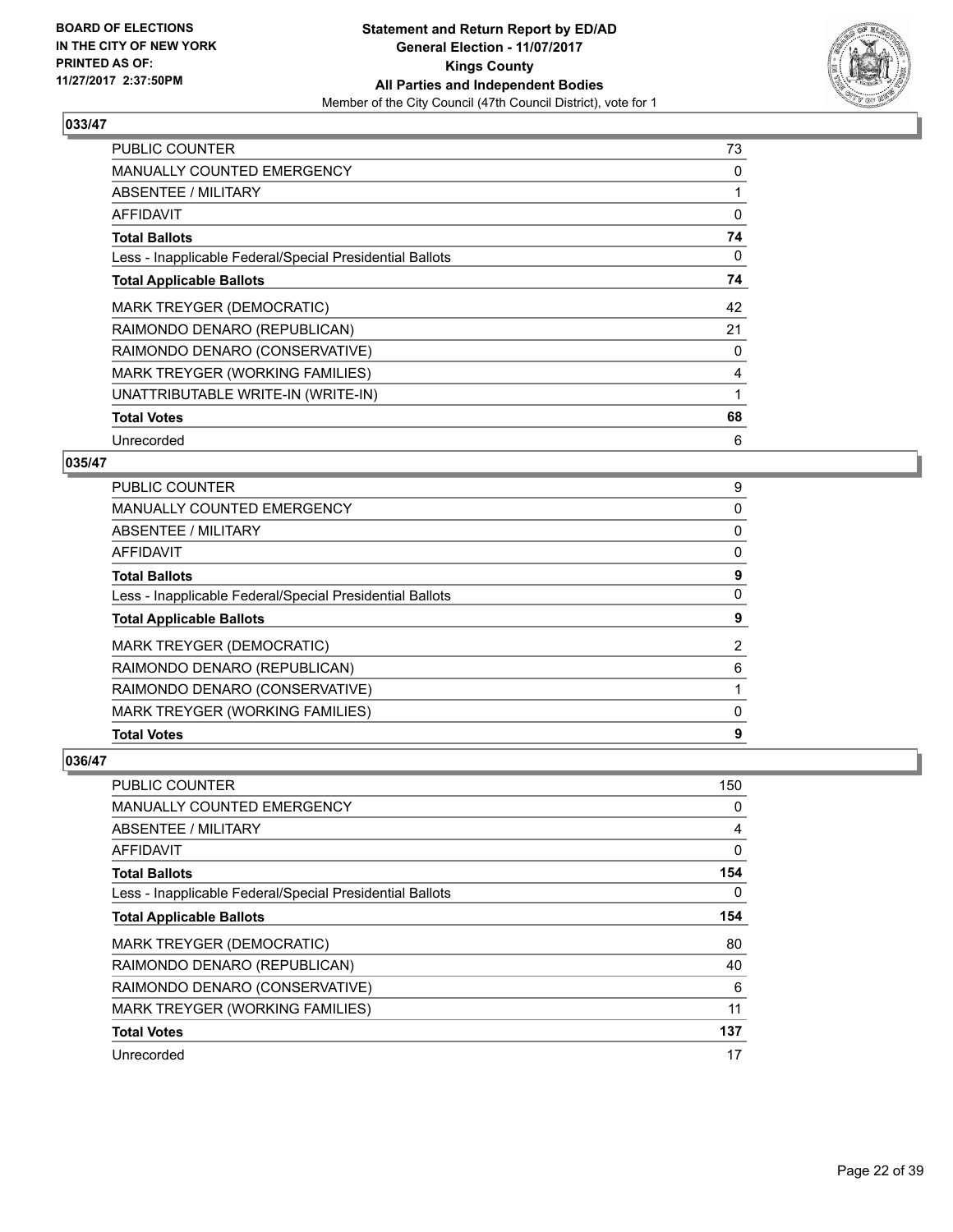

| <b>PUBLIC COUNTER</b>                                    | 73 |
|----------------------------------------------------------|----|
| <b>MANUALLY COUNTED EMERGENCY</b>                        | 0  |
| ABSENTEE / MILITARY                                      |    |
| AFFIDAVIT                                                | 0  |
| <b>Total Ballots</b>                                     | 74 |
| Less - Inapplicable Federal/Special Presidential Ballots | 0  |
| <b>Total Applicable Ballots</b>                          | 74 |
| MARK TREYGER (DEMOCRATIC)                                | 42 |
| RAIMONDO DENARO (REPUBLICAN)                             | 21 |
| RAIMONDO DENARO (CONSERVATIVE)                           | 0  |
| MARK TREYGER (WORKING FAMILIES)                          | 4  |
| UNATTRIBUTABLE WRITE-IN (WRITE-IN)                       |    |
| <b>Total Votes</b>                                       | 68 |
| Unrecorded                                               | 6  |

# **035/47**

| <b>PUBLIC COUNTER</b>                                    | 9 |
|----------------------------------------------------------|---|
| <b>MANUALLY COUNTED EMERGENCY</b>                        | 0 |
| ABSENTEE / MILITARY                                      | 0 |
| AFFIDAVIT                                                | 0 |
| <b>Total Ballots</b>                                     | 9 |
| Less - Inapplicable Federal/Special Presidential Ballots | 0 |
| <b>Total Applicable Ballots</b>                          | 9 |
| <b>MARK TREYGER (DEMOCRATIC)</b>                         | 2 |
| RAIMONDO DENARO (REPUBLICAN)                             | 6 |
| RAIMONDO DENARO (CONSERVATIVE)                           |   |
| <b>MARK TREYGER (WORKING FAMILIES)</b>                   | 0 |
| <b>Total Votes</b>                                       | 9 |

| <b>PUBLIC COUNTER</b>                                    | 150 |
|----------------------------------------------------------|-----|
| MANUALLY COUNTED EMERGENCY                               | 0   |
| ABSENTEE / MILITARY                                      | 4   |
| AFFIDAVIT                                                | 0   |
| <b>Total Ballots</b>                                     | 154 |
| Less - Inapplicable Federal/Special Presidential Ballots | 0   |
| <b>Total Applicable Ballots</b>                          | 154 |
| MARK TREYGER (DEMOCRATIC)                                | 80  |
| RAIMONDO DENARO (REPUBLICAN)                             | 40  |
| RAIMONDO DENARO (CONSERVATIVE)                           | 6   |
| MARK TREYGER (WORKING FAMILIES)                          | 11  |
| <b>Total Votes</b>                                       | 137 |
| Unrecorded                                               | 17  |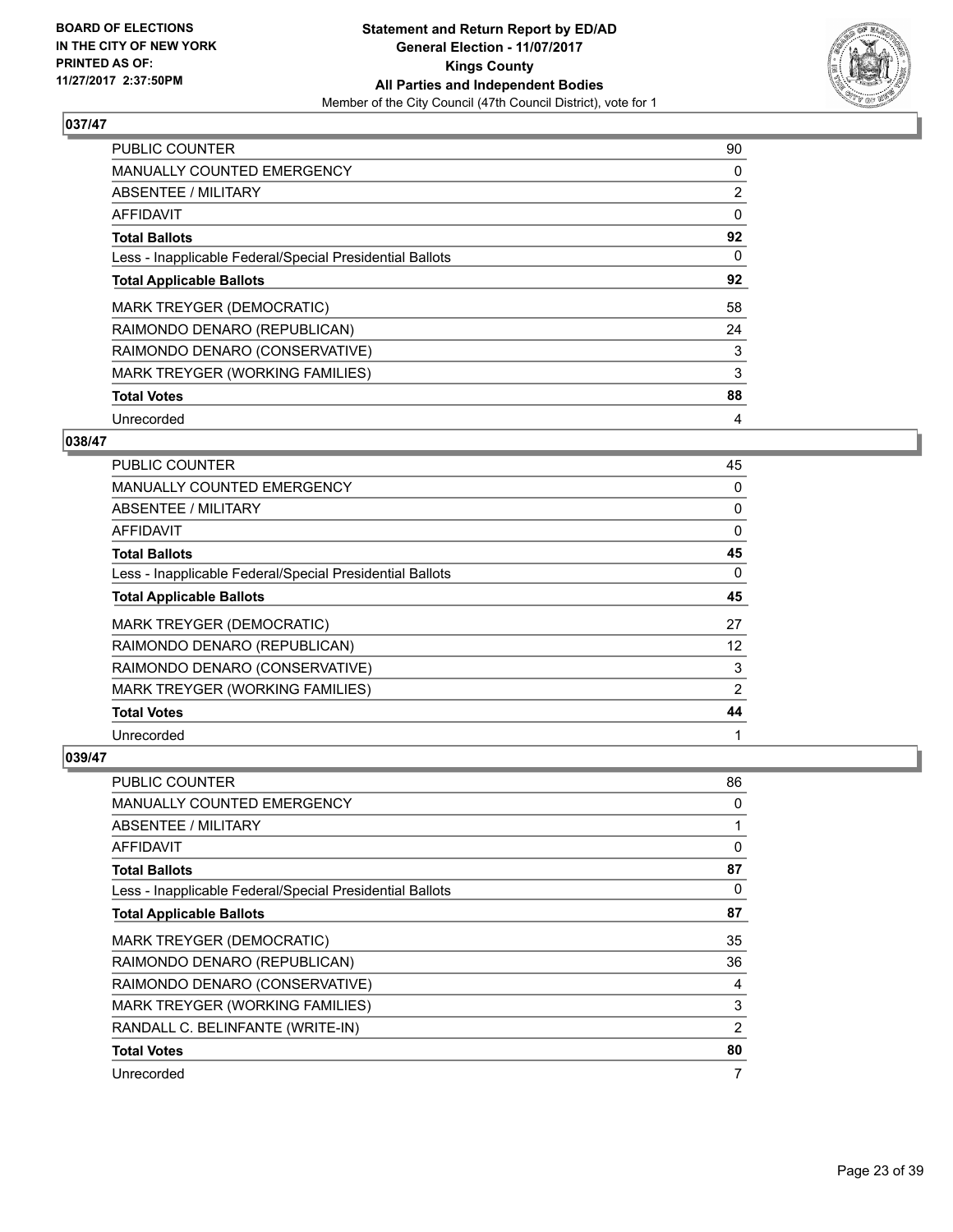

| <b>PUBLIC COUNTER</b>                                    | 90             |
|----------------------------------------------------------|----------------|
| <b>MANUALLY COUNTED EMERGENCY</b>                        | 0              |
| ABSENTEE / MILITARY                                      | $\overline{2}$ |
| AFFIDAVIT                                                | 0              |
| <b>Total Ballots</b>                                     | 92             |
| Less - Inapplicable Federal/Special Presidential Ballots | 0              |
| <b>Total Applicable Ballots</b>                          | 92             |
| <b>MARK TREYGER (DEMOCRATIC)</b>                         | 58             |
| RAIMONDO DENARO (REPUBLICAN)                             | 24             |
| RAIMONDO DENARO (CONSERVATIVE)                           | 3              |
| MARK TREYGER (WORKING FAMILIES)                          | 3              |
| <b>Total Votes</b>                                       | 88             |
| Unrecorded                                               | 4              |

# **038/47**

| PUBLIC COUNTER                                           | 45       |
|----------------------------------------------------------|----------|
| <b>MANUALLY COUNTED EMERGENCY</b>                        | 0        |
| ABSENTEE / MILITARY                                      | 0        |
| AFFIDAVIT                                                | 0        |
| <b>Total Ballots</b>                                     | 45       |
| Less - Inapplicable Federal/Special Presidential Ballots | $\Omega$ |
| <b>Total Applicable Ballots</b>                          | 45       |
| <b>MARK TREYGER (DEMOCRATIC)</b>                         | 27       |
| RAIMONDO DENARO (REPUBLICAN)                             | 12       |
| RAIMONDO DENARO (CONSERVATIVE)                           | 3        |
| MARK TREYGER (WORKING FAMILIES)                          | 2        |
| <b>Total Votes</b>                                       | 44       |
| Unrecorded                                               |          |

| PUBLIC COUNTER                                           | 86 |
|----------------------------------------------------------|----|
| <b>MANUALLY COUNTED EMERGENCY</b>                        | 0  |
| ABSENTEE / MILITARY                                      |    |
| AFFIDAVIT                                                | 0  |
| <b>Total Ballots</b>                                     | 87 |
| Less - Inapplicable Federal/Special Presidential Ballots | 0  |
| <b>Total Applicable Ballots</b>                          | 87 |
| <b>MARK TREYGER (DEMOCRATIC)</b>                         | 35 |
| RAIMONDO DENARO (REPUBLICAN)                             | 36 |
| RAIMONDO DENARO (CONSERVATIVE)                           | 4  |
| MARK TREYGER (WORKING FAMILIES)                          | 3  |
| RANDALL C. BELINFANTE (WRITE-IN)                         | 2  |
| <b>Total Votes</b>                                       | 80 |
| Unrecorded                                               | 7  |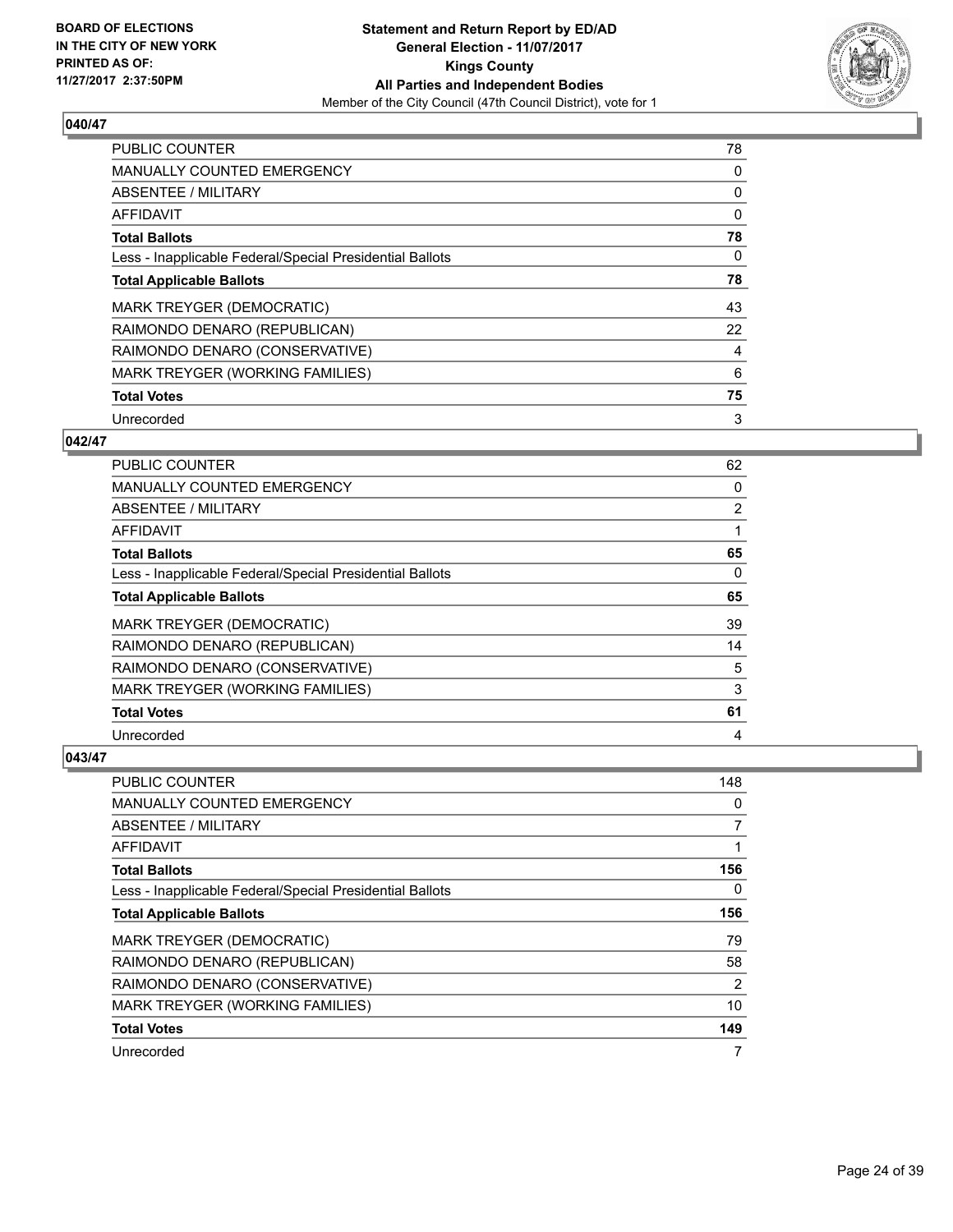

| <b>PUBLIC COUNTER</b>                                    | 78 |
|----------------------------------------------------------|----|
| MANUALLY COUNTED EMERGENCY                               | 0  |
| ABSENTEE / MILITARY                                      | 0  |
| <b>AFFIDAVIT</b>                                         | 0  |
| <b>Total Ballots</b>                                     | 78 |
| Less - Inapplicable Federal/Special Presidential Ballots | 0  |
| <b>Total Applicable Ballots</b>                          | 78 |
| <b>MARK TREYGER (DEMOCRATIC)</b>                         | 43 |
| RAIMONDO DENARO (REPUBLICAN)                             | 22 |
| RAIMONDO DENARO (CONSERVATIVE)                           | 4  |
| MARK TREYGER (WORKING FAMILIES)                          | 6  |
| <b>Total Votes</b>                                       | 75 |
| Unrecorded                                               | 3  |

## **042/47**

| PUBLIC COUNTER                                           | 62             |
|----------------------------------------------------------|----------------|
| <b>MANUALLY COUNTED EMERGENCY</b>                        | 0              |
| ABSENTEE / MILITARY                                      | $\overline{2}$ |
| AFFIDAVIT                                                |                |
| <b>Total Ballots</b>                                     | 65             |
| Less - Inapplicable Federal/Special Presidential Ballots | 0              |
| <b>Total Applicable Ballots</b>                          | 65             |
| MARK TREYGER (DEMOCRATIC)                                | 39             |
| RAIMONDO DENARO (REPUBLICAN)                             | 14             |
| RAIMONDO DENARO (CONSERVATIVE)                           | 5              |
| MARK TREYGER (WORKING FAMILIES)                          | 3              |
| <b>Total Votes</b>                                       | 61             |
| Unrecorded                                               | 4              |

| <b>PUBLIC COUNTER</b>                                    | 148            |
|----------------------------------------------------------|----------------|
| <b>MANUALLY COUNTED EMERGENCY</b>                        | 0              |
| ABSENTEE / MILITARY                                      | 7              |
| AFFIDAVIT                                                | 1              |
| <b>Total Ballots</b>                                     | 156            |
| Less - Inapplicable Federal/Special Presidential Ballots | 0              |
| <b>Total Applicable Ballots</b>                          | 156            |
| MARK TREYGER (DEMOCRATIC)                                | 79             |
| RAIMONDO DENARO (REPUBLICAN)                             | 58             |
| RAIMONDO DENARO (CONSERVATIVE)                           | $\overline{2}$ |
| MARK TREYGER (WORKING FAMILIES)                          | 10             |
| <b>Total Votes</b>                                       | 149            |
| Unrecorded                                               | 7              |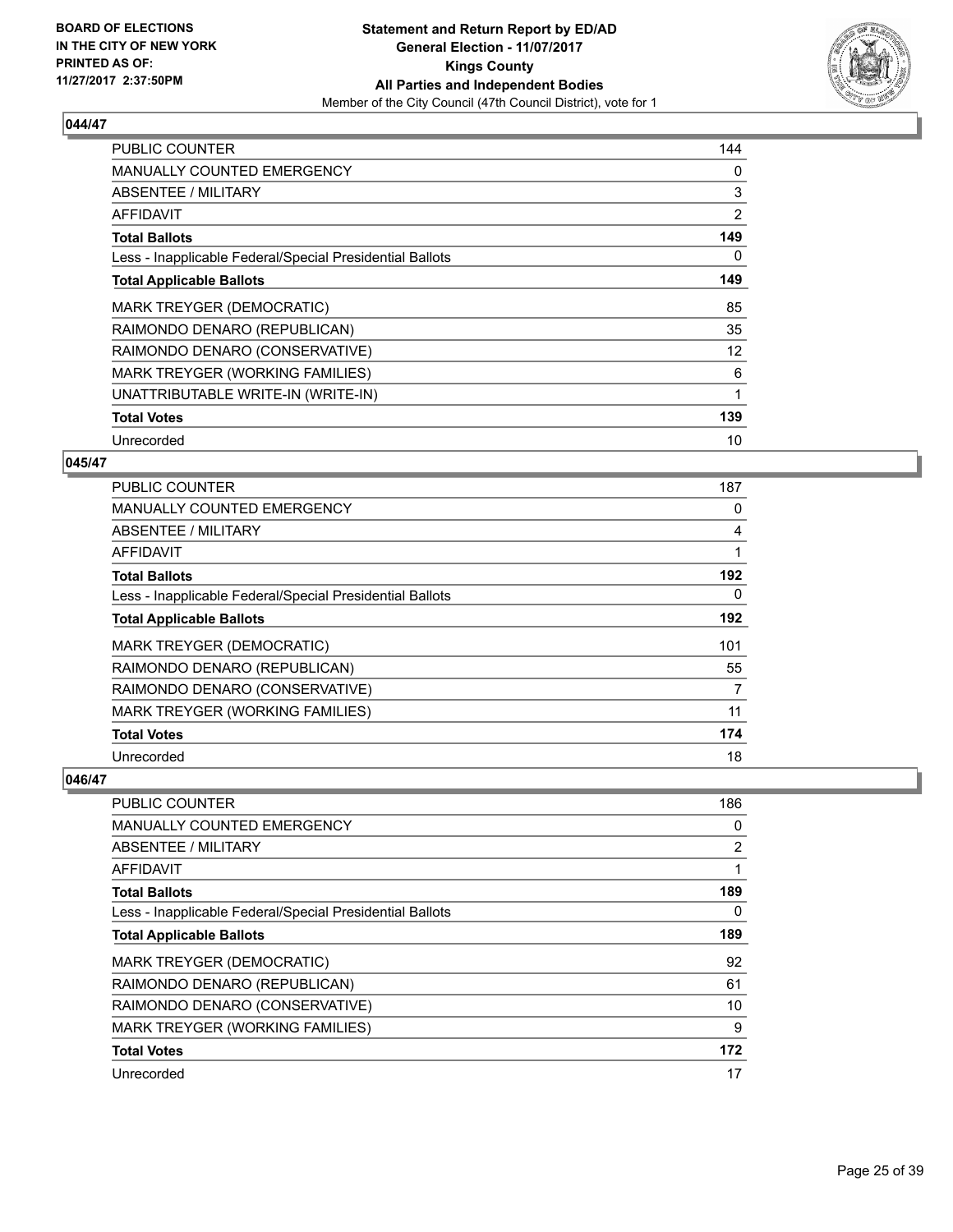

| <b>PUBLIC COUNTER</b>                                    | 144 |
|----------------------------------------------------------|-----|
| <b>MANUALLY COUNTED EMERGENCY</b>                        | 0   |
| <b>ABSENTEE / MILITARY</b>                               | 3   |
| AFFIDAVIT                                                | 2   |
| <b>Total Ballots</b>                                     | 149 |
| Less - Inapplicable Federal/Special Presidential Ballots | 0   |
| <b>Total Applicable Ballots</b>                          | 149 |
| MARK TREYGER (DEMOCRATIC)                                | 85  |
| RAIMONDO DENARO (REPUBLICAN)                             | 35  |
| RAIMONDO DENARO (CONSERVATIVE)                           | 12  |
| MARK TREYGER (WORKING FAMILIES)                          | 6   |
| UNATTRIBUTABLE WRITE-IN (WRITE-IN)                       | 1   |
| <b>Total Votes</b>                                       | 139 |
| Unrecorded                                               | 10  |

#### **045/47**

| <b>PUBLIC COUNTER</b>                                    | 187 |
|----------------------------------------------------------|-----|
| <b>MANUALLY COUNTED EMERGENCY</b>                        | 0   |
| ABSENTEE / MILITARY                                      | 4   |
| AFFIDAVIT                                                | 1   |
| <b>Total Ballots</b>                                     | 192 |
| Less - Inapplicable Federal/Special Presidential Ballots | 0   |
| <b>Total Applicable Ballots</b>                          | 192 |
| <b>MARK TREYGER (DEMOCRATIC)</b>                         | 101 |
| RAIMONDO DENARO (REPUBLICAN)                             | 55  |
| RAIMONDO DENARO (CONSERVATIVE)                           | 7   |
| MARK TREYGER (WORKING FAMILIES)                          | 11  |
| <b>Total Votes</b>                                       | 174 |
| Unrecorded                                               | 18  |

| PUBLIC COUNTER                                           | 186            |
|----------------------------------------------------------|----------------|
| MANUALLY COUNTED EMERGENCY                               | 0              |
| ABSENTEE / MILITARY                                      | $\overline{2}$ |
| AFFIDAVIT                                                |                |
| <b>Total Ballots</b>                                     | 189            |
| Less - Inapplicable Federal/Special Presidential Ballots | 0              |
| <b>Total Applicable Ballots</b>                          | 189            |
| <b>MARK TREYGER (DEMOCRATIC)</b>                         | 92             |
| RAIMONDO DENARO (REPUBLICAN)                             | 61             |
| RAIMONDO DENARO (CONSERVATIVE)                           | 10             |
| MARK TREYGER (WORKING FAMILIES)                          | 9              |
| <b>Total Votes</b>                                       | 172            |
| Unrecorded                                               | 17             |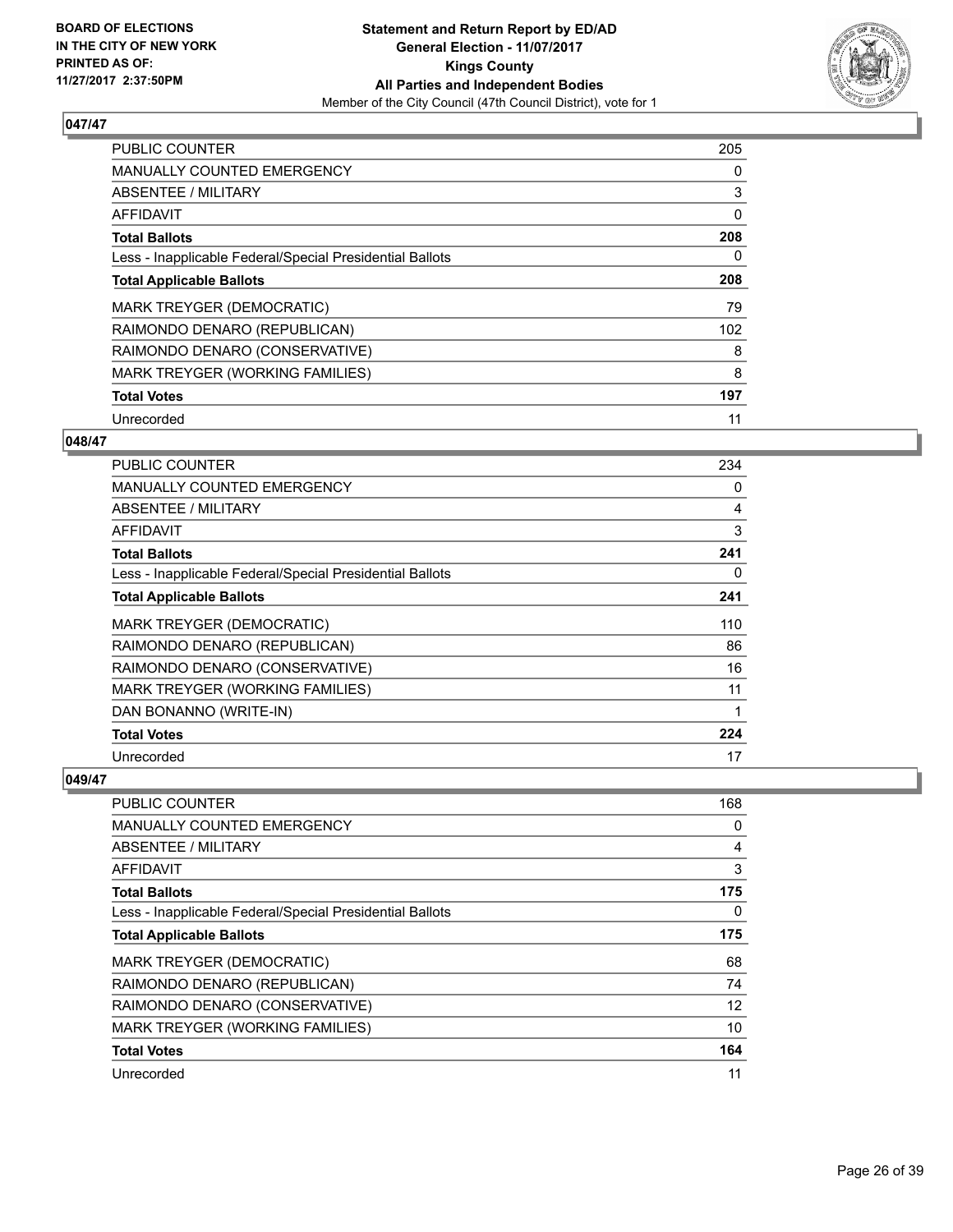

| <b>PUBLIC COUNTER</b>                                    | 205 |
|----------------------------------------------------------|-----|
| <b>MANUALLY COUNTED EMERGENCY</b>                        | 0   |
| ABSENTEE / MILITARY                                      | 3   |
| <b>AFFIDAVIT</b>                                         | 0   |
| <b>Total Ballots</b>                                     | 208 |
| Less - Inapplicable Federal/Special Presidential Ballots | 0   |
| <b>Total Applicable Ballots</b>                          | 208 |
| MARK TREYGER (DEMOCRATIC)                                | 79  |
| RAIMONDO DENARO (REPUBLICAN)                             | 102 |
| RAIMONDO DENARO (CONSERVATIVE)                           | 8   |
| MARK TREYGER (WORKING FAMILIES)                          | 8   |
| <b>Total Votes</b>                                       | 197 |
| Unrecorded                                               | 11  |

## **048/47**

| <b>PUBLIC COUNTER</b>                                    | 234 |
|----------------------------------------------------------|-----|
| <b>MANUALLY COUNTED EMERGENCY</b>                        | 0   |
| ABSENTEE / MILITARY                                      | 4   |
| <b>AFFIDAVIT</b>                                         | 3   |
| <b>Total Ballots</b>                                     | 241 |
| Less - Inapplicable Federal/Special Presidential Ballots | 0   |
| <b>Total Applicable Ballots</b>                          | 241 |
| <b>MARK TREYGER (DEMOCRATIC)</b>                         | 110 |
| RAIMONDO DENARO (REPUBLICAN)                             | 86  |
| RAIMONDO DENARO (CONSERVATIVE)                           | 16  |
| <b>MARK TREYGER (WORKING FAMILIES)</b>                   | 11  |
| DAN BONANNO (WRITE-IN)                                   |     |
| <b>Total Votes</b>                                       | 224 |
| Unrecorded                                               | 17  |

| <b>PUBLIC COUNTER</b>                                    | 168 |
|----------------------------------------------------------|-----|
| <b>MANUALLY COUNTED EMERGENCY</b>                        | 0   |
| ABSENTEE / MILITARY                                      | 4   |
| AFFIDAVIT                                                | 3   |
| <b>Total Ballots</b>                                     | 175 |
| Less - Inapplicable Federal/Special Presidential Ballots | 0   |
| <b>Total Applicable Ballots</b>                          | 175 |
| <b>MARK TREYGER (DEMOCRATIC)</b>                         | 68  |
| RAIMONDO DENARO (REPUBLICAN)                             | 74  |
| RAIMONDO DENARO (CONSERVATIVE)                           | 12  |
| MARK TREYGER (WORKING FAMILIES)                          | 10  |
| <b>Total Votes</b>                                       | 164 |
| Unrecorded                                               | 11  |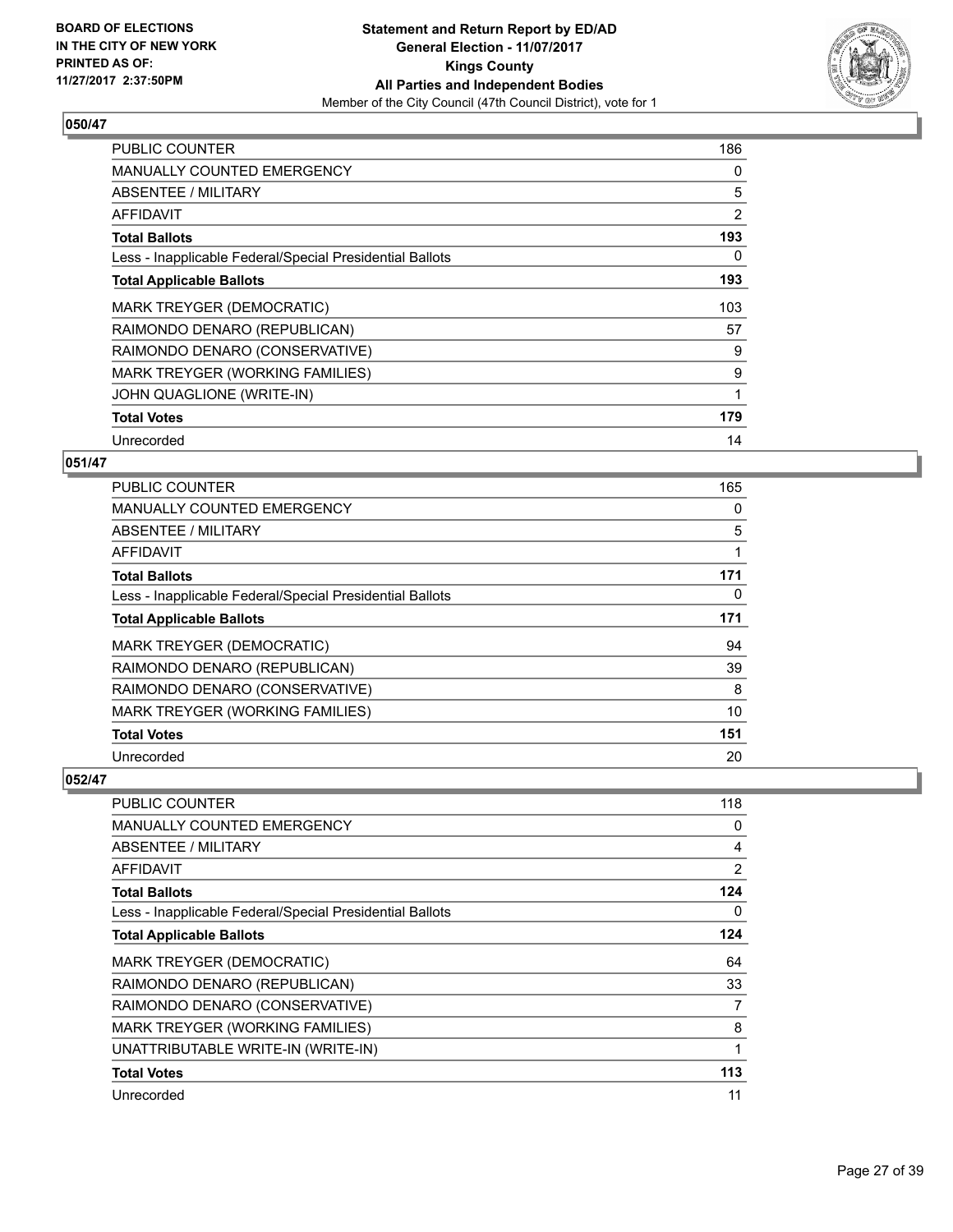

| <b>PUBLIC COUNTER</b>                                    | 186 |
|----------------------------------------------------------|-----|
| <b>MANUALLY COUNTED EMERGENCY</b>                        | 0   |
| ABSENTEE / MILITARY                                      | 5   |
| AFFIDAVIT                                                | 2   |
| <b>Total Ballots</b>                                     | 193 |
| Less - Inapplicable Federal/Special Presidential Ballots | 0   |
| <b>Total Applicable Ballots</b>                          | 193 |
| MARK TREYGER (DEMOCRATIC)                                | 103 |
| RAIMONDO DENARO (REPUBLICAN)                             | 57  |
| RAIMONDO DENARO (CONSERVATIVE)                           | 9   |
| MARK TREYGER (WORKING FAMILIES)                          | 9   |
| JOHN QUAGLIONE (WRITE-IN)                                | 1   |
| <b>Total Votes</b>                                       | 179 |
| Unrecorded                                               | 14  |

# **051/47**

| <b>PUBLIC COUNTER</b>                                    | 165 |
|----------------------------------------------------------|-----|
| <b>MANUALLY COUNTED EMERGENCY</b>                        | 0   |
| ABSENTEE / MILITARY                                      | 5   |
| AFFIDAVIT                                                | 1   |
| <b>Total Ballots</b>                                     | 171 |
| Less - Inapplicable Federal/Special Presidential Ballots | 0   |
| <b>Total Applicable Ballots</b>                          | 171 |
| <b>MARK TREYGER (DEMOCRATIC)</b>                         | 94  |
| RAIMONDO DENARO (REPUBLICAN)                             | 39  |
| RAIMONDO DENARO (CONSERVATIVE)                           | 8   |
| MARK TREYGER (WORKING FAMILIES)                          | 10  |
| <b>Total Votes</b>                                       | 151 |
| Unrecorded                                               | 20  |

| <b>PUBLIC COUNTER</b>                                    | 118 |
|----------------------------------------------------------|-----|
| <b>MANUALLY COUNTED EMERGENCY</b>                        | 0   |
| ABSENTEE / MILITARY                                      | 4   |
| AFFIDAVIT                                                | 2   |
| <b>Total Ballots</b>                                     | 124 |
| Less - Inapplicable Federal/Special Presidential Ballots | 0   |
| <b>Total Applicable Ballots</b>                          | 124 |
| <b>MARK TREYGER (DEMOCRATIC)</b>                         | 64  |
| RAIMONDO DENARO (REPUBLICAN)                             | 33  |
| RAIMONDO DENARO (CONSERVATIVE)                           | 7   |
| MARK TREYGER (WORKING FAMILIES)                          | 8   |
| UNATTRIBUTABLE WRITE-IN (WRITE-IN)                       |     |
| <b>Total Votes</b>                                       | 113 |
| Unrecorded                                               | 11  |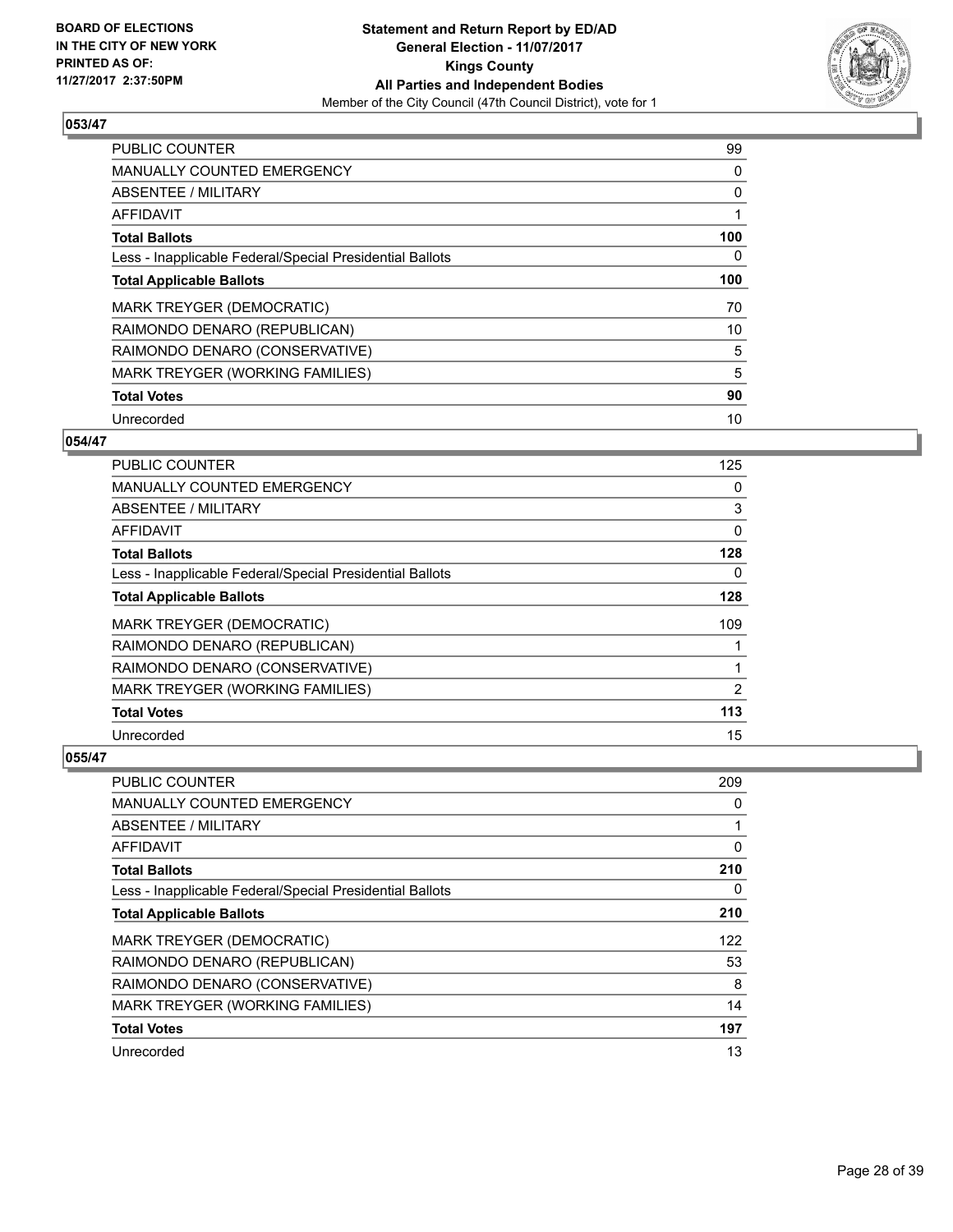

| <b>PUBLIC COUNTER</b>                                    | 99  |
|----------------------------------------------------------|-----|
| <b>MANUALLY COUNTED EMERGENCY</b>                        | 0   |
| ABSENTEE / MILITARY                                      | 0   |
| AFFIDAVIT                                                |     |
| <b>Total Ballots</b>                                     | 100 |
| Less - Inapplicable Federal/Special Presidential Ballots | 0   |
| <b>Total Applicable Ballots</b>                          | 100 |
| <b>MARK TREYGER (DEMOCRATIC)</b>                         | 70  |
| RAIMONDO DENARO (REPUBLICAN)                             | 10  |
| RAIMONDO DENARO (CONSERVATIVE)                           | 5   |
| MARK TREYGER (WORKING FAMILIES)                          | 5   |
| <b>Total Votes</b>                                       | 90  |
| Unrecorded                                               | 10  |

## **054/47**

| <b>PUBLIC COUNTER</b>                                    | 125            |
|----------------------------------------------------------|----------------|
| MANUALLY COUNTED EMERGENCY                               | 0              |
| ABSENTEE / MILITARY                                      | 3              |
| AFFIDAVIT                                                | 0              |
| <b>Total Ballots</b>                                     | 128            |
| Less - Inapplicable Federal/Special Presidential Ballots | 0              |
| <b>Total Applicable Ballots</b>                          | 128            |
| <b>MARK TREYGER (DEMOCRATIC)</b>                         | 109            |
| RAIMONDO DENARO (REPUBLICAN)                             |                |
| RAIMONDO DENARO (CONSERVATIVE)                           | 1              |
| MARK TREYGER (WORKING FAMILIES)                          | $\overline{2}$ |
| <b>Total Votes</b>                                       | 113            |
| Unrecorded                                               | 15             |

| <b>PUBLIC COUNTER</b>                                    | 209 |
|----------------------------------------------------------|-----|
| <b>MANUALLY COUNTED EMERGENCY</b>                        | 0   |
| ABSENTEE / MILITARY                                      |     |
| AFFIDAVIT                                                | 0   |
| <b>Total Ballots</b>                                     | 210 |
| Less - Inapplicable Federal/Special Presidential Ballots | 0   |
| <b>Total Applicable Ballots</b>                          | 210 |
| <b>MARK TREYGER (DEMOCRATIC)</b>                         | 122 |
| RAIMONDO DENARO (REPUBLICAN)                             | 53  |
| RAIMONDO DENARO (CONSERVATIVE)                           | 8   |
| MARK TREYGER (WORKING FAMILIES)                          | 14  |
| <b>Total Votes</b>                                       | 197 |
| Unrecorded                                               | 13  |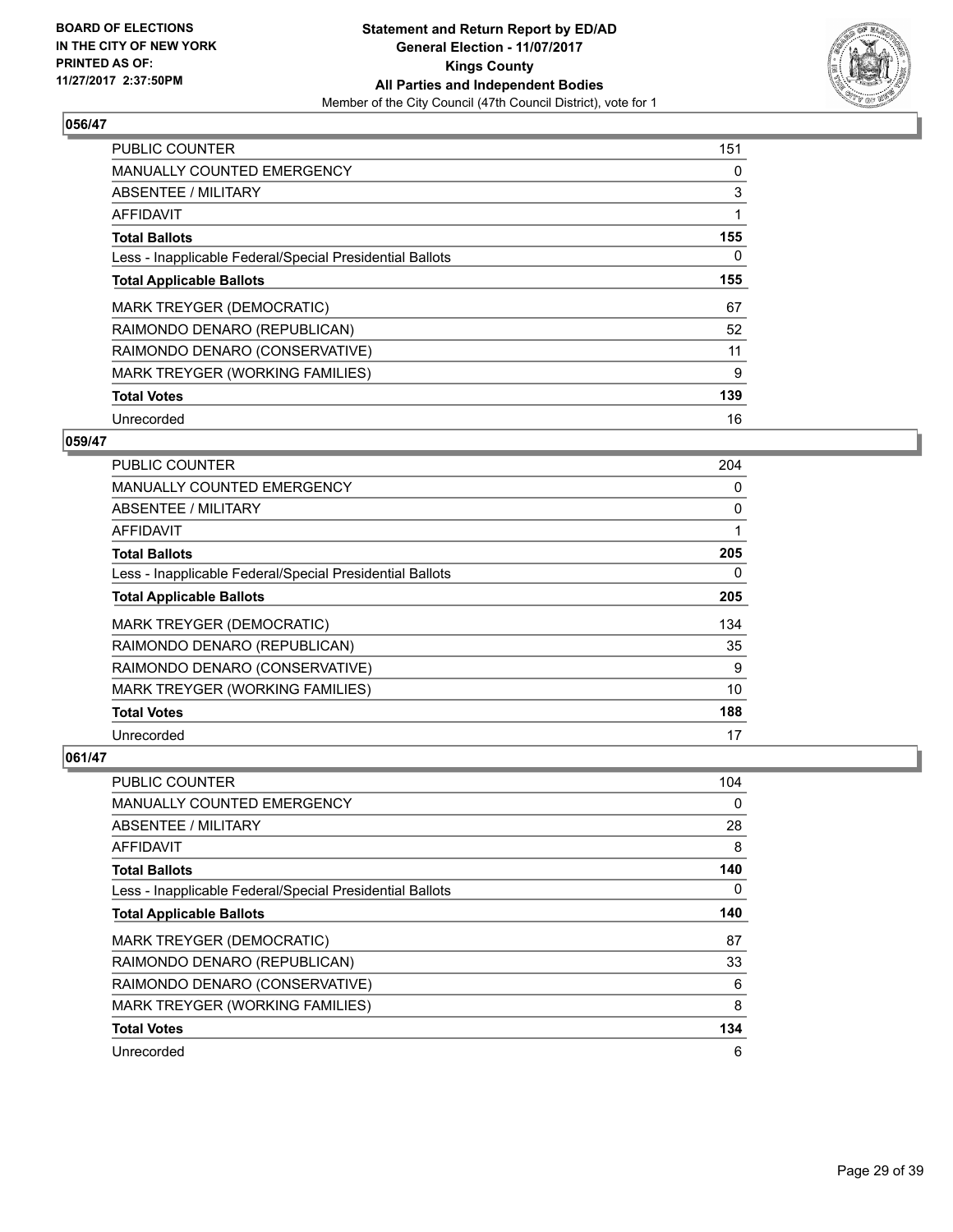

| <b>PUBLIC COUNTER</b>                                    | 151 |
|----------------------------------------------------------|-----|
| <b>MANUALLY COUNTED EMERGENCY</b>                        | 0   |
| ABSENTEE / MILITARY                                      | 3   |
| AFFIDAVIT                                                | 1   |
| <b>Total Ballots</b>                                     | 155 |
| Less - Inapplicable Federal/Special Presidential Ballots | 0   |
| <b>Total Applicable Ballots</b>                          | 155 |
| MARK TREYGER (DEMOCRATIC)                                | 67  |
| RAIMONDO DENARO (REPUBLICAN)                             | 52  |
| RAIMONDO DENARO (CONSERVATIVE)                           | 11  |
| MARK TREYGER (WORKING FAMILIES)                          | 9   |
| <b>Total Votes</b>                                       | 139 |
| Unrecorded                                               | 16  |

# **059/47**

| <b>PUBLIC COUNTER</b>                                    | 204 |
|----------------------------------------------------------|-----|
| MANUALLY COUNTED EMERGENCY                               | 0   |
| ABSENTEE / MILITARY                                      | 0   |
| AFFIDAVIT                                                |     |
| <b>Total Ballots</b>                                     | 205 |
| Less - Inapplicable Federal/Special Presidential Ballots | 0   |
| <b>Total Applicable Ballots</b>                          | 205 |
| MARK TREYGER (DEMOCRATIC)                                | 134 |
| RAIMONDO DENARO (REPUBLICAN)                             | 35  |
| RAIMONDO DENARO (CONSERVATIVE)                           | 9   |
| MARK TREYGER (WORKING FAMILIES)                          | 10  |
| <b>Total Votes</b>                                       | 188 |
| Unrecorded                                               | 17  |

| <b>PUBLIC COUNTER</b>                                    | 104 |
|----------------------------------------------------------|-----|
| <b>MANUALLY COUNTED EMERGENCY</b>                        | 0   |
| ABSENTEE / MILITARY                                      | 28  |
| AFFIDAVIT                                                | 8   |
| <b>Total Ballots</b>                                     | 140 |
| Less - Inapplicable Federal/Special Presidential Ballots | 0   |
| <b>Total Applicable Ballots</b>                          | 140 |
| MARK TREYGER (DEMOCRATIC)                                | 87  |
| RAIMONDO DENARO (REPUBLICAN)                             | 33  |
| RAIMONDO DENARO (CONSERVATIVE)                           | 6   |
| MARK TREYGER (WORKING FAMILIES)                          | 8   |
| <b>Total Votes</b>                                       | 134 |
| Unrecorded                                               | 6   |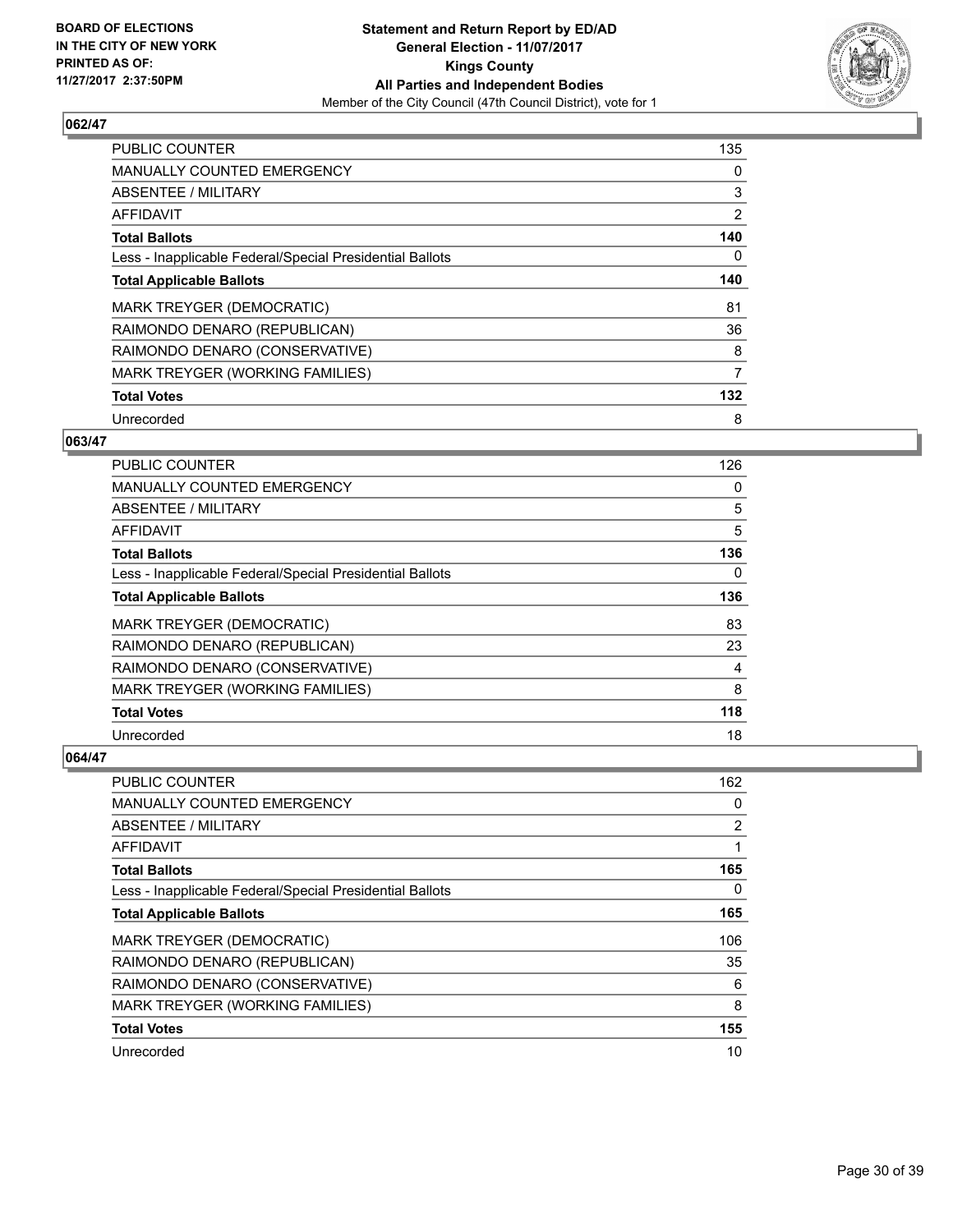

| <b>PUBLIC COUNTER</b>                                    | 135            |
|----------------------------------------------------------|----------------|
| <b>MANUALLY COUNTED EMERGENCY</b>                        | 0              |
| ABSENTEE / MILITARY                                      | 3              |
| <b>AFFIDAVIT</b>                                         | $\overline{2}$ |
| <b>Total Ballots</b>                                     | 140            |
| Less - Inapplicable Federal/Special Presidential Ballots | 0              |
| <b>Total Applicable Ballots</b>                          | 140            |
| MARK TREYGER (DEMOCRATIC)                                | 81             |
| RAIMONDO DENARO (REPUBLICAN)                             | 36             |
| RAIMONDO DENARO (CONSERVATIVE)                           | 8              |
| MARK TREYGER (WORKING FAMILIES)                          | 7              |
| <b>Total Votes</b>                                       | 132            |
| Unrecorded                                               | 8              |

# **063/47**

| <b>PUBLIC COUNTER</b>                                    | 126 |
|----------------------------------------------------------|-----|
| MANUALLY COUNTED EMERGENCY                               | 0   |
| ABSENTEE / MILITARY                                      | 5   |
| AFFIDAVIT                                                | 5   |
| <b>Total Ballots</b>                                     | 136 |
| Less - Inapplicable Federal/Special Presidential Ballots | 0   |
| <b>Total Applicable Ballots</b>                          | 136 |
| <b>MARK TREYGER (DEMOCRATIC)</b>                         | 83  |
| RAIMONDO DENARO (REPUBLICAN)                             | 23  |
| RAIMONDO DENARO (CONSERVATIVE)                           | 4   |
| MARK TREYGER (WORKING FAMILIES)                          | 8   |
| <b>Total Votes</b>                                       | 118 |
| Unrecorded                                               | 18  |

| <b>PUBLIC COUNTER</b>                                    | 162 |
|----------------------------------------------------------|-----|
| <b>MANUALLY COUNTED EMERGENCY</b>                        | 0   |
| ABSENTEE / MILITARY                                      | 2   |
| AFFIDAVIT                                                | 1   |
| <b>Total Ballots</b>                                     | 165 |
| Less - Inapplicable Federal/Special Presidential Ballots | 0   |
| <b>Total Applicable Ballots</b>                          | 165 |
| MARK TREYGER (DEMOCRATIC)                                | 106 |
| RAIMONDO DENARO (REPUBLICAN)                             | 35  |
| RAIMONDO DENARO (CONSERVATIVE)                           | 6   |
| MARK TREYGER (WORKING FAMILIES)                          | 8   |
| <b>Total Votes</b>                                       | 155 |
| Unrecorded                                               | 10  |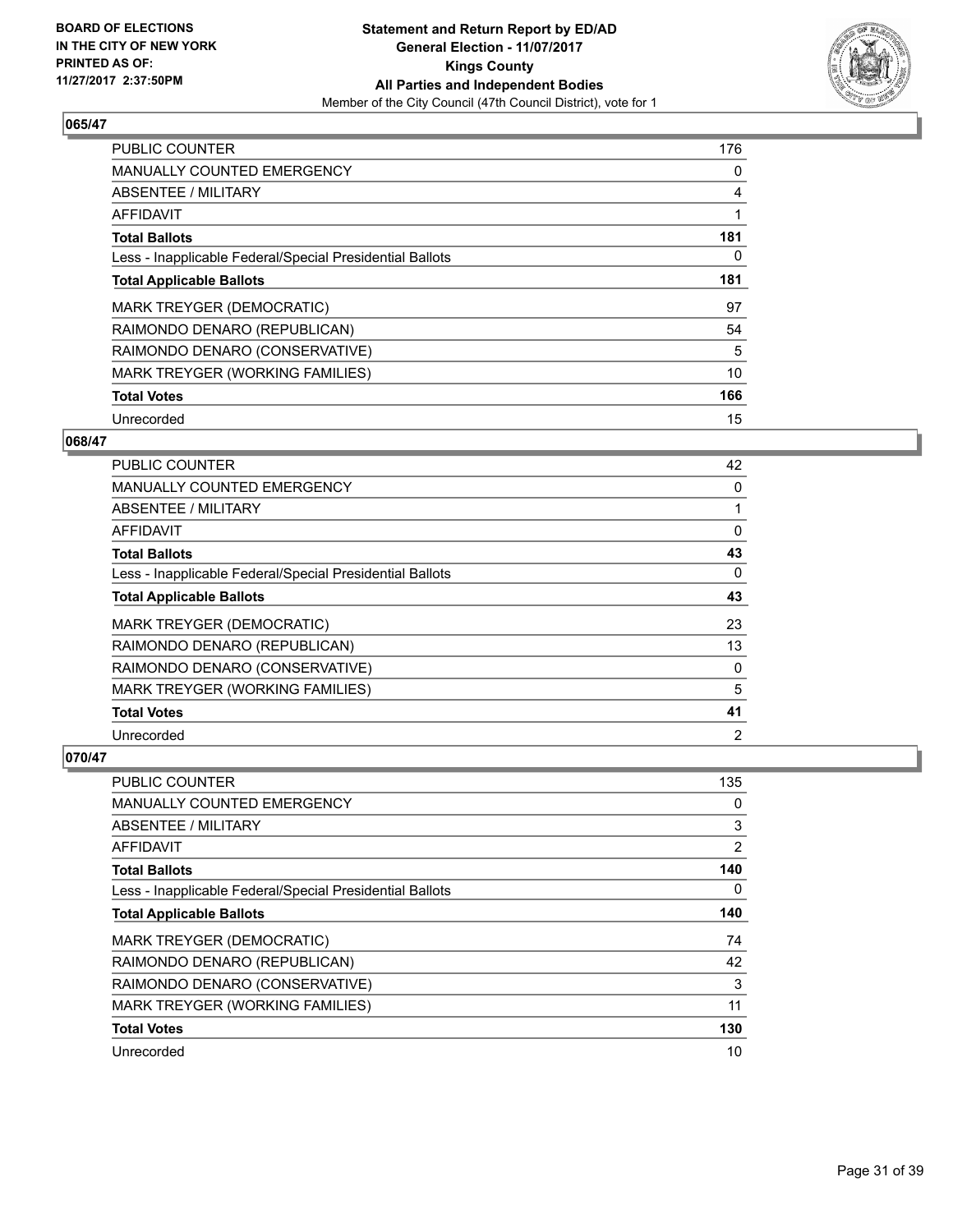

| <b>PUBLIC COUNTER</b>                                    | 176 |
|----------------------------------------------------------|-----|
| <b>MANUALLY COUNTED EMERGENCY</b>                        | 0   |
| ABSENTEE / MILITARY                                      | 4   |
| AFFIDAVIT                                                |     |
| <b>Total Ballots</b>                                     | 181 |
| Less - Inapplicable Federal/Special Presidential Ballots | 0   |
| <b>Total Applicable Ballots</b>                          | 181 |
| MARK TREYGER (DEMOCRATIC)                                | 97  |
| RAIMONDO DENARO (REPUBLICAN)                             | 54  |
| RAIMONDO DENARO (CONSERVATIVE)                           | 5   |
| MARK TREYGER (WORKING FAMILIES)                          | 10  |
| <b>Total Votes</b>                                       | 166 |
| Unrecorded                                               | 15  |

## **068/47**

| <b>PUBLIC COUNTER</b>                                    | 42             |
|----------------------------------------------------------|----------------|
| MANUALLY COUNTED EMERGENCY                               | 0              |
| ABSENTEE / MILITARY                                      |                |
| AFFIDAVIT                                                | 0              |
| <b>Total Ballots</b>                                     | 43             |
| Less - Inapplicable Federal/Special Presidential Ballots | $\Omega$       |
| <b>Total Applicable Ballots</b>                          | 43             |
| MARK TREYGER (DEMOCRATIC)                                | 23             |
| RAIMONDO DENARO (REPUBLICAN)                             | 13             |
| RAIMONDO DENARO (CONSERVATIVE)                           | 0              |
| MARK TREYGER (WORKING FAMILIES)                          | 5              |
| <b>Total Votes</b>                                       | 41             |
| Unrecorded                                               | $\overline{2}$ |

| <b>PUBLIC COUNTER</b>                                    | 135 |
|----------------------------------------------------------|-----|
| <b>MANUALLY COUNTED EMERGENCY</b>                        | 0   |
| ABSENTEE / MILITARY                                      | 3   |
| AFFIDAVIT                                                | 2   |
| <b>Total Ballots</b>                                     | 140 |
| Less - Inapplicable Federal/Special Presidential Ballots | 0   |
| <b>Total Applicable Ballots</b>                          | 140 |
| MARK TREYGER (DEMOCRATIC)                                | 74  |
| RAIMONDO DENARO (REPUBLICAN)                             | 42  |
| RAIMONDO DENARO (CONSERVATIVE)                           | 3   |
| MARK TREYGER (WORKING FAMILIES)                          | 11  |
| <b>Total Votes</b>                                       | 130 |
| Unrecorded                                               | 10  |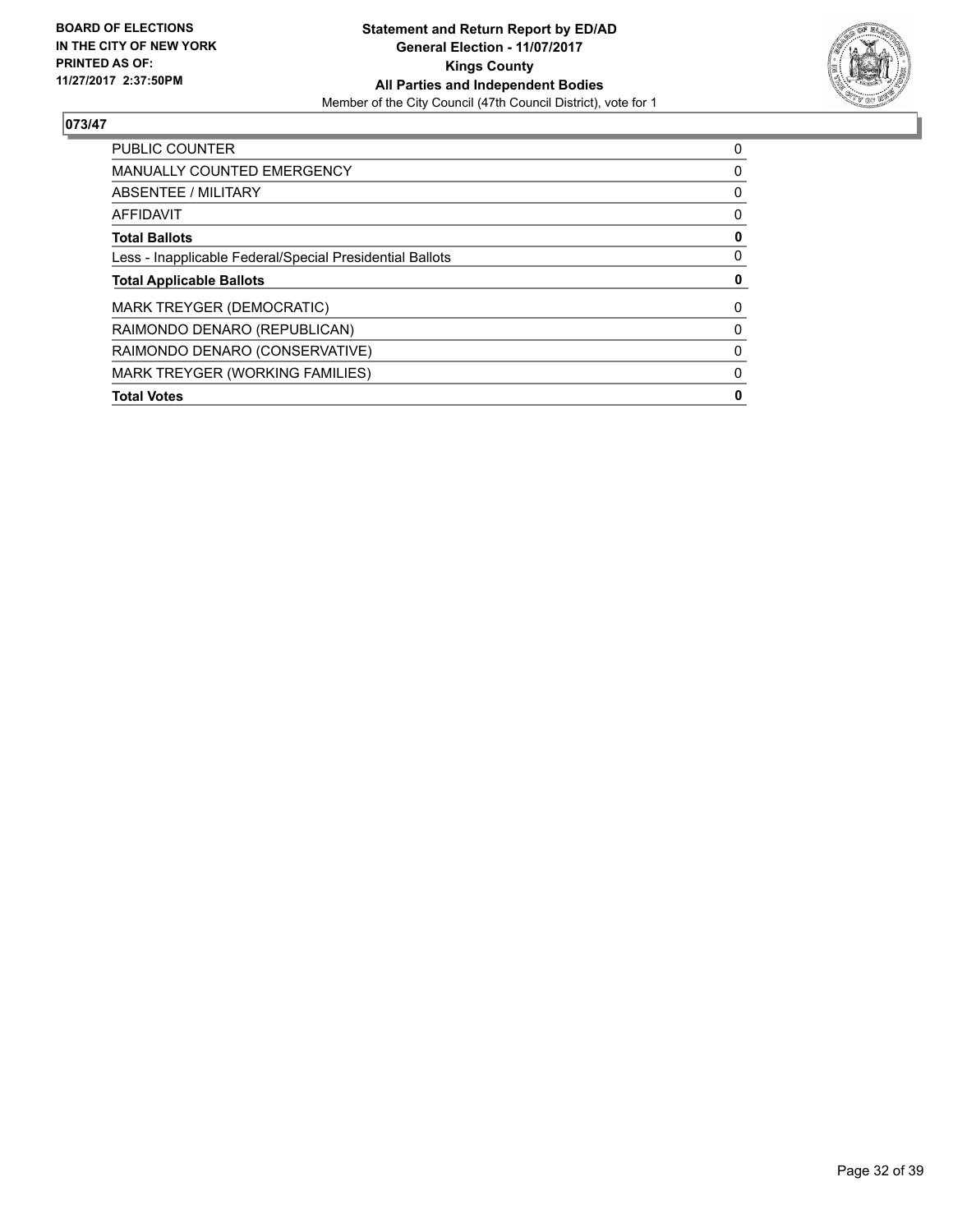

| <b>PUBLIC COUNTER</b>                                    | 0 |
|----------------------------------------------------------|---|
| <b>MANUALLY COUNTED EMERGENCY</b>                        | 0 |
| ABSENTEE / MILITARY                                      | 0 |
| AFFIDAVIT                                                | 0 |
| <b>Total Ballots</b>                                     | 0 |
| Less - Inapplicable Federal/Special Presidential Ballots | 0 |
| <b>Total Applicable Ballots</b>                          | 0 |
| <b>MARK TREYGER (DEMOCRATIC)</b>                         | 0 |
| RAIMONDO DENARO (REPUBLICAN)                             | 0 |
| RAIMONDO DENARO (CONSERVATIVE)                           | 0 |
| <b>MARK TREYGER (WORKING FAMILIES)</b>                   | 0 |
| <b>Total Votes</b>                                       | 0 |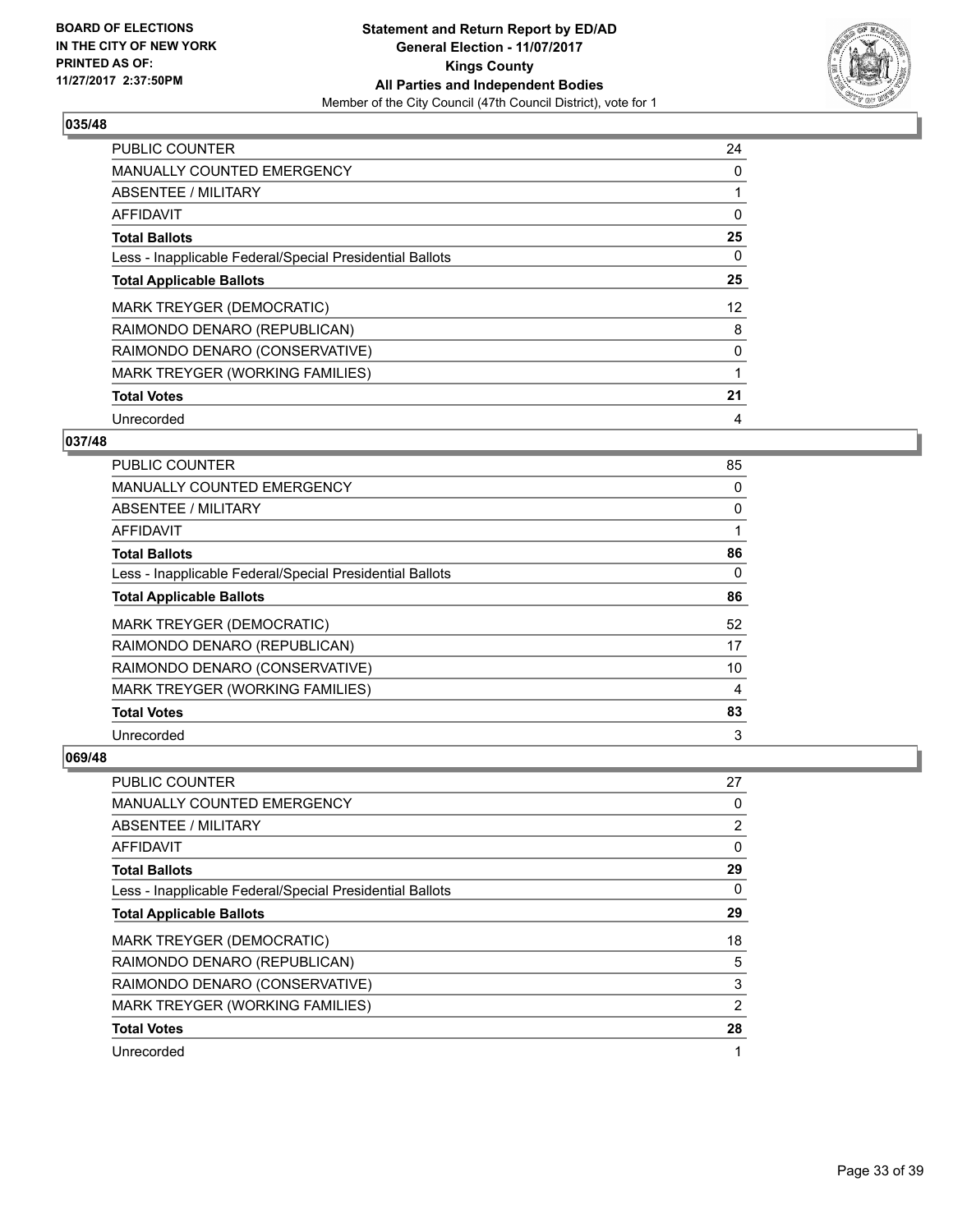

| <b>PUBLIC COUNTER</b>                                    | 24 |
|----------------------------------------------------------|----|
| <b>MANUALLY COUNTED EMERGENCY</b>                        | 0  |
| ABSENTEE / MILITARY                                      | 1  |
| <b>AFFIDAVIT</b>                                         | 0  |
| <b>Total Ballots</b>                                     | 25 |
| Less - Inapplicable Federal/Special Presidential Ballots | 0  |
| <b>Total Applicable Ballots</b>                          | 25 |
| <b>MARK TREYGER (DEMOCRATIC)</b>                         | 12 |
| RAIMONDO DENARO (REPUBLICAN)                             | 8  |
| RAIMONDO DENARO (CONSERVATIVE)                           | 0  |
| MARK TREYGER (WORKING FAMILIES)                          | 1  |
| <b>Total Votes</b>                                       | 21 |
| Unrecorded                                               | 4  |

# **037/48**

| <b>PUBLIC COUNTER</b>                                    | 85       |
|----------------------------------------------------------|----------|
| <b>MANUALLY COUNTED EMERGENCY</b>                        | 0        |
| <b>ABSENTEE / MILITARY</b>                               | 0        |
| AFFIDAVIT                                                |          |
| <b>Total Ballots</b>                                     | 86       |
| Less - Inapplicable Federal/Special Presidential Ballots | $\Omega$ |
| <b>Total Applicable Ballots</b>                          | 86       |
| MARK TREYGER (DEMOCRATIC)                                | 52       |
| RAIMONDO DENARO (REPUBLICAN)                             | 17       |
| RAIMONDO DENARO (CONSERVATIVE)                           | 10       |
| MARK TREYGER (WORKING FAMILIES)                          | 4        |
| <b>Total Votes</b>                                       | 83       |
| Unrecorded                                               | 3        |

| PUBLIC COUNTER                                           | 27 |
|----------------------------------------------------------|----|
| <b>MANUALLY COUNTED EMERGENCY</b>                        | 0  |
| ABSENTEE / MILITARY                                      | 2  |
| AFFIDAVIT                                                | 0  |
| <b>Total Ballots</b>                                     | 29 |
| Less - Inapplicable Federal/Special Presidential Ballots | 0  |
| <b>Total Applicable Ballots</b>                          | 29 |
| MARK TREYGER (DEMOCRATIC)                                | 18 |
| RAIMONDO DENARO (REPUBLICAN)                             | 5  |
| RAIMONDO DENARO (CONSERVATIVE)                           | 3  |
| MARK TREYGER (WORKING FAMILIES)                          | 2  |
| <b>Total Votes</b>                                       | 28 |
| Unrecorded                                               | 1  |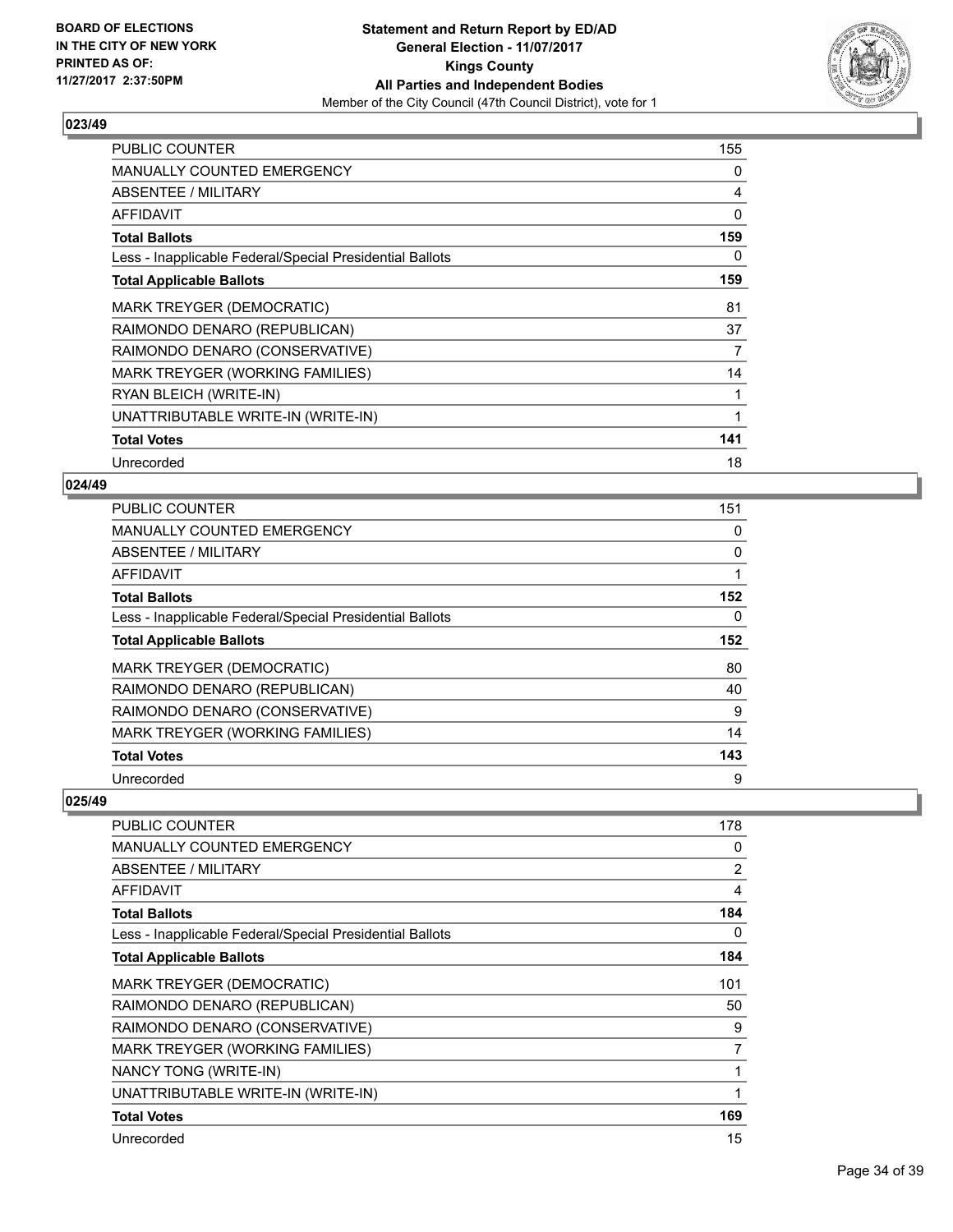

| <b>PUBLIC COUNTER</b>                                    | 155 |
|----------------------------------------------------------|-----|
| <b>MANUALLY COUNTED EMERGENCY</b>                        | 0   |
| <b>ABSENTEE / MILITARY</b>                               | 4   |
| <b>AFFIDAVIT</b>                                         | 0   |
| <b>Total Ballots</b>                                     | 159 |
| Less - Inapplicable Federal/Special Presidential Ballots | 0   |
| <b>Total Applicable Ballots</b>                          | 159 |
| <b>MARK TREYGER (DEMOCRATIC)</b>                         | 81  |
| RAIMONDO DENARO (REPUBLICAN)                             | 37  |
| RAIMONDO DENARO (CONSERVATIVE)                           | 7   |
| MARK TREYGER (WORKING FAMILIES)                          | 14  |
| RYAN BLEICH (WRITE-IN)                                   | 1   |
| UNATTRIBUTABLE WRITE-IN (WRITE-IN)                       | 1   |
| <b>Total Votes</b>                                       | 141 |
| Unrecorded                                               | 18  |

# **024/49**

| <b>PUBLIC COUNTER</b>                                    | 151 |
|----------------------------------------------------------|-----|
| <b>MANUALLY COUNTED EMERGENCY</b>                        | 0   |
| ABSENTEE / MILITARY                                      | 0   |
| AFFIDAVIT                                                | 1   |
| <b>Total Ballots</b>                                     | 152 |
| Less - Inapplicable Federal/Special Presidential Ballots | 0   |
| <b>Total Applicable Ballots</b>                          | 152 |
| MARK TREYGER (DEMOCRATIC)                                | 80  |
| RAIMONDO DENARO (REPUBLICAN)                             | 40  |
| RAIMONDO DENARO (CONSERVATIVE)                           | 9   |
| MARK TREYGER (WORKING FAMILIES)                          | 14  |
| <b>Total Votes</b>                                       | 143 |
| Unrecorded                                               | 9   |

| PUBLIC COUNTER                                           | 178 |
|----------------------------------------------------------|-----|
| <b>MANUALLY COUNTED EMERGENCY</b>                        | 0   |
| ABSENTEE / MILITARY                                      | 2   |
| AFFIDAVIT                                                | 4   |
| <b>Total Ballots</b>                                     | 184 |
| Less - Inapplicable Federal/Special Presidential Ballots | 0   |
| <b>Total Applicable Ballots</b>                          | 184 |
| MARK TREYGER (DEMOCRATIC)                                | 101 |
| RAIMONDO DENARO (REPUBLICAN)                             | 50  |
| RAIMONDO DENARO (CONSERVATIVE)                           | 9   |
| MARK TREYGER (WORKING FAMILIES)                          | 7   |
| NANCY TONG (WRITE-IN)                                    | 1   |
| UNATTRIBUTABLE WRITE-IN (WRITE-IN)                       | 1   |
| <b>Total Votes</b>                                       | 169 |
| Unrecorded                                               | 15  |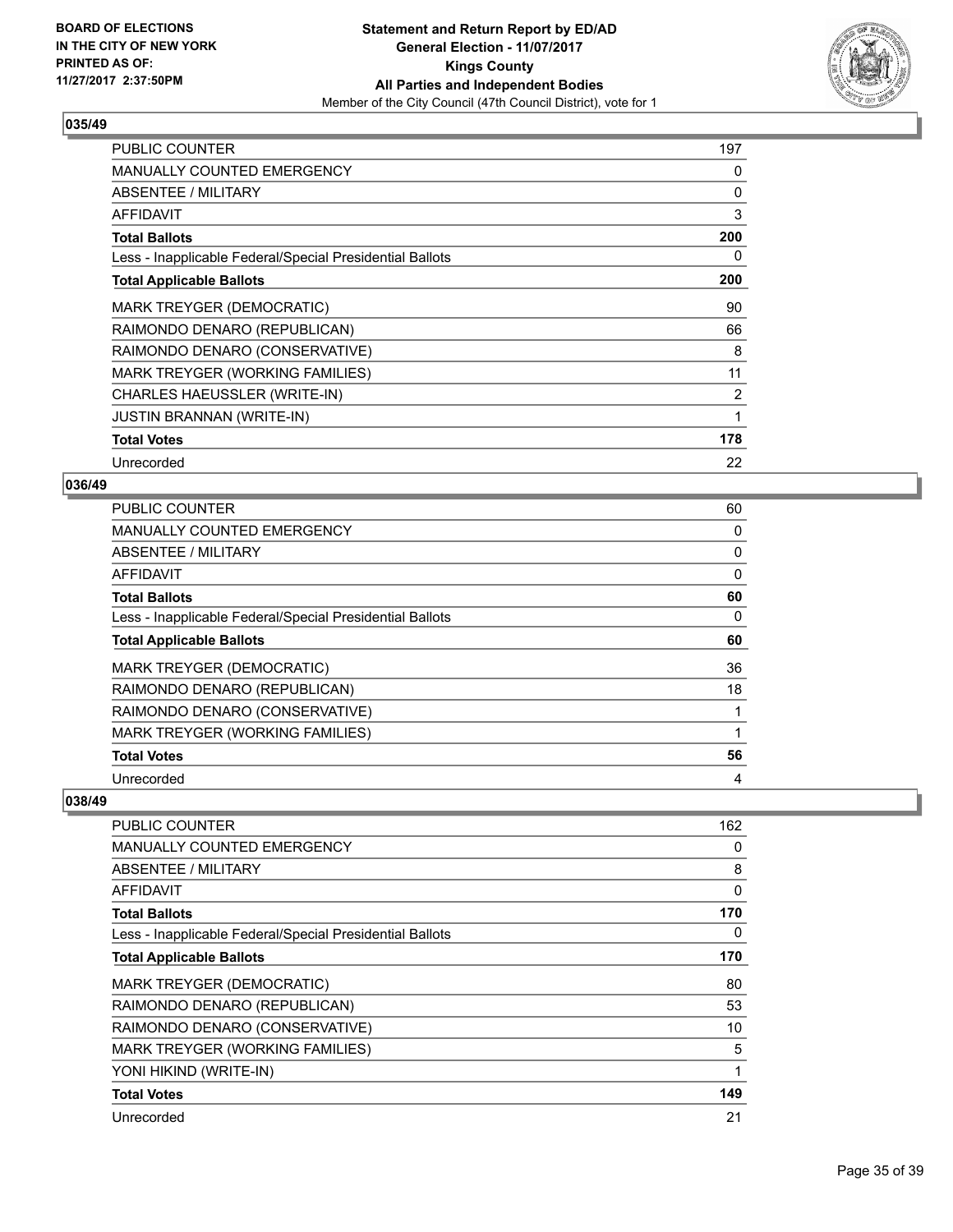

| <b>PUBLIC COUNTER</b>                                    | 197            |
|----------------------------------------------------------|----------------|
| <b>MANUALLY COUNTED EMERGENCY</b>                        | 0              |
| ABSENTEE / MILITARY                                      | 0              |
| AFFIDAVIT                                                | 3              |
| <b>Total Ballots</b>                                     | 200            |
| Less - Inapplicable Federal/Special Presidential Ballots | 0              |
| <b>Total Applicable Ballots</b>                          | 200            |
| <b>MARK TREYGER (DEMOCRATIC)</b>                         | 90             |
| RAIMONDO DENARO (REPUBLICAN)                             | 66             |
| RAIMONDO DENARO (CONSERVATIVE)                           | 8              |
| MARK TREYGER (WORKING FAMILIES)                          | 11             |
| CHARLES HAEUSSLER (WRITE-IN)                             | $\overline{2}$ |
| <b>JUSTIN BRANNAN (WRITE-IN)</b>                         | 1              |
| <b>Total Votes</b>                                       | 178            |
| Unrecorded                                               | 22             |

## **036/49**

| PUBLIC COUNTER                                           | 60 |
|----------------------------------------------------------|----|
| <b>MANUALLY COUNTED EMERGENCY</b>                        | 0  |
| ABSENTEE / MILITARY                                      | 0  |
| <b>AFFIDAVIT</b>                                         | 0  |
| <b>Total Ballots</b>                                     | 60 |
| Less - Inapplicable Federal/Special Presidential Ballots | 0  |
| <b>Total Applicable Ballots</b>                          | 60 |
| <b>MARK TREYGER (DEMOCRATIC)</b>                         | 36 |
| RAIMONDO DENARO (REPUBLICAN)                             | 18 |
| RAIMONDO DENARO (CONSERVATIVE)                           |    |
| MARK TREYGER (WORKING FAMILIES)                          |    |
| <b>Total Votes</b>                                       | 56 |
| Unrecorded                                               | 4  |

| PUBLIC COUNTER                                           | 162      |
|----------------------------------------------------------|----------|
| <b>MANUALLY COUNTED EMERGENCY</b>                        | 0        |
| ABSENTEE / MILITARY                                      | 8        |
| AFFIDAVIT                                                | $\Omega$ |
| <b>Total Ballots</b>                                     | 170      |
| Less - Inapplicable Federal/Special Presidential Ballots | 0        |
| <b>Total Applicable Ballots</b>                          | 170      |
| <b>MARK TREYGER (DEMOCRATIC)</b>                         | 80       |
| RAIMONDO DENARO (REPUBLICAN)                             | 53       |
| RAIMONDO DENARO (CONSERVATIVE)                           | 10       |
| MARK TREYGER (WORKING FAMILIES)                          | 5        |
| YONI HIKIND (WRITE-IN)                                   | 1        |
| <b>Total Votes</b>                                       | 149      |
| Unrecorded                                               | 21       |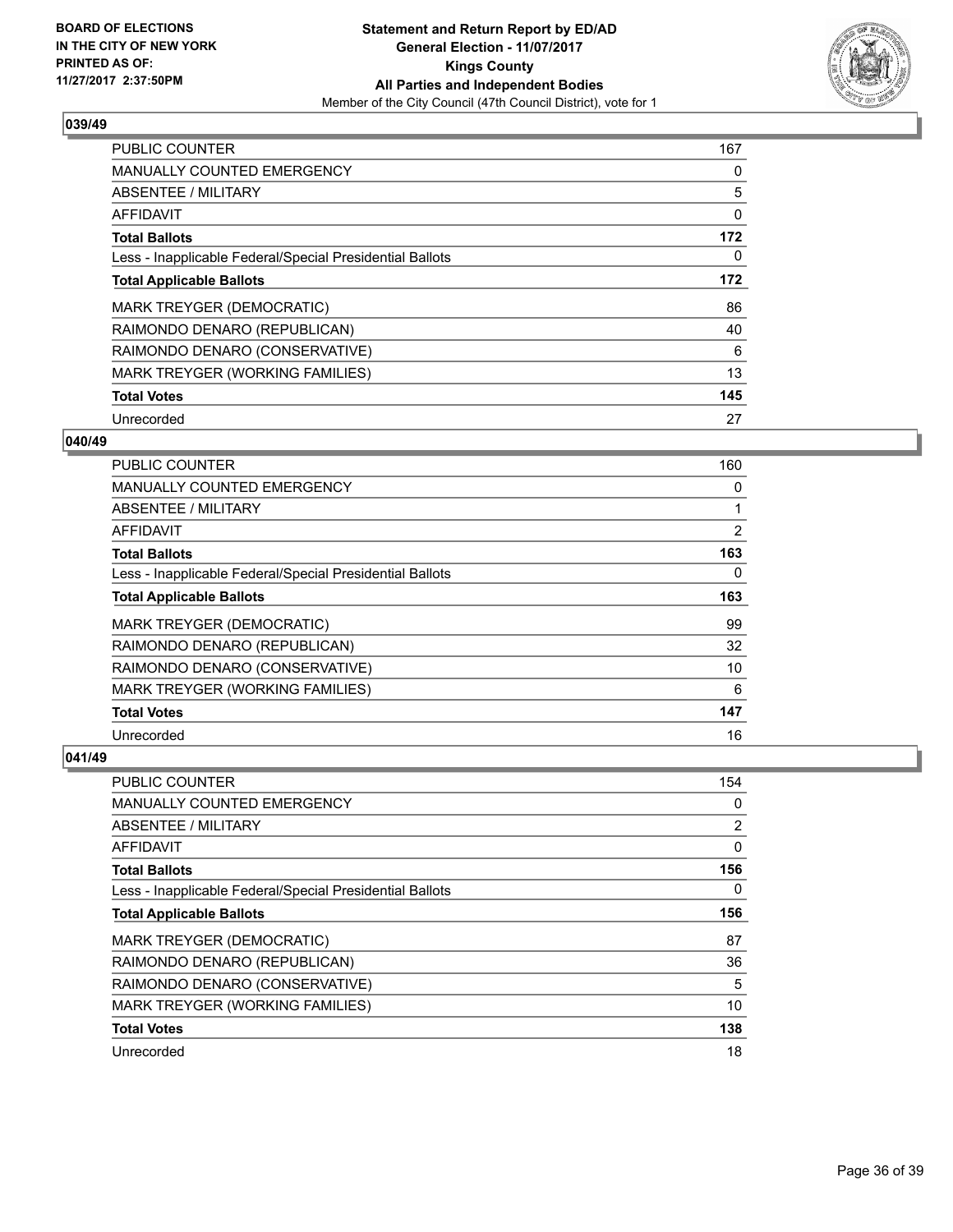

| PUBLIC COUNTER                                           | 167 |
|----------------------------------------------------------|-----|
| <b>MANUALLY COUNTED EMERGENCY</b>                        | 0   |
| <b>ABSENTEE / MILITARY</b>                               | 5   |
| <b>AFFIDAVIT</b>                                         | 0   |
| <b>Total Ballots</b>                                     | 172 |
| Less - Inapplicable Federal/Special Presidential Ballots | 0   |
| <b>Total Applicable Ballots</b>                          | 172 |
| <b>MARK TREYGER (DEMOCRATIC)</b>                         | 86  |
| RAIMONDO DENARO (REPUBLICAN)                             | 40  |
| RAIMONDO DENARO (CONSERVATIVE)                           | 6   |
| MARK TREYGER (WORKING FAMILIES)                          | 13  |
| <b>Total Votes</b>                                       | 145 |
| Unrecorded                                               | 27  |

# **040/49**

| <b>PUBLIC COUNTER</b>                                    | 160 |
|----------------------------------------------------------|-----|
| <b>MANUALLY COUNTED EMERGENCY</b>                        | 0   |
| ABSENTEE / MILITARY                                      |     |
| AFFIDAVIT                                                | 2   |
| <b>Total Ballots</b>                                     | 163 |
| Less - Inapplicable Federal/Special Presidential Ballots | 0   |
| <b>Total Applicable Ballots</b>                          | 163 |
| <b>MARK TREYGER (DEMOCRATIC)</b>                         | 99  |
| RAIMONDO DENARO (REPUBLICAN)                             | 32  |
| RAIMONDO DENARO (CONSERVATIVE)                           | 10  |
| MARK TREYGER (WORKING FAMILIES)                          | 6   |
| <b>Total Votes</b>                                       | 147 |
| Unrecorded                                               | 16  |

| <b>PUBLIC COUNTER</b>                                    | 154            |
|----------------------------------------------------------|----------------|
| <b>MANUALLY COUNTED EMERGENCY</b>                        | 0              |
| ABSENTEE / MILITARY                                      | $\overline{2}$ |
| AFFIDAVIT                                                | 0              |
| <b>Total Ballots</b>                                     | 156            |
| Less - Inapplicable Federal/Special Presidential Ballots | 0              |
| <b>Total Applicable Ballots</b>                          | 156            |
| MARK TREYGER (DEMOCRATIC)                                | 87             |
| RAIMONDO DENARO (REPUBLICAN)                             | 36             |
| RAIMONDO DENARO (CONSERVATIVE)                           | 5              |
| MARK TREYGER (WORKING FAMILIES)                          | 10             |
| <b>Total Votes</b>                                       | 138            |
| Unrecorded                                               | 18             |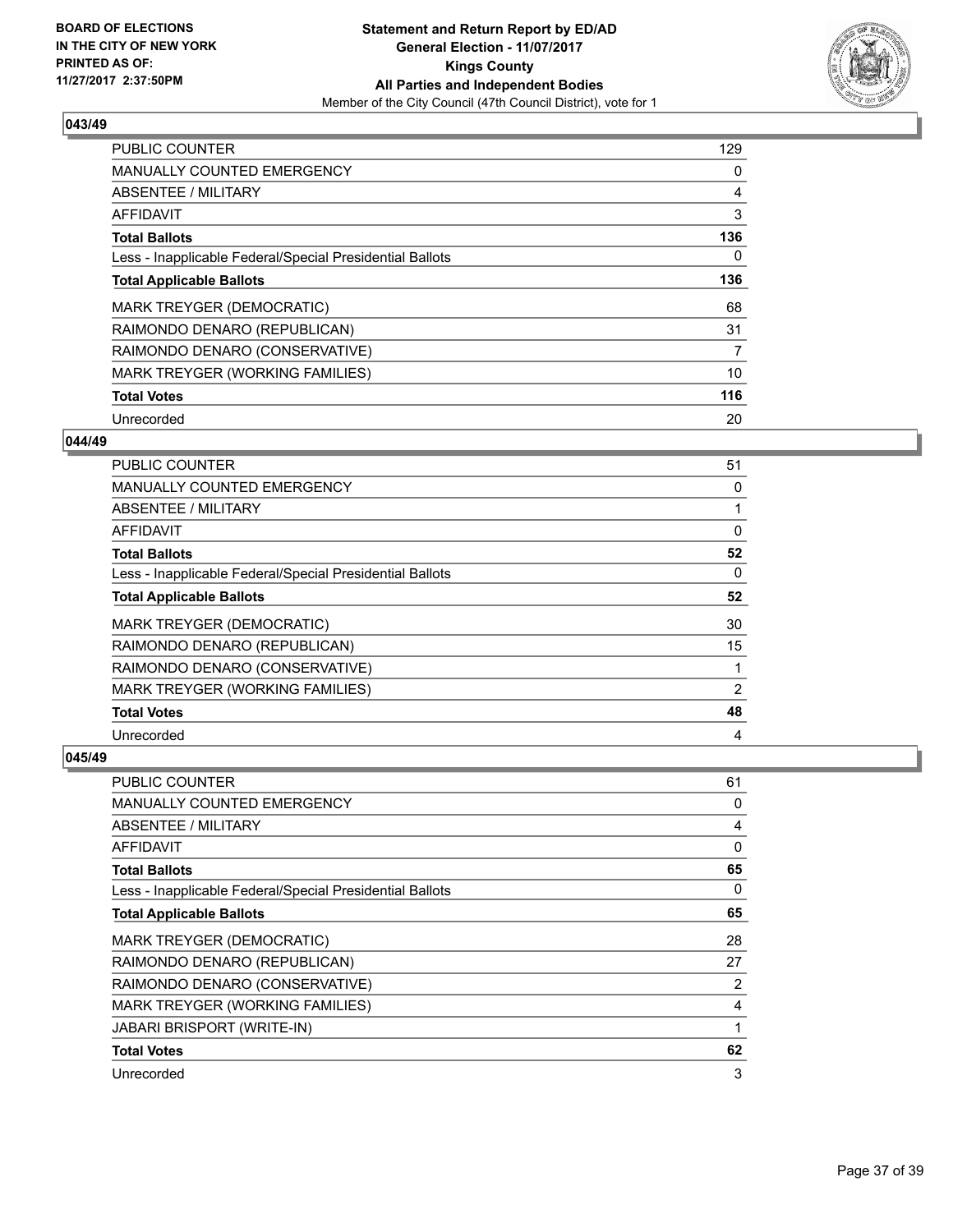

| <b>PUBLIC COUNTER</b>                                    | 129 |
|----------------------------------------------------------|-----|
| <b>MANUALLY COUNTED EMERGENCY</b>                        | 0   |
| ABSENTEE / MILITARY                                      | 4   |
| <b>AFFIDAVIT</b>                                         | 3   |
| <b>Total Ballots</b>                                     | 136 |
| Less - Inapplicable Federal/Special Presidential Ballots | 0   |
| <b>Total Applicable Ballots</b>                          | 136 |
| <b>MARK TREYGER (DEMOCRATIC)</b>                         | 68  |
| RAIMONDO DENARO (REPUBLICAN)                             | 31  |
| RAIMONDO DENARO (CONSERVATIVE)                           | 7   |
| MARK TREYGER (WORKING FAMILIES)                          | 10  |
| <b>Total Votes</b>                                       | 116 |
| Unrecorded                                               | 20  |

# **044/49**

| <b>PUBLIC COUNTER</b>                                    | 51             |
|----------------------------------------------------------|----------------|
| <b>MANUALLY COUNTED EMERGENCY</b>                        | 0              |
| ABSENTEE / MILITARY                                      |                |
| AFFIDAVIT                                                | 0              |
| <b>Total Ballots</b>                                     | 52             |
| Less - Inapplicable Federal/Special Presidential Ballots | $\Omega$       |
| <b>Total Applicable Ballots</b>                          | 52             |
| MARK TREYGER (DEMOCRATIC)                                | 30             |
| RAIMONDO DENARO (REPUBLICAN)                             | 15             |
| RAIMONDO DENARO (CONSERVATIVE)                           |                |
| MARK TREYGER (WORKING FAMILIES)                          | $\overline{2}$ |
| <b>Total Votes</b>                                       | 48             |
| Unrecorded                                               | 4              |

| <b>PUBLIC COUNTER</b>                                    | 61           |
|----------------------------------------------------------|--------------|
| MANUALLY COUNTED EMERGENCY                               | 0            |
| ABSENTEE / MILITARY                                      | 4            |
| AFFIDAVIT                                                | $\mathbf{0}$ |
| <b>Total Ballots</b>                                     | 65           |
| Less - Inapplicable Federal/Special Presidential Ballots | 0            |
| <b>Total Applicable Ballots</b>                          | 65           |
| <b>MARK TREYGER (DEMOCRATIC)</b>                         | 28           |
| RAIMONDO DENARO (REPUBLICAN)                             | 27           |
| RAIMONDO DENARO (CONSERVATIVE)                           | 2            |
| MARK TREYGER (WORKING FAMILIES)                          | 4            |
| <b>JABARI BRISPORT (WRITE-IN)</b>                        | 1            |
| <b>Total Votes</b>                                       | 62           |
| Unrecorded                                               | 3            |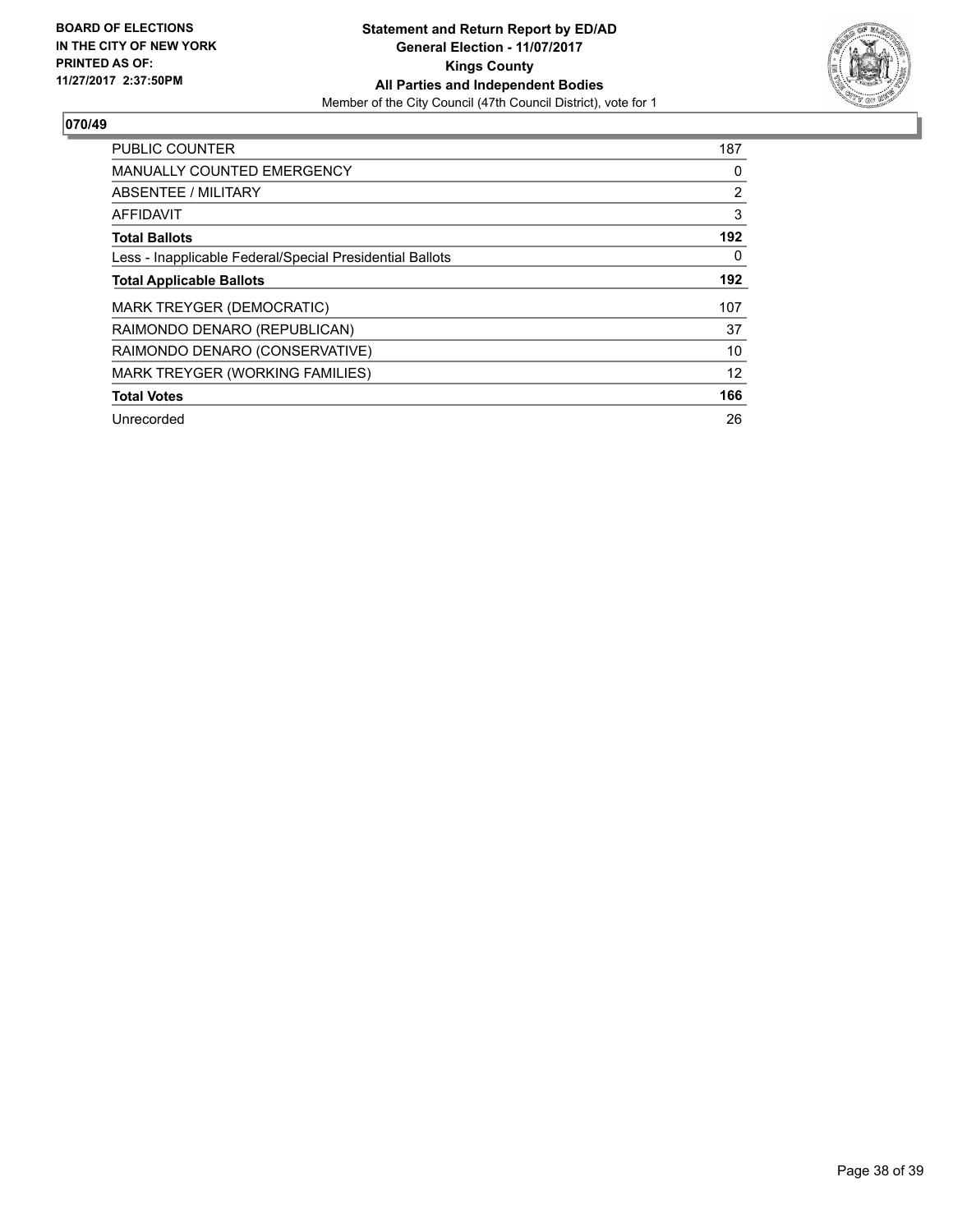

| <b>PUBLIC COUNTER</b>                                    | 187            |
|----------------------------------------------------------|----------------|
| <b>MANUALLY COUNTED EMERGENCY</b>                        | 0              |
| ABSENTEE / MILITARY                                      | $\overline{2}$ |
| AFFIDAVIT                                                | 3              |
| <b>Total Ballots</b>                                     | 192            |
| Less - Inapplicable Federal/Special Presidential Ballots | $\Omega$       |
| <b>Total Applicable Ballots</b>                          | 192            |
| <b>MARK TREYGER (DEMOCRATIC)</b>                         | 107            |
| RAIMONDO DENARO (REPUBLICAN)                             | 37             |
| RAIMONDO DENARO (CONSERVATIVE)                           | 10             |
| MARK TREYGER (WORKING FAMILIES)                          | 12             |
| <b>Total Votes</b>                                       | 166            |
| Unrecorded                                               | 26             |